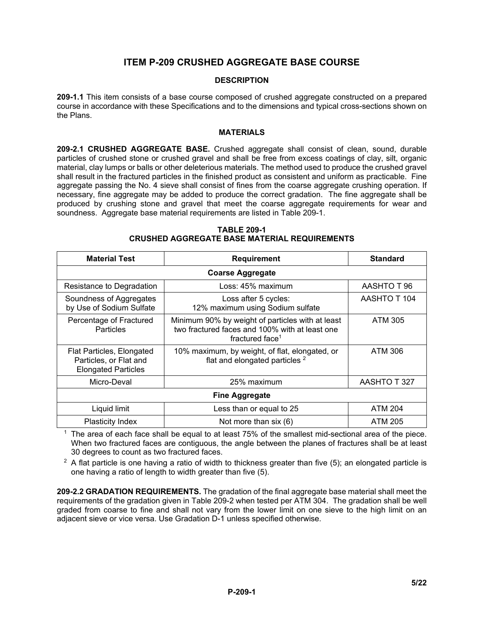# **ITEM P-209 CRUSHED AGGREGATE BASE COURSE**

### **DESCRIPTION**

**209-1.1** This item consists of a base course composed of crushed aggregate constructed on a prepared course in accordance with these Specifications and to the dimensions and typical cross-sections shown on the Plans.

#### **MATERIALS**

**209-2.1 CRUSHED AGGREGATE BASE.** Crushed aggregate shall consist of clean, sound, durable particles of crushed stone or crushed gravel and shall be free from excess coatings of clay, silt, organic material, clay lumps or balls or other deleterious materials. The method used to produce the crushed gravel shall result in the fractured particles in the finished product as consistent and uniform as practicable. Fine aggregate passing the No. 4 sieve shall consist of fines from the coarse aggregate crushing operation. If necessary, fine aggregate may be added to produce the correct gradation. The fine aggregate shall be produced by crushing stone and gravel that meet the coarse aggregate requirements for wear and soundness. Aggregate base material requirements are listed in Table 209-1.

| <b>Material Test</b>                                                              | <b>Requirement</b>                                                                                                                | <b>Standard</b> |  |  |  |  |
|-----------------------------------------------------------------------------------|-----------------------------------------------------------------------------------------------------------------------------------|-----------------|--|--|--|--|
|                                                                                   | <b>Coarse Aggregate</b>                                                                                                           |                 |  |  |  |  |
| Resistance to Degradation                                                         | Loss: 45% maximum                                                                                                                 | AASHTO T 96     |  |  |  |  |
| Soundness of Aggregates<br>by Use of Sodium Sulfate                               | Loss after 5 cycles:<br>12% maximum using Sodium sulfate                                                                          | AASHTO T 104    |  |  |  |  |
| Percentage of Fractured<br>Particles                                              | Minimum 90% by weight of particles with at least<br>two fractured faces and 100% with at least one<br>fractured face <sup>1</sup> | ATM 305         |  |  |  |  |
| Flat Particles, Elongated<br>Particles, or Flat and<br><b>Elongated Particles</b> | 10% maximum, by weight, of flat, elongated, or<br>flat and elongated particles <sup>2</sup>                                       | <b>ATM 306</b>  |  |  |  |  |
| Micro-Deval                                                                       | 25% maximum                                                                                                                       | AASHTO T 327    |  |  |  |  |
| <b>Fine Aggregate</b>                                                             |                                                                                                                                   |                 |  |  |  |  |
| Liquid limit                                                                      | Less than or equal to 25                                                                                                          | <b>ATM 204</b>  |  |  |  |  |
| Plasticity Index                                                                  | Not more than six (6)                                                                                                             | <b>ATM 205</b>  |  |  |  |  |

#### **TABLE 209-1 CRUSHED AGGREGATE BASE MATERIAL REQUIREMENTS**

The area of each face shall be equal to at least 75% of the smallest mid-sectional area of the piece. When two fractured faces are contiguous, the angle between the planes of fractures shall be at least 30 degrees to count as two fractured faces.

 $2$  A flat particle is one having a ratio of width to thickness greater than five (5); an elongated particle is one having a ratio of length to width greater than five (5).

**209-2.2 GRADATION REQUIREMENTS.** The gradation of the final aggregate base material shall meet the requirements of the gradation given in Table 209-2 when tested per ATM 304. The gradation shall be well graded from coarse to fine and shall not vary from the lower limit on one sieve to the high limit on an adjacent sieve or vice versa. Use Gradation D-1 unless specified otherwise.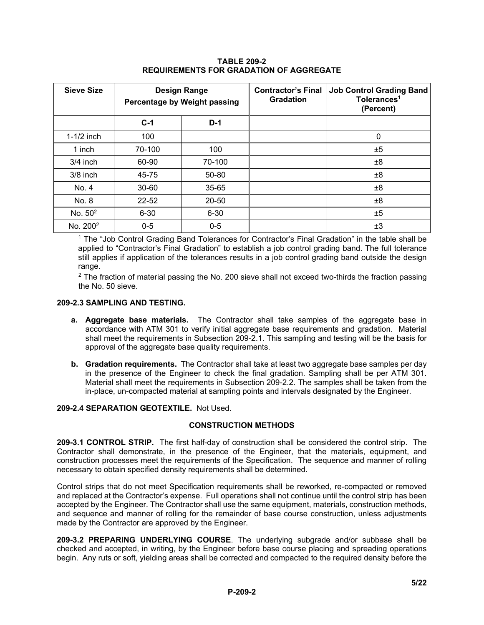| <b>Sieve Size</b>    | <b>Design Range</b><br>Percentage by Weight passing |          | <b>Contractor's Final</b><br><b>Gradation</b> | <b>Job Control Grading Band</b><br>Tolerances <sup>1</sup><br>(Percent) |
|----------------------|-----------------------------------------------------|----------|-----------------------------------------------|-------------------------------------------------------------------------|
|                      | $C-1$                                               | $D-1$    |                                               |                                                                         |
| $1-1/2$ inch         | 100                                                 |          |                                               | 0                                                                       |
| 1 inch               | 70-100                                              | 100      |                                               | ±5                                                                      |
| $3/4$ inch           | 60-90                                               | 70-100   |                                               | ±8                                                                      |
| $3/8$ inch           | 45-75                                               | 50-80    |                                               | ±8                                                                      |
| No. 4                | 30-60                                               | 35-65    |                                               | ±8                                                                      |
| No. 8                | 22-52                                               | 20-50    |                                               | ±8                                                                      |
| No. $50^2$           | $6 - 30$                                            | $6 - 30$ |                                               | ±5                                                                      |
| No. 200 <sup>2</sup> | $0-5$<br>$0-5$                                      |          |                                               | ±3                                                                      |

# **TABLE 209-2 REQUIREMENTS FOR GRADATION OF AGGREGATE**

<sup>1</sup> The "Job Control Grading Band Tolerances for Contractor's Final Gradation" in the table shall be applied to "Contractor's Final Gradation" to establish a job control grading band. The full tolerance still applies if application of the tolerances results in a job control grading band outside the design range.

 $2$  The fraction of material passing the No. 200 sieve shall not exceed two-thirds the fraction passing the No. 50 sieve.

#### **209-2.3 SAMPLING AND TESTING.**

- **a. Aggregate base materials.** The Contractor shall take samples of the aggregate base in accordance with ATM 301 to verify initial aggregate base requirements and gradation. Material shall meet the requirements in Subsection 209-2.1. This sampling and testing will be the basis for approval of the aggregate base quality requirements.
- **b. Gradation requirements.** The Contractor shall take at least two aggregate base samples per day in the presence of the Engineer to check the final gradation. Sampling shall be per ATM 301. Material shall meet the requirements in Subsection 209-2.2. The samples shall be taken from the in-place, un-compacted material at sampling points and intervals designated by the Engineer.

# **209-2.4 SEPARATION GEOTEXTILE.** Not Used.

# **CONSTRUCTION METHODS**

**209-3.1 CONTROL STRIP.** The first half-day of construction shall be considered the control strip. The Contractor shall demonstrate, in the presence of the Engineer, that the materials, equipment, and construction processes meet the requirements of the Specification. The sequence and manner of rolling necessary to obtain specified density requirements shall be determined.

Control strips that do not meet Specification requirements shall be reworked, re-compacted or removed and replaced at the Contractor's expense. Full operations shall not continue until the control strip has been accepted by the Engineer. The Contractor shall use the same equipment, materials, construction methods, and sequence and manner of rolling for the remainder of base course construction, unless adjustments made by the Contractor are approved by the Engineer.

**209-3.2 PREPARING UNDERLYING COURSE**. The underlying subgrade and/or subbase shall be checked and accepted, in writing, by the Engineer before base course placing and spreading operations begin. Any ruts or soft, yielding areas shall be corrected and compacted to the required density before the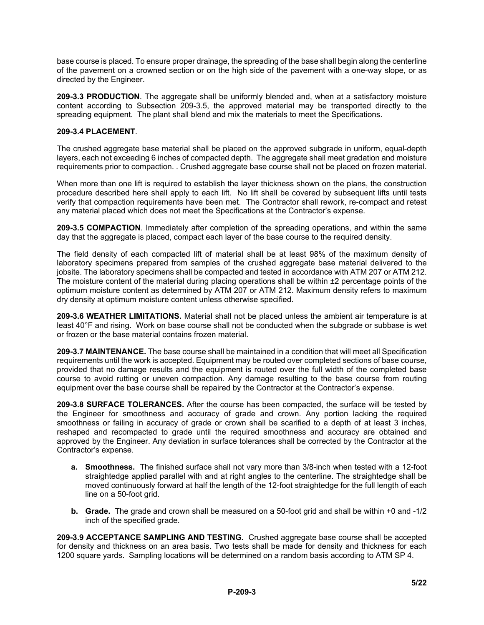base course is placed. To ensure proper drainage, the spreading of the base shall begin along the centerline of the pavement on a crowned section or on the high side of the pavement with a one-way slope, or as directed by the Engineer.

**209-3.3 PRODUCTION**. The aggregate shall be uniformly blended and, when at a satisfactory moisture content according to Subsection 209-3.5, the approved material may be transported directly to the spreading equipment. The plant shall blend and mix the materials to meet the Specifications.

#### **209-3.4 PLACEMENT**.

The crushed aggregate base material shall be placed on the approved subgrade in uniform, equal-depth layers, each not exceeding 6 inches of compacted depth. The aggregate shall meet gradation and moisture requirements prior to compaction. . Crushed aggregate base course shall not be placed on frozen material.

When more than one lift is required to establish the layer thickness shown on the plans, the construction procedure described here shall apply to each lift. No lift shall be covered by subsequent lifts until tests verify that compaction requirements have been met. The Contractor shall rework, re-compact and retest any material placed which does not meet the Specifications at the Contractor's expense.

**209-3.5 COMPACTION**. Immediately after completion of the spreading operations, and within the same day that the aggregate is placed, compact each layer of the base course to the required density.

The field density of each compacted lift of material shall be at least 98% of the maximum density of laboratory specimens prepared from samples of the crushed aggregate base material delivered to the jobsite. The laboratory specimens shall be compacted and tested in accordance with ATM 207 or ATM 212. The moisture content of the material during placing operations shall be within  $\pm 2$  percentage points of the optimum moisture content as determined by ATM 207 or ATM 212. Maximum density refers to maximum dry density at optimum moisture content unless otherwise specified.

**209-3.6 WEATHER LIMITATIONS.** Material shall not be placed unless the ambient air temperature is at least 40°F and rising. Work on base course shall not be conducted when the subgrade or subbase is wet or frozen or the base material contains frozen material.

**209-3.7 MAINTENANCE.** The base course shall be maintained in a condition that will meet all Specification requirements until the work is accepted. Equipment may be routed over completed sections of base course, provided that no damage results and the equipment is routed over the full width of the completed base course to avoid rutting or uneven compaction. Any damage resulting to the base course from routing equipment over the base course shall be repaired by the Contractor at the Contractor's expense.

**209-3.8 SURFACE TOLERANCES.** After the course has been compacted, the surface will be tested by the Engineer for smoothness and accuracy of grade and crown. Any portion lacking the required smoothness or failing in accuracy of grade or crown shall be scarified to a depth of at least 3 inches, reshaped and recompacted to grade until the required smoothness and accuracy are obtained and approved by the Engineer. Any deviation in surface tolerances shall be corrected by the Contractor at the Contractor's expense.

- **a. Smoothness.** The finished surface shall not vary more than 3/8-inch when tested with a 12-foot straightedge applied parallel with and at right angles to the centerline. The straightedge shall be moved continuously forward at half the length of the 12-foot straightedge for the full length of each line on a 50-foot grid.
- **b. Grade.** The grade and crown shall be measured on a 50-foot grid and shall be within +0 and -1/2 inch of the specified grade.

**209-3.9 ACCEPTANCE SAMPLING AND TESTING.** Crushed aggregate base course shall be accepted for density and thickness on an area basis. Two tests shall be made for density and thickness for each 1200 square yards. Sampling locations will be determined on a random basis according to ATM SP 4.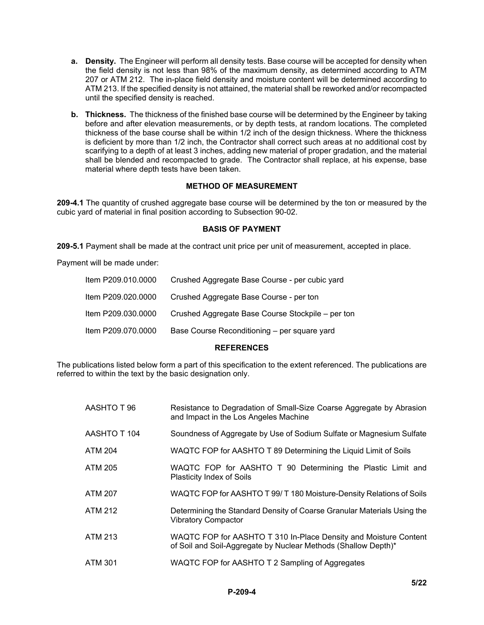- **a. Density.** The Engineer will perform all density tests. Base course will be accepted for density when the field density is not less than 98% of the maximum density, as determined according to ATM 207 or ATM 212. The in-place field density and moisture content will be determined according to ATM 213. If the specified density is not attained, the material shall be reworked and/or recompacted until the specified density is reached.
- **b. Thickness.** The thickness of the finished base course will be determined by the Engineer by taking before and after elevation measurements, or by depth tests, at random locations. The completed thickness of the base course shall be within 1/2 inch of the design thickness. Where the thickness is deficient by more than 1/2 inch, the Contractor shall correct such areas at no additional cost by scarifying to a depth of at least 3 inches, adding new material of proper gradation, and the material shall be blended and recompacted to grade. The Contractor shall replace, at his expense, base material where depth tests have been taken.

# **METHOD OF MEASUREMENT**

**209-4.1** The quantity of crushed aggregate base course will be determined by the ton or measured by the cubic yard of material in final position according to Subsection 90-02.

#### **BASIS OF PAYMENT**

**209-5.1** Payment shall be made at the contract unit price per unit of measurement, accepted in place.

Payment will be made under:

| Item P209.070.0000 | Base Course Reconditioning - per square yard      |
|--------------------|---------------------------------------------------|
| Item P209.030.0000 | Crushed Aggregate Base Course Stockpile – per ton |
| Item P209.020.0000 | Crushed Aggregate Base Course - per ton           |
| Item P209.010.0000 | Crushed Aggregate Base Course - per cubic yard    |

#### **REFERENCES**

The publications listed below form a part of this specification to the extent referenced. The publications are referred to within the text by the basic designation only.

| AASHTO T 96    | Resistance to Degradation of Small-Size Coarse Aggregate by Abrasion<br>and Impact in the Los Angeles Machine                      |
|----------------|------------------------------------------------------------------------------------------------------------------------------------|
| AASHTO T 104   | Soundness of Aggregate by Use of Sodium Sulfate or Magnesium Sulfate                                                               |
| ATM 204        | WAQTC FOP for AASHTO T 89 Determining the Liquid Limit of Soils                                                                    |
| ATM 205        | WAQTC FOP for AASHTO T 90 Determining the Plastic Limit and<br><b>Plasticity Index of Soils</b>                                    |
| ATM 207        | WAQTC FOP for AASHTO T 99/T 180 Moisture-Density Relations of Soils                                                                |
| <b>ATM 212</b> | Determining the Standard Density of Coarse Granular Materials Using the<br><b>Vibratory Compactor</b>                              |
| <b>ATM 213</b> | WAQTC FOP for AASHTO T 310 In-Place Density and Moisture Content<br>of Soil and Soil-Aggregate by Nuclear Methods (Shallow Depth)* |
| ATM 301        | WAQTC FOP for AASHTO T 2 Sampling of Aggregates                                                                                    |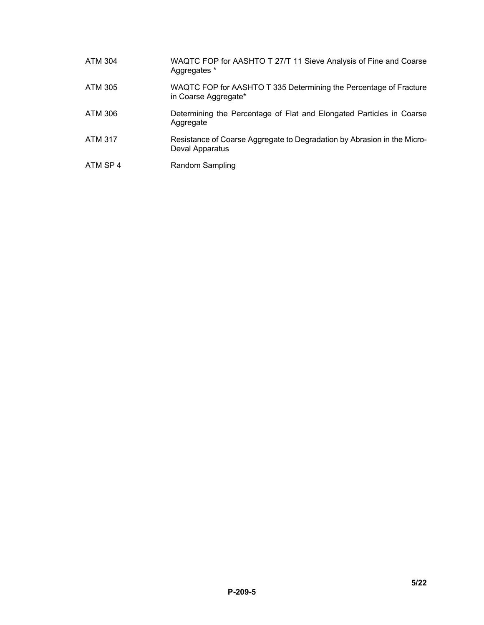| ATM 304  | WAQTC FOP for AASHTO T 27/T 11 Sieve Analysis of Fine and Coarse<br>Aggregates *           |
|----------|--------------------------------------------------------------------------------------------|
| ATM 305  | WAQTC FOP for AASHTO T 335 Determining the Percentage of Fracture<br>in Coarse Aggregate*  |
| ATM 306  | Determining the Percentage of Flat and Elongated Particles in Coarse<br>Aggregate          |
| ATM 317  | Resistance of Coarse Aggregate to Degradation by Abrasion in the Micro-<br>Deval Apparatus |
| ATM SP 4 | Random Sampling                                                                            |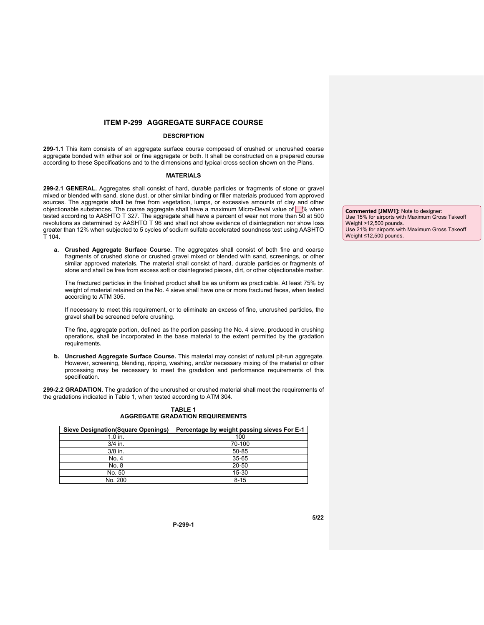#### **ITEM P-299 AGGREGATE SURFACE COURSE**

#### **DESCRIPTION**

**299-1.1** This item consists of an aggregate surface course composed of crushed or uncrushed coarse aggregate bonded with either soil or fine aggregate or both. It shall be constructed on a prepared course according to these Specifications and to the dimensions and typical cross section shown on the Plans.

#### **MATERIALS**

**299-2.1 GENERAL.** Aggregates shall consist of hard, durable particles or fragments of stone or gravel mixed or blended with sand, stone dust, or other similar binding or filler materials produced from approved sources. The aggregate shall be free from vegetation, lumps, or excessive amounts of clay and other objectionable substances. The coarse aggregate shall have a maximum Micro-Deval value of \extings when tested according to AASHTO T 327. The aggregate shall have a percent of wear not more than 50 at 500 revolutions as determined by AASHTO T 96 and shall not show evidence of disintegration nor show loss greater than 12% when subjected to 5 cycles of sodium sulfate accelerated soundness test using AASHTO T 104.

**a. Crushed Aggregate Surface Course.** The aggregates shall consist of both fine and coarse fragments of crushed stone or crushed gravel mixed or blended with sand, screenings, or other similar approved materials. The material shall consist of hard, durable particles or fragments of stone and shall be free from excess soft or disintegrated pieces, dirt, or other objectionable matter.

The fractured particles in the finished product shall be as uniform as practicable. At least 75% by weight of material retained on the No. 4 sieve shall have one or more fractured faces, when tested according to ATM 305.

If necessary to meet this requirement, or to eliminate an excess of fine, uncrushed particles, the gravel shall be screened before crushing.

The fine, aggregate portion, defined as the portion passing the No. 4 sieve, produced in crushing operations, shall be incorporated in the base material to the extent permitted by the gradation requirements.

**b. Uncrushed Aggregate Surface Course.** This material may consist of natural pit-run aggregate. However, screening, blending, ripping, washing, and/or necessary mixing of the material or other processing may be necessary to meet the gradation and performance requirements of this specification.

**299-2.2 GRADATION.** The gradation of the uncrushed or crushed material shall meet the requirements of the gradations indicated in Table 1, when tested according to ATM 304.

| <b>Sieve Designation (Square Openings)</b> | Percentage by weight passing sieves For E-1 |
|--------------------------------------------|---------------------------------------------|
| $1.0$ in.                                  | 100                                         |
| $3/4$ in.                                  | 70-100                                      |
| $3/8$ in.                                  | 50-85                                       |
| No. 4                                      | 35-65                                       |
| No. 8                                      | 20-50                                       |
| No. 50                                     | 15-30                                       |
| No. 200                                    | $8 - 15$                                    |

**TABLE 1 AGGREGATE GRADATION REQUIREMENTS**

**Commented [JMW1]:** Note to designer: Use 15% for airports with Maximum Gross Takeoff Weight >12,500 pounds. Use 21% for airports with Maximum Gross Takeoff Weight ≤12,500 pounds.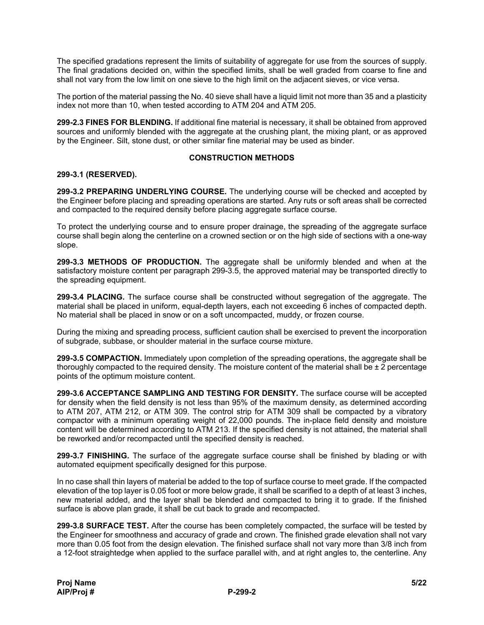The specified gradations represent the limits of suitability of aggregate for use from the sources of supply. The final gradations decided on, within the specified limits, shall be well graded from coarse to fine and shall not vary from the low limit on one sieve to the high limit on the adjacent sieves, or vice versa.

The portion of the material passing the No. 40 sieve shall have a liquid limit not more than 35 and a plasticity index not more than 10, when tested according to ATM 204 and ATM 205.

**299-2.3 FINES FOR BLENDING.** If additional fine material is necessary, it shall be obtained from approved sources and uniformly blended with the aggregate at the crushing plant, the mixing plant, or as approved by the Engineer. Silt, stone dust, or other similar fine material may be used as binder.

## **CONSTRUCTION METHODS**

#### **299-3.1 (RESERVED).**

**299-3.2 PREPARING UNDERLYING COURSE.** The underlying course will be checked and accepted by the Engineer before placing and spreading operations are started. Any ruts or soft areas shall be corrected and compacted to the required density before placing aggregate surface course.

To protect the underlying course and to ensure proper drainage, the spreading of the aggregate surface course shall begin along the centerline on a crowned section or on the high side of sections with a one-way slope.

**299-3.3 METHODS OF PRODUCTION.** The aggregate shall be uniformly blended and when at the satisfactory moisture content per paragraph 299-3.5, the approved material may be transported directly to the spreading equipment.

**299-3.4 PLACING.** The surface course shall be constructed without segregation of the aggregate. The material shall be placed in uniform, equal-depth layers, each not exceeding 6 inches of compacted depth. No material shall be placed in snow or on a soft uncompacted, muddy, or frozen course.

During the mixing and spreading process, sufficient caution shall be exercised to prevent the incorporation of subgrade, subbase, or shoulder material in the surface course mixture.

**299-3.5 COMPACTION.** Immediately upon completion of the spreading operations, the aggregate shall be thoroughly compacted to the required density. The moisture content of the material shall be  $\pm 2$  percentage points of the optimum moisture content.

**299-3.6 ACCEPTANCE SAMPLING AND TESTING FOR DENSITY.** The surface course will be accepted for density when the field density is not less than 95% of the maximum density, as determined according to ATM 207, ATM 212, or ATM 309. The control strip for ATM 309 shall be compacted by a vibratory compactor with a minimum operating weight of 22,000 pounds. The in-place field density and moisture content will be determined according to ATM 213. If the specified density is not attained, the material shall be reworked and/or recompacted until the specified density is reached.

**299-3.7 FINISHING.** The surface of the aggregate surface course shall be finished by blading or with automated equipment specifically designed for this purpose.

In no case shall thin layers of material be added to the top of surface course to meet grade. If the compacted elevation of the top layer is 0.05 foot or more below grade, it shall be scarified to a depth of at least 3 inches, new material added, and the layer shall be blended and compacted to bring it to grade. If the finished surface is above plan grade, it shall be cut back to grade and recompacted.

**299-3.8 SURFACE TEST.** After the course has been completely compacted, the surface will be tested by the Engineer for smoothness and accuracy of grade and crown. The finished grade elevation shall not vary more than 0.05 foot from the design elevation. The finished surface shall not vary more than 3/8 inch from a 12-foot straightedge when applied to the surface parallel with, and at right angles to, the centerline. Any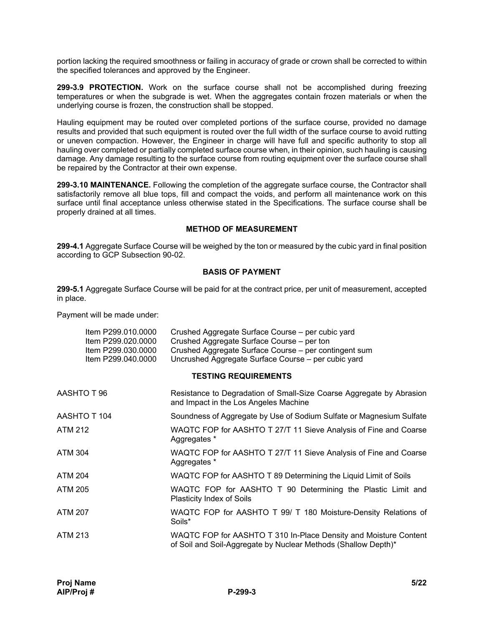portion lacking the required smoothness or failing in accuracy of grade or crown shall be corrected to within the specified tolerances and approved by the Engineer.

**299-3.9 PROTECTION.** Work on the surface course shall not be accomplished during freezing temperatures or when the subgrade is wet. When the aggregates contain frozen materials or when the underlying course is frozen, the construction shall be stopped.

Hauling equipment may be routed over completed portions of the surface course, provided no damage results and provided that such equipment is routed over the full width of the surface course to avoid rutting or uneven compaction. However, the Engineer in charge will have full and specific authority to stop all hauling over completed or partially completed surface course when, in their opinion, such hauling is causing damage. Any damage resulting to the surface course from routing equipment over the surface course shall be repaired by the Contractor at their own expense.

**299-3.10 MAINTENANCE.** Following the completion of the aggregate surface course, the Contractor shall satisfactorily remove all blue tops, fill and compact the voids, and perform all maintenance work on this surface until final acceptance unless otherwise stated in the Specifications. The surface course shall be properly drained at all times.

#### **METHOD OF MEASUREMENT**

**299-4.1** Aggregate Surface Course will be weighed by the ton or measured by the cubic yard in final position according to GCP Subsection 90-02.

# **BASIS OF PAYMENT**

**299-5.1** Aggregate Surface Course will be paid for at the contract price, per unit of measurement, accepted in place.

Payment will be made under:

| Item P299.010.0000<br>Item P299.020.0000<br>Item P299.030.0000<br>Item P299.040.0000 | Crushed Aggregate Surface Course – per cubic yard<br>Crushed Aggregate Surface Course – per ton<br>Crushed Aggregate Surface Course - per contingent sum<br>Uncrushed Aggregate Surface Course - per cubic yard |
|--------------------------------------------------------------------------------------|-----------------------------------------------------------------------------------------------------------------------------------------------------------------------------------------------------------------|
|                                                                                      | <b>TESTING REQUIREMENTS</b>                                                                                                                                                                                     |
| AASHTO T 96                                                                          | Resistance to Degradation of Small-Size Coarse Aggregate by Abrasion<br>and Impact in the Los Angeles Machine                                                                                                   |
| AASHTO T 104                                                                         | Soundness of Aggregate by Use of Sodium Sulfate or Magnesium Sulfate                                                                                                                                            |
| ATM 212                                                                              | WAQTC FOP for AASHTO T 27/T 11 Sieve Analysis of Fine and Coarse<br>Aggregates *                                                                                                                                |
| ATM 304                                                                              | WAQTC FOP for AASHTO T 27/T 11 Sieve Analysis of Fine and Coarse<br>Aggregates *                                                                                                                                |
| ATM 204                                                                              | WAQTC FOP for AASHTO T 89 Determining the Liquid Limit of Soils                                                                                                                                                 |
| ATM 205                                                                              | WAQTC FOP for AASHTO T 90 Determining the Plastic Limit and<br>Plasticity Index of Soils                                                                                                                        |
| ATM 207                                                                              | WAQTC FOP for AASHTO T 99/ T 180 Moisture-Density Relations of<br>Soils*                                                                                                                                        |
| ATM 213                                                                              | WAQTC FOP for AASHTO T 310 In-Place Density and Moisture Content<br>of Soil and Soil-Aggregate by Nuclear Methods (Shallow Depth)*                                                                              |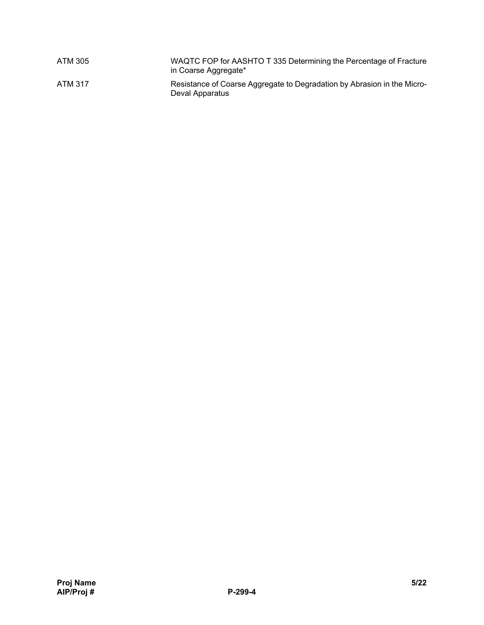| ATM 305 | WAQTC FOP for AASHTO T 335 Determining the Percentage of Fracture<br>in Coarse Aggregate*  |
|---------|--------------------------------------------------------------------------------------------|
| ATM 317 | Resistance of Coarse Aggregate to Degradation by Abrasion in the Micro-<br>Deval Apparatus |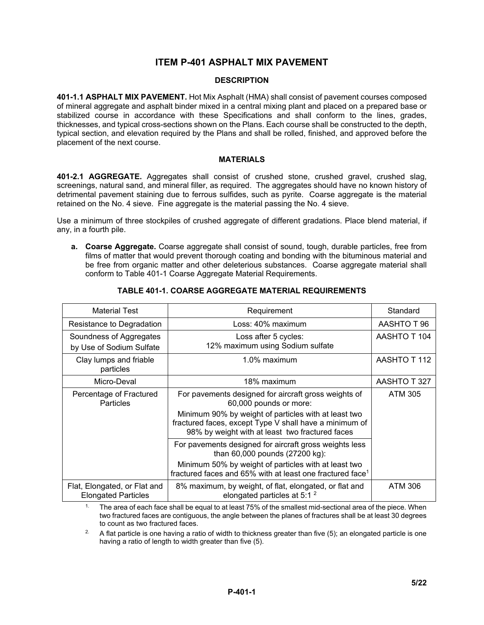# **ITEM P-401 ASPHALT MIX PAVEMENT**

# **DESCRIPTION**

**401-1.1 ASPHALT MIX PAVEMENT.** Hot Mix Asphalt (HMA) shall consist of pavement courses composed of mineral aggregate and asphalt binder mixed in a central mixing plant and placed on a prepared base or stabilized course in accordance with these Specifications and shall conform to the lines, grades, thicknesses, and typical cross-sections shown on the Plans. Each course shall be constructed to the depth, typical section, and elevation required by the Plans and shall be rolled, finished, and approved before the placement of the next course.

#### **MATERIALS**

**401-2.1 AGGREGATE.** Aggregates shall consist of crushed stone, crushed gravel, crushed slag, screenings, natural sand, and mineral filler, as required. The aggregates should have no known history of detrimental pavement staining due to ferrous sulfides, such as pyrite. Coarse aggregate is the material retained on the No. 4 sieve. Fine aggregate is the material passing the No. 4 sieve.

Use a minimum of three stockpiles of crushed aggregate of different gradations. Place blend material, if any, in a fourth pile.

**a. Coarse Aggregate.** Coarse aggregate shall consist of sound, tough, durable particles, free from films of matter that would prevent thorough coating and bonding with the bituminous material and be free from organic matter and other deleterious substances. Coarse aggregate material shall conform to Table 401-1 Coarse Aggregate Material Requirements.

| <b>Material Test</b>                                       | Requirement                                                                                                                                                                                                               | Standard     |
|------------------------------------------------------------|---------------------------------------------------------------------------------------------------------------------------------------------------------------------------------------------------------------------------|--------------|
|                                                            |                                                                                                                                                                                                                           |              |
| Resistance to Degradation                                  | Loss: 40% maximum                                                                                                                                                                                                         | AASHTO T 96  |
| Soundness of Aggregates                                    | Loss after 5 cycles:                                                                                                                                                                                                      | AASHTO T 104 |
| by Use of Sodium Sulfate                                   | 12% maximum using Sodium sulfate                                                                                                                                                                                          |              |
| Clay lumps and friable<br>particles                        | 1.0% maximum                                                                                                                                                                                                              | AASHTO T 112 |
| Micro-Deval                                                | 18% maximum                                                                                                                                                                                                               | AASHTO T 327 |
| Percentage of Fractured<br><b>Particles</b>                | For pavements designed for aircraft gross weights of<br>60,000 pounds or more:                                                                                                                                            | ATM 305      |
|                                                            | Minimum 90% by weight of particles with at least two<br>fractured faces, except Type V shall have a minimum of<br>98% by weight with at least two fractured faces                                                         |              |
|                                                            | For pavements designed for aircraft gross weights less<br>than 60,000 pounds (27200 kg):<br>Minimum 50% by weight of particles with at least two<br>fractured faces and 65% with at least one fractured face <sup>1</sup> |              |
| Flat, Elongated, or Flat and<br><b>Elongated Particles</b> | 8% maximum, by weight, of flat, elongated, or flat and<br>elongated particles at 5:1 <sup>2</sup>                                                                                                                         | ATM 306      |

#### **TABLE 401-1. COARSE AGGREGATE MATERIAL REQUIREMENTS**

<sup>1.</sup> The area of each face shall be equal to at least 75% of the smallest mid-sectional area of the piece. When two fractured faces are contiguous, the angle between the planes of fractures shall be at least 30 degrees to count as two fractured faces.

<sup>2.</sup> A flat particle is one having a ratio of width to thickness greater than five (5); an elongated particle is one having a ratio of length to width greater than five (5).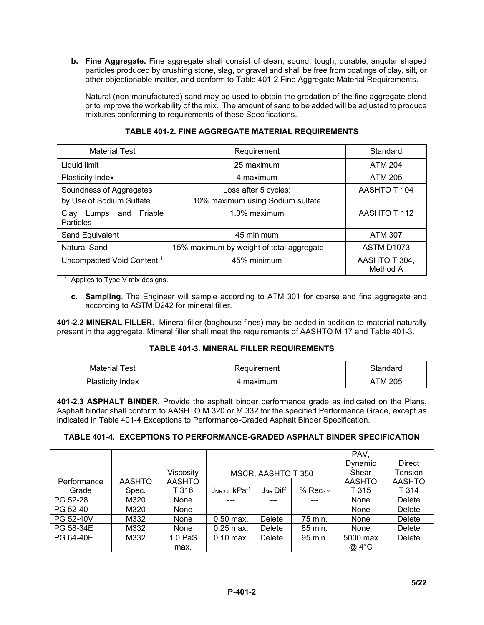**b. Fine Aggregate.** Fine aggregate shall consist of clean, sound, tough, durable, angular shaped particles produced by crushing stone, slag, or gravel and shall be free from coatings of clay, silt, or other objectionable matter, and conform to Table 401-2 Fine Aggregate Material Requirements.

Natural (non-manufactured) sand may be used to obtain the gradation of the fine aggregate blend or to improve the workability of the mix. The amount of sand to be added will be adjusted to produce mixtures conforming to requirements of these Specifications.

| <b>Material Test</b>                                | Requirement                                              | Standard                  |
|-----------------------------------------------------|----------------------------------------------------------|---------------------------|
| Liquid limit                                        | 25 maximum                                               | <b>ATM 204</b>            |
| Plasticity Index                                    | 4 maximum                                                | <b>ATM 205</b>            |
| Soundness of Aggregates<br>by Use of Sodium Sulfate | Loss after 5 cycles:<br>10% maximum using Sodium sulfate | AASHTO T 104              |
| and Friable<br>Clay<br>Lumps<br>Particles           | $1.0\%$ maximum                                          | AASHTO T 112              |
| Sand Equivalent                                     | 45 minimum                                               | <b>ATM 307</b>            |
| Natural Sand                                        | 15% maximum by weight of total aggregate                 | <b>ASTM D1073</b>         |
| Uncompacted Void Content <sup>1</sup>               | 45% minimum                                              | AASHTO T 304,<br>Method A |

### **TABLE 401-2. FINE AGGREGATE MATERIAL REQUIREMENTS**

 $1.$  Applies to Type V mix designs.

**c. Sampling**. The Engineer will sample according to ATM 301 for coarse and fine aggregate and according to ASTM D242 for mineral filler.

**401-2.2 MINERAL FILLER.** Mineral filler (baghouse fines) may be added in addition to material naturally present in the aggregate. Mineral filler shall meet the requirements of AASHTO M 17 and Table 401-3.

# **TABLE 401-3. MINERAL FILLER REQUIREMENTS**

| Test<br>Material        | Requirement | Standard |
|-------------------------|-------------|----------|
| <b>Plasticity Index</b> | aximum      | TM 205   |

**401-2.3 ASPHALT BINDER.** Provide the asphalt binder performance grade as indicated on the Plans. Asphalt binder shall conform to AASHTO M 320 or M 332 for the specified Performance Grade, except as indicated in Table 401-4 Exceptions to Performance-Graded Asphalt Binder Specification.

# **TABLE 401-4. EXCEPTIONS TO PERFORMANCE-GRADED ASPHALT BINDER SPECIFICATION**

|             |               |                    |                |                    |                  | PAV.          |               |
|-------------|---------------|--------------------|----------------|--------------------|------------------|---------------|---------------|
|             |               |                    |                |                    |                  | Dynamic       | <b>Direct</b> |
|             |               | Viscosity          |                | MSCR, AASHTO T 350 |                  | Shear         | Tension       |
| Performance | <b>AASHTO</b> | <b>AASHTO</b>      |                |                    |                  | <b>AASHTO</b> | <b>AASHTO</b> |
| Grade       | Spec.         | T 316              | $JNR3.2$ kPa-1 | $J_{NR}$ Diff      | $%$ Rec $_{3.2}$ | T 315         | T 314         |
| PG 52-28    | M320          | None               | $--$           | ---                | ---              | None          | Delete        |
| PG 52-40    | M320          | None               | ---            | ---                | ---              | None          | Delete        |
| PG 52-40V   | M332          | None               | $0.50$ max.    | Delete             | 75 min.          | None          | Delete        |
| PG 58-34E   | M332          | None               | $0.25$ max.    | Delete             | 85 min.          | None          | Delete        |
| PG 64-40E   | M332          | 1.0 <sub>PaS</sub> | $0.10$ max.    | Delete             | 95 min.          | 5000 max      | Delete        |
|             |               | max.               |                |                    |                  | @ 4°C         |               |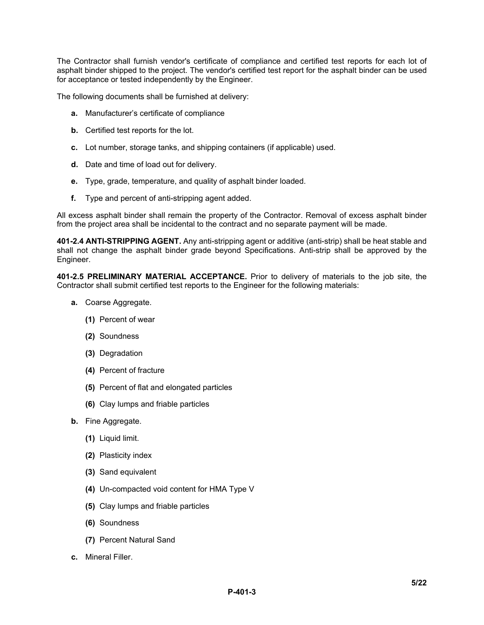The Contractor shall furnish vendor's certificate of compliance and certified test reports for each lot of asphalt binder shipped to the project. The vendor's certified test report for the asphalt binder can be used for acceptance or tested independently by the Engineer.

The following documents shall be furnished at delivery:

- **a.** Manufacturer's certificate of compliance
- **b.** Certified test reports for the lot.
- **c.** Lot number, storage tanks, and shipping containers (if applicable) used.
- **d.** Date and time of load out for delivery.
- **e.** Type, grade, temperature, and quality of asphalt binder loaded.
- **f.** Type and percent of anti-stripping agent added.

All excess asphalt binder shall remain the property of the Contractor. Removal of excess asphalt binder from the project area shall be incidental to the contract and no separate payment will be made.

**401-2.4 ANTI-STRIPPING AGENT.** Any anti-stripping agent or additive (anti-strip) shall be heat stable and shall not change the asphalt binder grade beyond Specifications. Anti-strip shall be approved by the Engineer.

**401-2.5 PRELIMINARY MATERIAL ACCEPTANCE.** Prior to delivery of materials to the job site, the Contractor shall submit certified test reports to the Engineer for the following materials:

- **a.** Coarse Aggregate.
	- **(1)** Percent of wear
	- **(2)** Soundness
	- **(3)** Degradation
	- **(4)** Percent of fracture
	- **(5)** Percent of flat and elongated particles
	- **(6)** Clay lumps and friable particles
- **b.** Fine Aggregate.
	- **(1)** Liquid limit.
	- **(2)** Plasticity index
	- **(3)** Sand equivalent
	- **(4)** Un-compacted void content for HMA Type V
	- **(5)** Clay lumps and friable particles
	- **(6)** Soundness
	- **(7)** Percent Natural Sand
- **c.** Mineral Filler.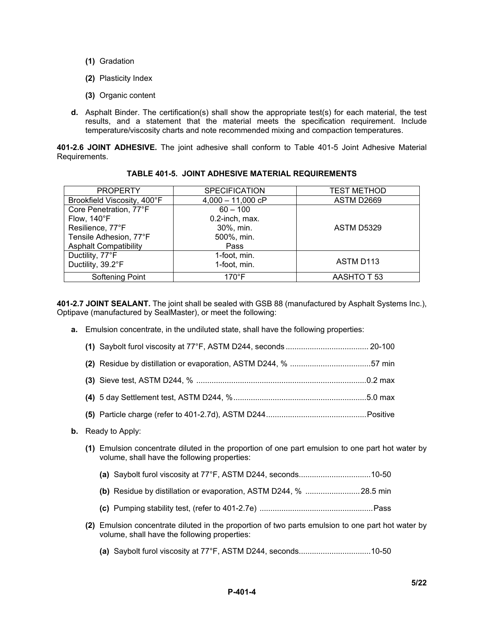- **(1)** Gradation
- **(2)** Plasticity Index
- **(3)** Organic content
- **d.** Asphalt Binder. The certification(s) shall show the appropriate test(s) for each material, the test results, and a statement that the material meets the specification requirement. Include temperature/viscosity charts and note recommended mixing and compaction temperatures.

**401-2.6 JOINT ADHESIVE.** The joint adhesive shall conform to Table 401-5 Joint Adhesive Material Requirements.

| <b>PROPERTY</b>              | <b>SPECIFICATION</b> | <b>TEST METHOD</b> |
|------------------------------|----------------------|--------------------|
| Brookfield Viscosity, 400°F  | $4,000 - 11,000$ cP  | ASTM D2669         |
| Core Penetration, 77°F       | $60 - 100$           |                    |
| Flow, 140°F                  | 0.2-inch, max.       |                    |
| Resilience, 77°F             | 30%, min.            | ASTM D5329         |
| Tensile Adhesion, 77°F       | 500%, min.           |                    |
| <b>Asphalt Compatibility</b> | Pass                 |                    |
| Ductility, 77°F              | 1-foot, min.         |                    |
| Ductility, 39.2°F            | 1-foot, min.         | ASTM D113          |
| Softening Point              | $170^{\circ}$ F      | AASHTO T 53        |

|  |  |  |  |  | TABLE 401-5.  JOINT ADHESIVE MATERIAL REQUIREMENTS |
|--|--|--|--|--|----------------------------------------------------|
|--|--|--|--|--|----------------------------------------------------|

**401-2.7 JOINT SEALANT.** The joint shall be sealed with GSB 88 (manufactured by Asphalt Systems Inc.), Optipave (manufactured by SealMaster), or meet the following:

**a.** Emulsion concentrate, in the undiluted state, shall have the following properties:

- **b.** Ready to Apply:
	- **(1)** Emulsion concentrate diluted in the proportion of one part emulsion to one part hot water by volume, shall have the following properties:
		- **(a)** Saybolt furol viscosity at 77°F, ASTM D244, seconds................................. 10-50
		- **(b)** Residue by distillation or evaporation, ASTM D244, % .........................28.5 min
		- **(c)** Pumping stability test, (refer to 401-2.7e) ....................................................Pass
	- **(2)** Emulsion concentrate diluted in the proportion of two parts emulsion to one part hot water by volume, shall have the following properties:
		- **(a)** Saybolt furol viscosity at 77°F, ASTM D244, seconds................................. 10-50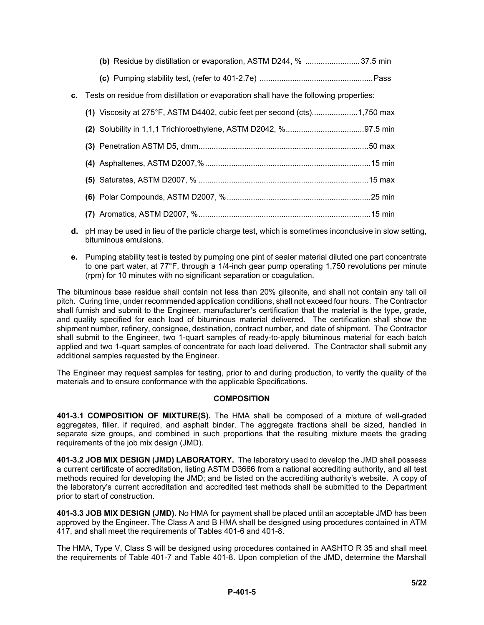| (b) Residue by distillation or evaporation, ASTM D244, % 37.5 min                         |  |
|-------------------------------------------------------------------------------------------|--|
|                                                                                           |  |
| c. Tests on residue from distillation or evaporation shall have the following properties: |  |
| (1) Viscosity at 275°F, ASTM D4402, cubic feet per second (cts)1,750 max                  |  |
|                                                                                           |  |
|                                                                                           |  |
|                                                                                           |  |
|                                                                                           |  |
|                                                                                           |  |
|                                                                                           |  |

- **d.** pH may be used in lieu of the particle charge test, which is sometimes inconclusive in slow setting, bituminous emulsions.
- **e.** Pumping stability test is tested by pumping one pint of sealer material diluted one part concentrate to one part water, at 77°F, through a 1/4-inch gear pump operating 1,750 revolutions per minute (rpm) for 10 minutes with no significant separation or coagulation.

The bituminous base residue shall contain not less than 20% gilsonite, and shall not contain any tall oil pitch. Curing time, under recommended application conditions, shall not exceed four hours. The Contractor shall furnish and submit to the Engineer, manufacturer's certification that the material is the type, grade, and quality specified for each load of bituminous material delivered. The certification shall show the shipment number, refinery, consignee, destination, contract number, and date of shipment. The Contractor shall submit to the Engineer, two 1-quart samples of ready-to-apply bituminous material for each batch applied and two 1-quart samples of concentrate for each load delivered. The Contractor shall submit any additional samples requested by the Engineer.

The Engineer may request samples for testing, prior to and during production, to verify the quality of the materials and to ensure conformance with the applicable Specifications.

#### **COMPOSITION**

**401-3.1 COMPOSITION OF MIXTURE(S).** The HMA shall be composed of a mixture of well-graded aggregates, filler, if required, and asphalt binder. The aggregate fractions shall be sized, handled in separate size groups, and combined in such proportions that the resulting mixture meets the grading requirements of the job mix design (JMD).

**401-3.2 JOB MIX DESIGN (JMD) LABORATORY.** The laboratory used to develop the JMD shall possess a current certificate of accreditation, listing ASTM D3666 from a national accrediting authority, and all test methods required for developing the JMD; and be listed on the accrediting authority's website. A copy of the laboratory's current accreditation and accredited test methods shall be submitted to the Department prior to start of construction.

**401-3.3 JOB MIX DESIGN (JMD).** No HMA for payment shall be placed until an acceptable JMD has been approved by the Engineer. The Class A and B HMA shall be designed using procedures contained in ATM 417, and shall meet the requirements of Tables 401-6 and 401-8.

The HMA, Type V, Class S will be designed using procedures contained in AASHTO R 35 and shall meet the requirements of Table 401-7 and Table 401-8. Upon completion of the JMD, determine the Marshall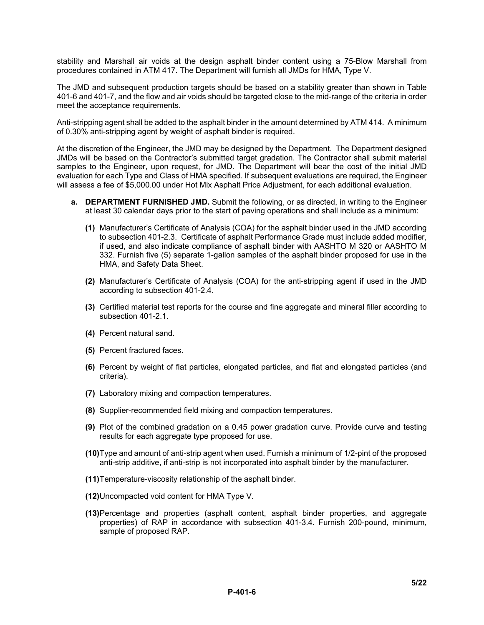stability and Marshall air voids at the design asphalt binder content using a 75-Blow Marshall from procedures contained in ATM 417. The Department will furnish all JMDs for HMA, Type V.

The JMD and subsequent production targets should be based on a stability greater than shown in Table 401-6 and 401-7, and the flow and air voids should be targeted close to the mid-range of the criteria in order meet the acceptance requirements.

Anti-stripping agent shall be added to the asphalt binder in the amount determined by ATM 414. A minimum of 0.30% anti-stripping agent by weight of asphalt binder is required.

At the discretion of the Engineer, the JMD may be designed by the Department. The Department designed JMDs will be based on the Contractor's submitted target gradation. The Contractor shall submit material samples to the Engineer, upon request, for JMD. The Department will bear the cost of the initial JMD evaluation for each Type and Class of HMA specified. If subsequent evaluations are required, the Engineer will assess a fee of \$5,000.00 under Hot Mix Asphalt Price Adjustment, for each additional evaluation.

- **a. DEPARTMENT FURNISHED JMD.** Submit the following, or as directed, in writing to the Engineer at least 30 calendar days prior to the start of paving operations and shall include as a minimum:
	- **(1)** Manufacturer's Certificate of Analysis (COA) for the asphalt binder used in the JMD according to subsection 401-2.3. Certificate of asphalt Performance Grade must include added modifier, if used, and also indicate compliance of asphalt binder with AASHTO M 320 or AASHTO M 332. Furnish five (5) separate 1-gallon samples of the asphalt binder proposed for use in the HMA, and Safety Data Sheet.
	- **(2)** Manufacturer's Certificate of Analysis (COA) for the anti-stripping agent if used in the JMD according to subsection 401-2.4.
	- **(3)** Certified material test reports for the course and fine aggregate and mineral filler according to subsection 401-2.1.
	- **(4)** Percent natural sand.
	- **(5)** Percent fractured faces.
	- **(6)** Percent by weight of flat particles, elongated particles, and flat and elongated particles (and criteria).
	- **(7)** Laboratory mixing and compaction temperatures.
	- **(8)** Supplier-recommended field mixing and compaction temperatures.
	- **(9)** Plot of the combined gradation on a 0.45 power gradation curve. Provide curve and testing results for each aggregate type proposed for use.
	- **(10)**Type and amount of anti-strip agent when used. Furnish a minimum of 1/2-pint of the proposed anti-strip additive, if anti-strip is not incorporated into asphalt binder by the manufacturer.
	- **(11)**Temperature-viscosity relationship of the asphalt binder.
	- **(12)**Uncompacted void content for HMA Type V.
	- **(13)**Percentage and properties (asphalt content, asphalt binder properties, and aggregate properties) of RAP in accordance with subsection 401-3.4. Furnish 200-pound, minimum, sample of proposed RAP.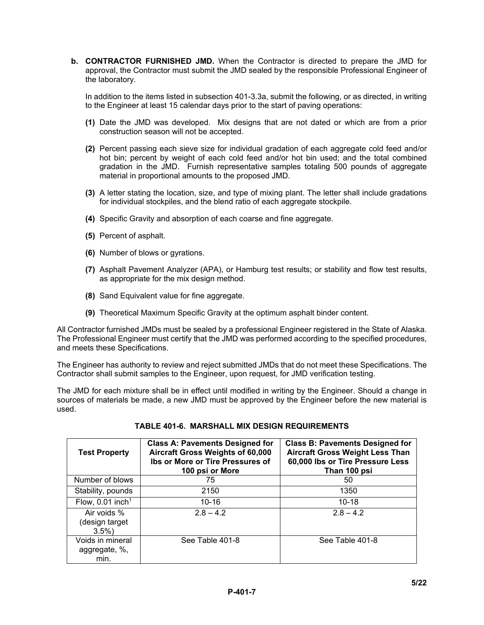**b. CONTRACTOR FURNISHED JMD.** When the Contractor is directed to prepare the JMD for approval, the Contractor must submit the JMD sealed by the responsible Professional Engineer of the laboratory.

In addition to the items listed in subsection 401-3.3a, submit the following, or as directed, in writing to the Engineer at least 15 calendar days prior to the start of paving operations:

- **(1)** Date the JMD was developed. Mix designs that are not dated or which are from a prior construction season will not be accepted.
- **(2)** Percent passing each sieve size for individual gradation of each aggregate cold feed and/or hot bin; percent by weight of each cold feed and/or hot bin used; and the total combined gradation in the JMD. Furnish representative samples totaling 500 pounds of aggregate material in proportional amounts to the proposed JMD.
- **(3)** A letter stating the location, size, and type of mixing plant. The letter shall include gradations for individual stockpiles, and the blend ratio of each aggregate stockpile.
- **(4)** Specific Gravity and absorption of each coarse and fine aggregate.
- **(5)** Percent of asphalt.
- **(6)** Number of blows or gyrations.
- **(7)** Asphalt Pavement Analyzer (APA), or Hamburg test results; or stability and flow test results, as appropriate for the mix design method.
- **(8)** Sand Equivalent value for fine aggregate.
- **(9)** Theoretical Maximum Specific Gravity at the optimum asphalt binder content.

All Contractor furnished JMDs must be sealed by a professional Engineer registered in the State of Alaska. The Professional Engineer must certify that the JMD was performed according to the specified procedures, and meets these Specifications.

The Engineer has authority to review and reject submitted JMDs that do not meet these Specifications. The Contractor shall submit samples to the Engineer, upon request, for JMD verification testing.

The JMD for each mixture shall be in effect until modified in writing by the Engineer. Should a change in sources of materials be made, a new JMD must be approved by the Engineer before the new material is used.

| <b>Test Property</b>                      | <b>Class A: Pavements Designed for</b><br>Aircraft Gross Weights of 60,000<br>Ibs or More or Tire Pressures of<br>100 psi or More | <b>Class B: Pavements Designed for</b><br><b>Aircraft Gross Weight Less Than</b><br>60,000 lbs or Tire Pressure Less<br>Than 100 psi |
|-------------------------------------------|-----------------------------------------------------------------------------------------------------------------------------------|--------------------------------------------------------------------------------------------------------------------------------------|
| Number of blows                           | 75                                                                                                                                | 50                                                                                                                                   |
| Stability, pounds                         | 2150                                                                                                                              | 1350                                                                                                                                 |
| Flow, $0.01$ inch <sup>1</sup>            | $10 - 16$                                                                                                                         | $10 - 18$                                                                                                                            |
| Air voids %<br>(design target<br>$3.5\%$  | $2.8 - 4.2$                                                                                                                       | $2.8 - 4.2$                                                                                                                          |
| Voids in mineral<br>aggregate, %,<br>min. | See Table 401-8                                                                                                                   | See Table 401-8                                                                                                                      |

#### **TABLE 401-6. MARSHALL MIX DESIGN REQUIREMENTS**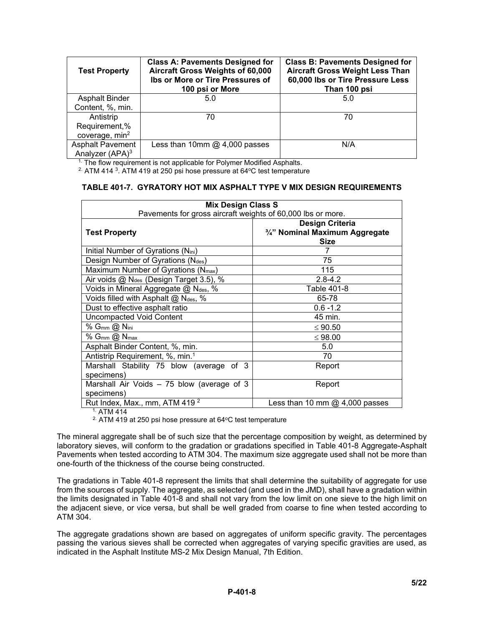| <b>Test Property</b>        | <b>Class A: Pavements Designed for</b><br>Aircraft Gross Weights of 60,000<br>Ibs or More or Tire Pressures of<br>100 psi or More | <b>Class B: Pavements Designed for</b><br><b>Aircraft Gross Weight Less Than</b><br>60,000 lbs or Tire Pressure Less<br>Than 100 psi |
|-----------------------------|-----------------------------------------------------------------------------------------------------------------------------------|--------------------------------------------------------------------------------------------------------------------------------------|
| <b>Asphalt Binder</b>       | 5.0                                                                                                                               | 5.0                                                                                                                                  |
| Content, %, min.            |                                                                                                                                   |                                                                                                                                      |
| Antistrip                   | 70                                                                                                                                | 70                                                                                                                                   |
| Requirement,%               |                                                                                                                                   |                                                                                                                                      |
| coverage, min <sup>2</sup>  |                                                                                                                                   |                                                                                                                                      |
| <b>Asphalt Pavement</b>     | Less than 10mm $@$ 4,000 passes                                                                                                   | N/A                                                                                                                                  |
| Analyzer (APA) <sup>3</sup> |                                                                                                                                   |                                                                                                                                      |

<sup>1.</sup> The flow requirement is not applicable for Polymer Modified Asphalts.

 $2.$  ATM 414  $3.$  ATM 419 at 250 psi hose pressure at 64 $\degree$ C test temperature

#### **TABLE 401-7. GYRATORY HOT MIX ASPHALT TYPE V MIX DESIGN REQUIREMENTS**

| <b>Mix Design Class S</b>                                   |                                                                         |
|-------------------------------------------------------------|-------------------------------------------------------------------------|
| Pavements for gross aircraft weights of 60,000 lbs or more. |                                                                         |
| <b>Test Property</b>                                        | <b>Design Criteria</b><br>3/4" Nominal Maximum Aggregate<br><b>Size</b> |
| Initial Number of Gyrations (N <sub>ini</sub> )             | 7                                                                       |
| Design Number of Gyrations (Ndes)                           | 75                                                                      |
| Maximum Number of Gyrations $(N_{max})$                     | 115                                                                     |
| Air voids @ N <sub>des</sub> (Design Target 3.5), %         | $2.8 - 4.2$                                                             |
| Voids in Mineral Aggregate @ Ndes, %                        | Table 401-8                                                             |
| Voids filled with Asphalt @ Ndes, %                         | 65-78                                                                   |
| Dust to effective asphalt ratio                             | $0.6 - 1.2$                                                             |
| <b>Uncompacted Void Content</b>                             | 45 min.                                                                 |
| % $G_{mm}$ @ $N_{ini}$                                      | $\leq 90.50$                                                            |
| % $G_{mm}$ $\omega$ $N_{max}$                               | ≤ 98.00                                                                 |
| Asphalt Binder Content, %, min.                             | 5.0                                                                     |
| Antistrip Requirement, %, min. <sup>1</sup>                 | 70                                                                      |
| Marshall Stability 75 blow (average of 3                    | Report                                                                  |
| specimens)                                                  |                                                                         |
| Marshall Air Voids - 75 blow (average of 3                  | Report                                                                  |
| specimens)                                                  |                                                                         |
| Rut Index, Max., mm, ATM 419 <sup>2</sup>                   | Less than 10 mm $@$ 4,000 passes                                        |

 $1.$  ATM 414

 $2.$  ATM 419 at 250 psi hose pressure at 64 $\mathrm{^oC}$  test temperature

The mineral aggregate shall be of such size that the percentage composition by weight, as determined by laboratory sieves, will conform to the gradation or gradations specified in Table 401-8 Aggregate-Asphalt Pavements when tested according to ATM 304. The maximum size aggregate used shall not be more than one-fourth of the thickness of the course being constructed.

The gradations in Table 401-8 represent the limits that shall determine the suitability of aggregate for use from the sources of supply. The aggregate, as selected (and used in the JMD), shall have a gradation within the limits designated in Table 401-8 and shall not vary from the low limit on one sieve to the high limit on the adjacent sieve, or vice versa, but shall be well graded from coarse to fine when tested according to ATM 304.

The aggregate gradations shown are based on aggregates of uniform specific gravity. The percentages passing the various sieves shall be corrected when aggregates of varying specific gravities are used, as indicated in the Asphalt Institute MS-2 Mix Design Manual, 7th Edition.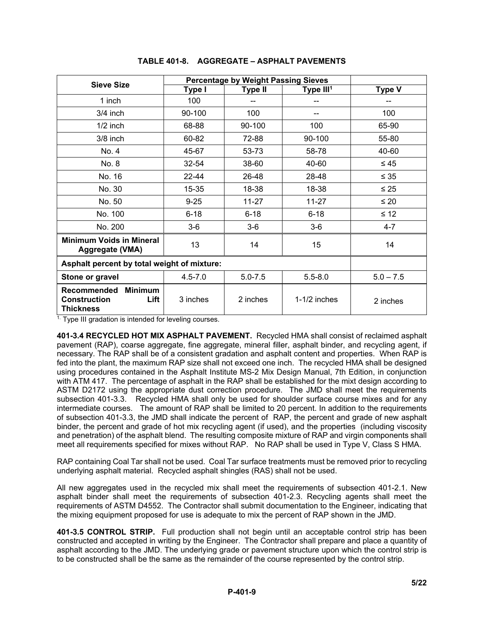|                                                                                  | <b>Percentage by Weight Passing Sieves</b> |                |                |               |
|----------------------------------------------------------------------------------|--------------------------------------------|----------------|----------------|---------------|
| Sieve Size                                                                       | Type I                                     | <b>Type II</b> | Type $III1$    | <b>Type V</b> |
| 1 inch                                                                           | 100                                        |                |                |               |
| $3/4$ inch                                                                       | 90-100                                     | 100            |                | 100           |
| $1/2$ inch                                                                       | 68-88                                      | 90-100         | 100            | 65-90         |
| $3/8$ inch                                                                       | 60-82                                      | 72-88          | 90-100         | 55-80         |
| No. 4                                                                            | 45-67                                      | 53-73          | 58-78          | 40-60         |
| No. 8                                                                            | 32-54                                      | 38-60          | 40-60          | $\leq 45$     |
| No. 16                                                                           | 22-44                                      | 26-48          | 28-48          | $\leq 35$     |
| No. 30                                                                           | 15-35                                      | 18-38          | 18-38          | $\leq 25$     |
| No. 50                                                                           | $9 - 25$                                   | 11-27          | $11 - 27$      | $\leq 20$     |
| No. 100                                                                          | $6 - 18$                                   | $6 - 18$       | $6 - 18$       | $\leq 12$     |
| No. 200                                                                          | $3-6$                                      | $3-6$          | $3-6$          | $4 - 7$       |
| <b>Minimum Voids in Mineral</b><br>Aggregate (VMA)                               | 13                                         | 14             | 15             | 14            |
| Asphalt percent by total weight of mixture:                                      |                                            |                |                |               |
| Stone or gravel                                                                  | $4.5 - 7.0$                                | $5.0 - 7.5$    | $5.5 - 8.0$    | $5.0 - 7.5$   |
| Recommended<br><b>Minimum</b><br><b>Construction</b><br>Lift<br><b>Thickness</b> | 3 inches                                   | 2 inches       | $1-1/2$ inches | 2 inches      |

# **TABLE 401-8. AGGREGATE – ASPHALT PAVEMENTS**

 $1.$  Type III gradation is intended for leveling courses.

**401-3.4 RECYCLED HOT MIX ASPHALT PAVEMENT.** Recycled HMA shall consist of reclaimed asphalt pavement (RAP), coarse aggregate, fine aggregate, mineral filler, asphalt binder, and recycling agent, if necessary. The RAP shall be of a consistent gradation and asphalt content and properties. When RAP is fed into the plant, the maximum RAP size shall not exceed one inch. The recycled HMA shall be designed using procedures contained in the Asphalt Institute MS-2 Mix Design Manual, 7th Edition, in conjunction with ATM 417. The percentage of asphalt in the RAP shall be established for the mixt design according to ASTM D2172 using the appropriate dust correction procedure. The JMD shall meet the requirements subsection 401-3.3. Recycled HMA shall only be used for shoulder surface course mixes and for any intermediate courses. The amount of RAP shall be limited to 20 percent. In addition to the requirements of subsection 401-3.3, the JMD shall indicate the percent of RAP, the percent and grade of new asphalt binder, the percent and grade of hot mix recycling agent (if used), and the properties (including viscosity and penetration) of the asphalt blend. The resulting composite mixture of RAP and virgin components shall meet all requirements specified for mixes without RAP. No RAP shall be used in Type V, Class S HMA.

RAP containing Coal Tar shall not be used. Coal Tar surface treatments must be removed prior to recycling underlying asphalt material. Recycled asphalt shingles (RAS) shall not be used.

All new aggregates used in the recycled mix shall meet the requirements of subsection 401-2.1. New asphalt binder shall meet the requirements of subsection 401-2.3. Recycling agents shall meet the requirements of ASTM D4552. The Contractor shall submit documentation to the Engineer, indicating that the mixing equipment proposed for use is adequate to mix the percent of RAP shown in the JMD.

**401-3.5 CONTROL STRIP.** Full production shall not begin until an acceptable control strip has been constructed and accepted in writing by the Engineer. The Contractor shall prepare and place a quantity of asphalt according to the JMD. The underlying grade or pavement structure upon which the control strip is to be constructed shall be the same as the remainder of the course represented by the control strip.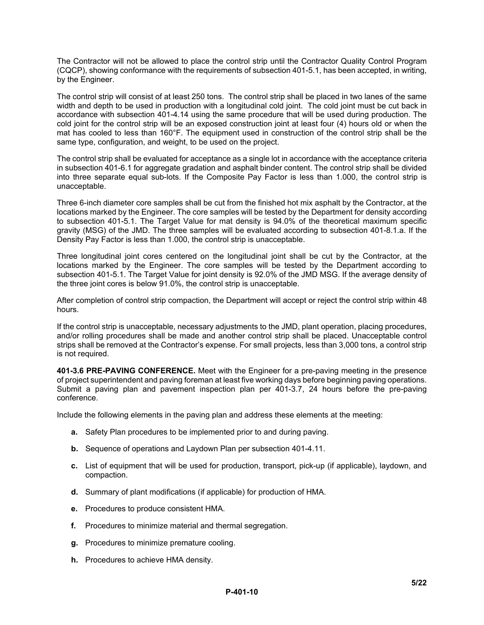The Contractor will not be allowed to place the control strip until the Contractor Quality Control Program (CQCP), showing conformance with the requirements of subsection 401-5.1, has been accepted, in writing, by the Engineer.

The control strip will consist of at least 250 tons. The control strip shall be placed in two lanes of the same width and depth to be used in production with a longitudinal cold joint. The cold joint must be cut back in accordance with subsection 401-4.14 using the same procedure that will be used during production. The cold joint for the control strip will be an exposed construction joint at least four (4) hours old or when the mat has cooled to less than 160°F. The equipment used in construction of the control strip shall be the same type, configuration, and weight, to be used on the project.

The control strip shall be evaluated for acceptance as a single lot in accordance with the acceptance criteria in subsection 401-6.1 for aggregate gradation and asphalt binder content. The control strip shall be divided into three separate equal sub-lots. If the Composite Pay Factor is less than 1.000, the control strip is unacceptable.

Three 6-inch diameter core samples shall be cut from the finished hot mix asphalt by the Contractor, at the locations marked by the Engineer. The core samples will be tested by the Department for density according to subsection 401-5.1. The Target Value for mat density is 94.0% of the theoretical maximum specific gravity (MSG) of the JMD. The three samples will be evaluated according to subsection 401-8.1.a. If the Density Pay Factor is less than 1.000, the control strip is unacceptable.

Three longitudinal joint cores centered on the longitudinal joint shall be cut by the Contractor, at the locations marked by the Engineer. The core samples will be tested by the Department according to subsection 401-5.1. The Target Value for joint density is 92.0% of the JMD MSG. If the average density of the three joint cores is below 91.0%, the control strip is unacceptable.

After completion of control strip compaction, the Department will accept or reject the control strip within 48 hours.

If the control strip is unacceptable, necessary adjustments to the JMD, plant operation, placing procedures, and/or rolling procedures shall be made and another control strip shall be placed. Unacceptable control strips shall be removed at the Contractor's expense. For small projects, less than 3,000 tons, a control strip is not required.

**401-3.6 PRE-PAVING CONFERENCE.** Meet with the Engineer for a pre-paving meeting in the presence of project superintendent and paving foreman at least five working days before beginning paving operations. Submit a paving plan and pavement inspection plan per 401-3.7, 24 hours before the pre-paving conference.

Include the following elements in the paving plan and address these elements at the meeting:

- **a.** Safety Plan procedures to be implemented prior to and during paving.
- **b.** Sequence of operations and Laydown Plan per subsection 401-4.11.
- **c.** List of equipment that will be used for production, transport, pick-up (if applicable), laydown, and compaction.
- **d.** Summary of plant modifications (if applicable) for production of HMA.
- **e.** Procedures to produce consistent HMA.
- **f.** Procedures to minimize material and thermal segregation.
- **g.** Procedures to minimize premature cooling.
- **h.** Procedures to achieve HMA density.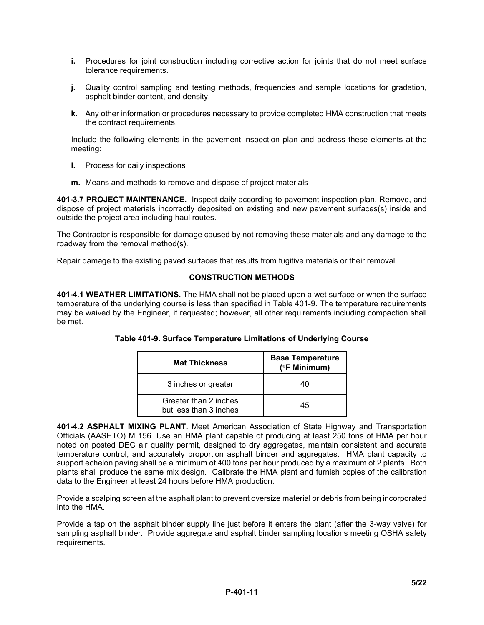- **i.** Procedures for joint construction including corrective action for joints that do not meet surface tolerance requirements.
- **j.** Quality control sampling and testing methods, frequencies and sample locations for gradation, asphalt binder content, and density.
- **k.** Any other information or procedures necessary to provide completed HMA construction that meets the contract requirements.

Include the following elements in the pavement inspection plan and address these elements at the meeting:

- **l.** Process for daily inspections
- **m.** Means and methods to remove and dispose of project materials

**401-3.7 PROJECT MAINTENANCE.** Inspect daily according to pavement inspection plan. Remove, and dispose of project materials incorrectly deposited on existing and new pavement surfaces(s) inside and outside the project area including haul routes.

The Contractor is responsible for damage caused by not removing these materials and any damage to the roadway from the removal method(s).

Repair damage to the existing paved surfaces that results from fugitive materials or their removal.

# **CONSTRUCTION METHODS**

**401-4.1 WEATHER LIMITATIONS.** The HMA shall not be placed upon a wet surface or when the surface temperature of the underlying course is less than specified in Table 401-9. The temperature requirements may be waived by the Engineer, if requested; however, all other requirements including compaction shall be met.

| <b>Mat Thickness</b>                            | <b>Base Temperature</b><br>(°F Minimum) |
|-------------------------------------------------|-----------------------------------------|
| 3 inches or greater                             | 40                                      |
| Greater than 2 inches<br>but less than 3 inches | 45                                      |

**Table 401-9. Surface Temperature Limitations of Underlying Course**

**401-4.2 ASPHALT MIXING PLANT.** Meet American Association of State Highway and Transportation Officials (AASHTO) M 156. Use an HMA plant capable of producing at least 250 tons of HMA per hour noted on posted DEC air quality permit, designed to dry aggregates, maintain consistent and accurate temperature control, and accurately proportion asphalt binder and aggregates. HMA plant capacity to support echelon paving shall be a minimum of 400 tons per hour produced by a maximum of 2 plants. Both plants shall produce the same mix design. Calibrate the HMA plant and furnish copies of the calibration data to the Engineer at least 24 hours before HMA production.

Provide a scalping screen at the asphalt plant to prevent oversize material or debris from being incorporated into the HMA.

Provide a tap on the asphalt binder supply line just before it enters the plant (after the 3-way valve) for sampling asphalt binder. Provide aggregate and asphalt binder sampling locations meeting OSHA safety requirements.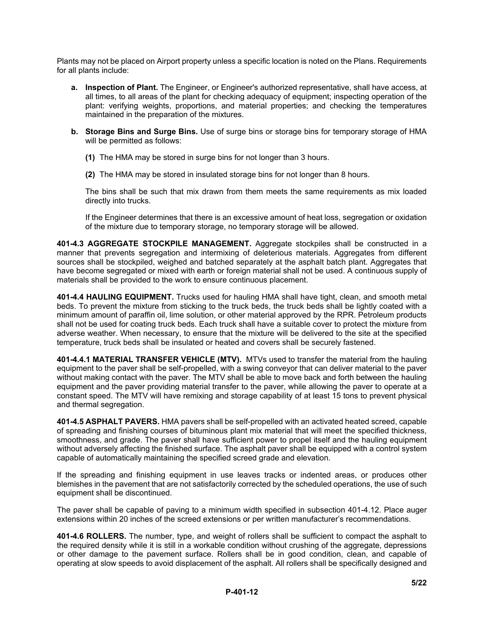Plants may not be placed on Airport property unless a specific location is noted on the Plans. Requirements for all plants include:

- **a. Inspection of Plant.** The Engineer, or Engineer's authorized representative, shall have access, at all times, to all areas of the plant for checking adequacy of equipment; inspecting operation of the plant: verifying weights, proportions, and material properties; and checking the temperatures maintained in the preparation of the mixtures.
- **b. Storage Bins and Surge Bins.** Use of surge bins or storage bins for temporary storage of HMA will be permitted as follows:
	- **(1)** The HMA may be stored in surge bins for not longer than 3 hours.
	- **(2)** The HMA may be stored in insulated storage bins for not longer than 8 hours.

The bins shall be such that mix drawn from them meets the same requirements as mix loaded directly into trucks.

If the Engineer determines that there is an excessive amount of heat loss, segregation or oxidation of the mixture due to temporary storage, no temporary storage will be allowed.

**401-4.3 AGGREGATE STOCKPILE MANAGEMENT.** Aggregate stockpiles shall be constructed in a manner that prevents segregation and intermixing of deleterious materials. Aggregates from different sources shall be stockpiled, weighed and batched separately at the asphalt batch plant. Aggregates that have become segregated or mixed with earth or foreign material shall not be used. A continuous supply of materials shall be provided to the work to ensure continuous placement.

**401-4.4 HAULING EQUIPMENT.** Trucks used for hauling HMA shall have tight, clean, and smooth metal beds. To prevent the mixture from sticking to the truck beds, the truck beds shall be lightly coated with a minimum amount of paraffin oil, lime solution, or other material approved by the RPR. Petroleum products shall not be used for coating truck beds. Each truck shall have a suitable cover to protect the mixture from adverse weather. When necessary, to ensure that the mixture will be delivered to the site at the specified temperature, truck beds shall be insulated or heated and covers shall be securely fastened.

**401-4.4.1 MATERIAL TRANSFER VEHICLE (MTV).** MTVs used to transfer the material from the hauling equipment to the paver shall be self-propelled, with a swing conveyor that can deliver material to the paver without making contact with the paver. The MTV shall be able to move back and forth between the hauling equipment and the paver providing material transfer to the paver, while allowing the paver to operate at a constant speed. The MTV will have remixing and storage capability of at least 15 tons to prevent physical and thermal segregation.

**401-4.5 ASPHALT PAVERS.** HMA pavers shall be self-propelled with an activated heated screed, capable of spreading and finishing courses of bituminous plant mix material that will meet the specified thickness, smoothness, and grade. The paver shall have sufficient power to propel itself and the hauling equipment without adversely affecting the finished surface. The asphalt paver shall be equipped with a control system capable of automatically maintaining the specified screed grade and elevation.

If the spreading and finishing equipment in use leaves tracks or indented areas, or produces other blemishes in the pavement that are not satisfactorily corrected by the scheduled operations, the use of such equipment shall be discontinued.

The paver shall be capable of paving to a minimum width specified in subsection 401-4.12. Place auger extensions within 20 inches of the screed extensions or per written manufacturer's recommendations.

**401-4.6 ROLLERS.** The number, type, and weight of rollers shall be sufficient to compact the asphalt to the required density while it is still in a workable condition without crushing of the aggregate, depressions or other damage to the pavement surface. Rollers shall be in good condition, clean, and capable of operating at slow speeds to avoid displacement of the asphalt. All rollers shall be specifically designed and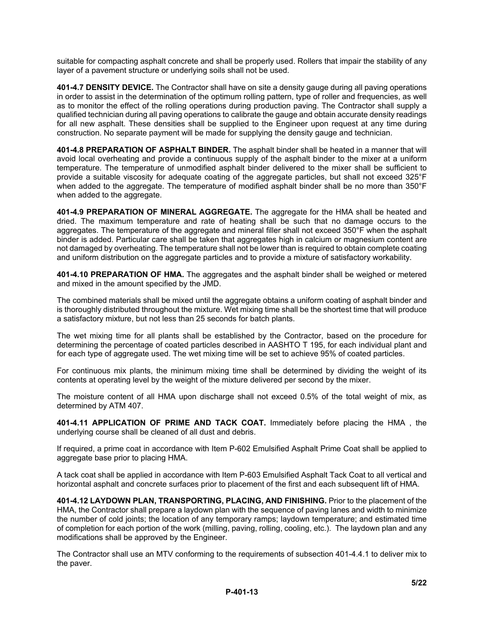suitable for compacting asphalt concrete and shall be properly used. Rollers that impair the stability of any layer of a pavement structure or underlying soils shall not be used.

**401-4.7 DENSITY DEVICE.** The Contractor shall have on site a density gauge during all paving operations in order to assist in the determination of the optimum rolling pattern, type of roller and frequencies, as well as to monitor the effect of the rolling operations during production paving. The Contractor shall supply a qualified technician during all paving operations to calibrate the gauge and obtain accurate density readings for all new asphalt. These densities shall be supplied to the Engineer upon request at any time during construction. No separate payment will be made for supplying the density gauge and technician.

**401-4.8 PREPARATION OF ASPHALT BINDER.** The asphalt binder shall be heated in a manner that will avoid local overheating and provide a continuous supply of the asphalt binder to the mixer at a uniform temperature. The temperature of unmodified asphalt binder delivered to the mixer shall be sufficient to provide a suitable viscosity for adequate coating of the aggregate particles, but shall not exceed 325°F when added to the aggregate. The temperature of modified asphalt binder shall be no more than 350°F when added to the aggregate.

**401-4.9 PREPARATION OF MINERAL AGGREGATE.** The aggregate for the HMA shall be heated and dried. The maximum temperature and rate of heating shall be such that no damage occurs to the aggregates. The temperature of the aggregate and mineral filler shall not exceed 350°F when the asphalt binder is added. Particular care shall be taken that aggregates high in calcium or magnesium content are not damaged by overheating. The temperature shall not be lower than is required to obtain complete coating and uniform distribution on the aggregate particles and to provide a mixture of satisfactory workability.

**401-4.10 PREPARATION OF HMA.** The aggregates and the asphalt binder shall be weighed or metered and mixed in the amount specified by the JMD.

The combined materials shall be mixed until the aggregate obtains a uniform coating of asphalt binder and is thoroughly distributed throughout the mixture. Wet mixing time shall be the shortest time that will produce a satisfactory mixture, but not less than 25 seconds for batch plants.

The wet mixing time for all plants shall be established by the Contractor, based on the procedure for determining the percentage of coated particles described in AASHTO T 195, for each individual plant and for each type of aggregate used. The wet mixing time will be set to achieve 95% of coated particles.

For continuous mix plants, the minimum mixing time shall be determined by dividing the weight of its contents at operating level by the weight of the mixture delivered per second by the mixer.

The moisture content of all HMA upon discharge shall not exceed 0.5% of the total weight of mix, as determined by ATM 407.

**401-4.11 APPLICATION OF PRIME AND TACK COAT.** Immediately before placing the HMA , the underlying course shall be cleaned of all dust and debris.

If required, a prime coat in accordance with Item P-602 Emulsified Asphalt Prime Coat shall be applied to aggregate base prior to placing HMA.

A tack coat shall be applied in accordance with Item P-603 Emulsified Asphalt Tack Coat to all vertical and horizontal asphalt and concrete surfaces prior to placement of the first and each subsequent lift of HMA.

**401-4.12 LAYDOWN PLAN, TRANSPORTING, PLACING, AND FINISHING.** Prior to the placement of the HMA, the Contractor shall prepare a laydown plan with the sequence of paving lanes and width to minimize the number of cold joints; the location of any temporary ramps; laydown temperature; and estimated time of completion for each portion of the work (milling, paving, rolling, cooling, etc.). The laydown plan and any modifications shall be approved by the Engineer.

The Contractor shall use an MTV conforming to the requirements of subsection 401-4.4.1 to deliver mix to the paver.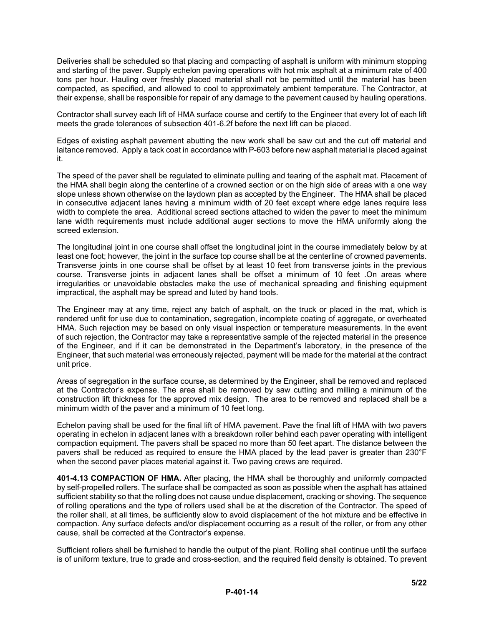Deliveries shall be scheduled so that placing and compacting of asphalt is uniform with minimum stopping and starting of the paver. Supply echelon paving operations with hot mix asphalt at a minimum rate of 400 tons per hour. Hauling over freshly placed material shall not be permitted until the material has been compacted, as specified, and allowed to cool to approximately ambient temperature. The Contractor, at their expense, shall be responsible for repair of any damage to the pavement caused by hauling operations.

Contractor shall survey each lift of HMA surface course and certify to the Engineer that every lot of each lift meets the grade tolerances of subsection 401-6.2f before the next lift can be placed.

Edges of existing asphalt pavement abutting the new work shall be saw cut and the cut off material and laitance removed. Apply a tack coat in accordance with P-603 before new asphalt material is placed against it.

The speed of the paver shall be regulated to eliminate pulling and tearing of the asphalt mat. Placement of the HMA shall begin along the centerline of a crowned section or on the high side of areas with a one way slope unless shown otherwise on the laydown plan as accepted by the Engineer. The HMA shall be placed in consecutive adjacent lanes having a minimum width of 20 feet except where edge lanes require less width to complete the area. Additional screed sections attached to widen the paver to meet the minimum lane width requirements must include additional auger sections to move the HMA uniformly along the screed extension.

The longitudinal joint in one course shall offset the longitudinal joint in the course immediately below by at least one foot; however, the joint in the surface top course shall be at the centerline of crowned pavements. Transverse joints in one course shall be offset by at least 10 feet from transverse joints in the previous course. Transverse joints in adjacent lanes shall be offset a minimum of 10 feet .On areas where irregularities or unavoidable obstacles make the use of mechanical spreading and finishing equipment impractical, the asphalt may be spread and luted by hand tools.

The Engineer may at any time, reject any batch of asphalt, on the truck or placed in the mat, which is rendered unfit for use due to contamination, segregation, incomplete coating of aggregate, or overheated HMA. Such rejection may be based on only visual inspection or temperature measurements. In the event of such rejection, the Contractor may take a representative sample of the rejected material in the presence of the Engineer, and if it can be demonstrated in the Department's laboratory, in the presence of the Engineer, that such material was erroneously rejected, payment will be made for the material at the contract unit price.

Areas of segregation in the surface course, as determined by the Engineer, shall be removed and replaced at the Contractor's expense. The area shall be removed by saw cutting and milling a minimum of the construction lift thickness for the approved mix design. The area to be removed and replaced shall be a minimum width of the paver and a minimum of 10 feet long.

Echelon paving shall be used for the final lift of HMA pavement. Pave the final lift of HMA with two pavers operating in echelon in adjacent lanes with a breakdown roller behind each paver operating with intelligent compaction equipment. The pavers shall be spaced no more than 50 feet apart. The distance between the pavers shall be reduced as required to ensure the HMA placed by the lead paver is greater than 230°F when the second paver places material against it. Two paving crews are required.

**401-4.13 COMPACTION OF HMA.** After placing, the HMA shall be thoroughly and uniformly compacted by self-propelled rollers. The surface shall be compacted as soon as possible when the asphalt has attained sufficient stability so that the rolling does not cause undue displacement, cracking or shoving. The sequence of rolling operations and the type of rollers used shall be at the discretion of the Contractor. The speed of the roller shall, at all times, be sufficiently slow to avoid displacement of the hot mixture and be effective in compaction. Any surface defects and/or displacement occurring as a result of the roller, or from any other cause, shall be corrected at the Contractor's expense.

Sufficient rollers shall be furnished to handle the output of the plant. Rolling shall continue until the surface is of uniform texture, true to grade and cross-section, and the required field density is obtained. To prevent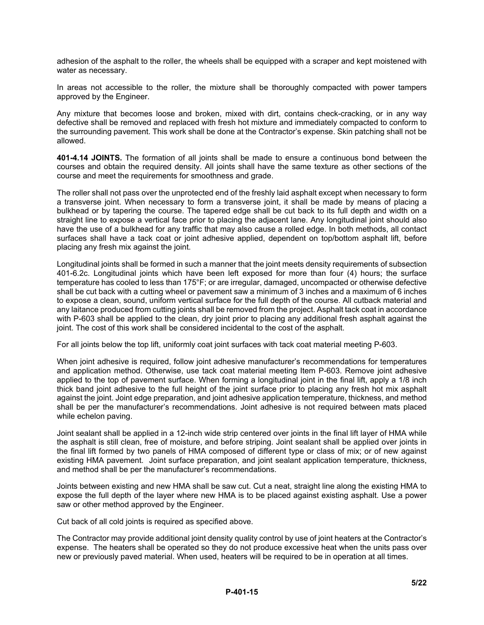adhesion of the asphalt to the roller, the wheels shall be equipped with a scraper and kept moistened with water as necessary.

In areas not accessible to the roller, the mixture shall be thoroughly compacted with power tampers approved by the Engineer.

Any mixture that becomes loose and broken, mixed with dirt, contains check-cracking, or in any way defective shall be removed and replaced with fresh hot mixture and immediately compacted to conform to the surrounding pavement. This work shall be done at the Contractor's expense. Skin patching shall not be allowed.

**401-4.14 JOINTS.** The formation of all joints shall be made to ensure a continuous bond between the courses and obtain the required density. All joints shall have the same texture as other sections of the course and meet the requirements for smoothness and grade.

The roller shall not pass over the unprotected end of the freshly laid asphalt except when necessary to form a transverse joint. When necessary to form a transverse joint, it shall be made by means of placing a bulkhead or by tapering the course. The tapered edge shall be cut back to its full depth and width on a straight line to expose a vertical face prior to placing the adjacent lane. Any longitudinal joint should also have the use of a bulkhead for any traffic that may also cause a rolled edge. In both methods, all contact surfaces shall have a tack coat or joint adhesive applied, dependent on top/bottom asphalt lift, before placing any fresh mix against the joint.

Longitudinal joints shall be formed in such a manner that the joint meets density requirements of subsection 401-6.2c. Longitudinal joints which have been left exposed for more than four (4) hours; the surface temperature has cooled to less than 175°F; or are irregular, damaged, uncompacted or otherwise defective shall be cut back with a cutting wheel or pavement saw a minimum of 3 inches and a maximum of 6 inches to expose a clean, sound, uniform vertical surface for the full depth of the course. All cutback material and any laitance produced from cutting joints shall be removed from the project. Asphalt tack coat in accordance with P-603 shall be applied to the clean, dry joint prior to placing any additional fresh asphalt against the joint. The cost of this work shall be considered incidental to the cost of the asphalt.

For all joints below the top lift, uniformly coat joint surfaces with tack coat material meeting P-603.

When joint adhesive is required, follow joint adhesive manufacturer's recommendations for temperatures and application method. Otherwise, use tack coat material meeting Item P-603. Remove joint adhesive applied to the top of pavement surface. When forming a longitudinal joint in the final lift, apply a 1/8 inch thick band joint adhesive to the full height of the joint surface prior to placing any fresh hot mix asphalt against the joint. Joint edge preparation, and joint adhesive application temperature, thickness, and method shall be per the manufacturer's recommendations. Joint adhesive is not required between mats placed while echelon paving.

Joint sealant shall be applied in a 12-inch wide strip centered over joints in the final lift layer of HMA while the asphalt is still clean, free of moisture, and before striping. Joint sealant shall be applied over joints in the final lift formed by two panels of HMA composed of different type or class of mix; or of new against existing HMA pavement. Joint surface preparation, and joint sealant application temperature, thickness, and method shall be per the manufacturer's recommendations.

Joints between existing and new HMA shall be saw cut. Cut a neat, straight line along the existing HMA to expose the full depth of the layer where new HMA is to be placed against existing asphalt. Use a power saw or other method approved by the Engineer.

Cut back of all cold joints is required as specified above.

The Contractor may provide additional joint density quality control by use of joint heaters at the Contractor's expense. The heaters shall be operated so they do not produce excessive heat when the units pass over new or previously paved material. When used, heaters will be required to be in operation at all times.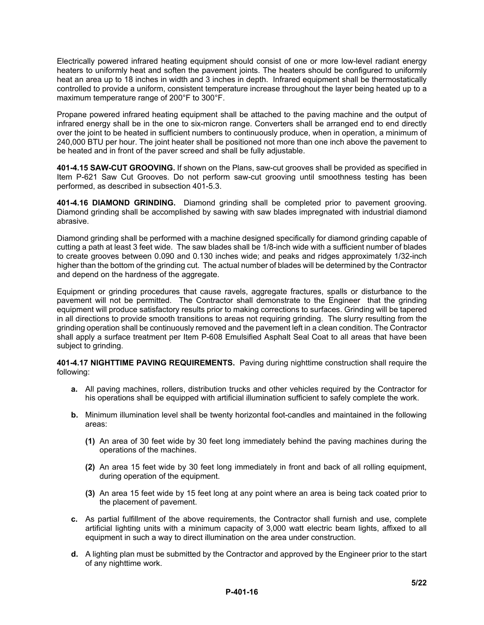Electrically powered infrared heating equipment should consist of one or more low-level radiant energy heaters to uniformly heat and soften the pavement joints. The heaters should be configured to uniformly heat an area up to 18 inches in width and 3 inches in depth. Infrared equipment shall be thermostatically controlled to provide a uniform, consistent temperature increase throughout the layer being heated up to a maximum temperature range of 200°F to 300°F.

Propane powered infrared heating equipment shall be attached to the paving machine and the output of infrared energy shall be in the one to six-micron range. Converters shall be arranged end to end directly over the joint to be heated in sufficient numbers to continuously produce, when in operation, a minimum of 240,000 BTU per hour. The joint heater shall be positioned not more than one inch above the pavement to be heated and in front of the paver screed and shall be fully adjustable.

**401-4.15 SAW-CUT GROOVING.** If shown on the Plans, saw-cut grooves shall be provided as specified in Item P-621 Saw Cut Grooves. Do not perform saw-cut grooving until smoothness testing has been performed, as described in subsection 401-5.3.

**401-4.16 DIAMOND GRINDING.** Diamond grinding shall be completed prior to pavement grooving. Diamond grinding shall be accomplished by sawing with saw blades impregnated with industrial diamond abrasive.

Diamond grinding shall be performed with a machine designed specifically for diamond grinding capable of cutting a path at least 3 feet wide. The saw blades shall be 1/8-inch wide with a sufficient number of blades to create grooves between 0.090 and 0.130 inches wide; and peaks and ridges approximately 1/32-inch higher than the bottom of the grinding cut. The actual number of blades will be determined by the Contractor and depend on the hardness of the aggregate.

Equipment or grinding procedures that cause ravels, aggregate fractures, spalls or disturbance to the pavement will not be permitted. The Contractor shall demonstrate to the Engineer that the grinding equipment will produce satisfactory results prior to making corrections to surfaces. Grinding will be tapered in all directions to provide smooth transitions to areas not requiring grinding. The slurry resulting from the grinding operation shall be continuously removed and the pavement left in a clean condition. The Contractor shall apply a surface treatment per Item P-608 Emulsified Asphalt Seal Coat to all areas that have been subject to grinding.

**401-4.17 NIGHTTIME PAVING REQUIREMENTS.** Paving during nighttime construction shall require the following:

- **a.** All paving machines, rollers, distribution trucks and other vehicles required by the Contractor for his operations shall be equipped with artificial illumination sufficient to safely complete the work.
- **b.** Minimum illumination level shall be twenty horizontal foot-candles and maintained in the following areas:
	- **(1)** An area of 30 feet wide by 30 feet long immediately behind the paving machines during the operations of the machines.
	- **(2)** An area 15 feet wide by 30 feet long immediately in front and back of all rolling equipment, during operation of the equipment.
	- **(3)** An area 15 feet wide by 15 feet long at any point where an area is being tack coated prior to the placement of pavement.
- **c.** As partial fulfillment of the above requirements, the Contractor shall furnish and use, complete artificial lighting units with a minimum capacity of 3,000 watt electric beam lights, affixed to all equipment in such a way to direct illumination on the area under construction.
- **d.** A lighting plan must be submitted by the Contractor and approved by the Engineer prior to the start of any nighttime work.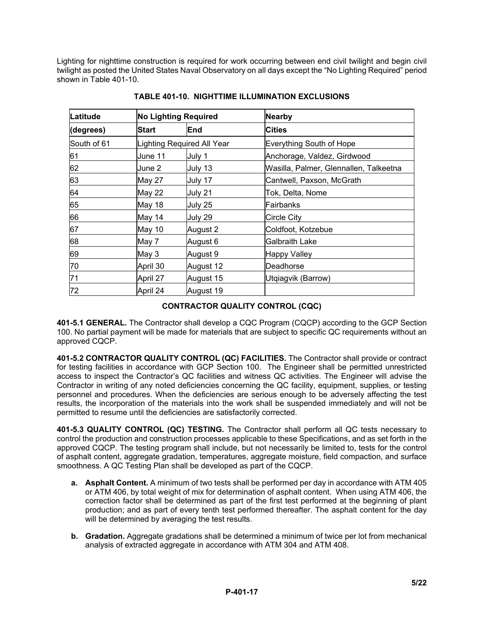Lighting for nighttime construction is required for work occurring between end civil twilight and begin civil twilight as posted the United States Naval Observatory on all days except the "No Lighting Required" period shown in Table 401-10.

| Latitude    |               | <b>No Lighting Required</b> | <b>Nearby</b>                          |
|-------------|---------------|-----------------------------|----------------------------------------|
| (degrees)   | <b>Start</b>  | End                         | Cities                                 |
| South of 61 |               | Lighting Required All Year  | Everything South of Hope               |
| 61          | June 11       | July 1                      | Anchorage, Valdez, Girdwood            |
| 62          | June 2        | July 13                     | Wasilla, Palmer, Glennallen, Talkeetna |
| 63          | May 27        | July 17                     | Cantwell, Paxson, McGrath              |
| 64          | <b>May 22</b> | July 21                     | Tok, Delta, Nome                       |
| 65          | May 18        | July 25                     | Fairbanks                              |
| 66          | May 14        | July 29                     | <b>Circle City</b>                     |
| 67          | May 10        | August 2                    | Coldfoot, Kotzebue                     |
| 68          | May 7         | August 6                    | <b>Galbraith Lake</b>                  |
| 69          | May 3         | August 9                    | <b>Happy Valley</b>                    |
| 70          | April 30      | August 12                   | Deadhorse                              |
| 71          | April 27      | August 15                   | Utqiagvik (Barrow)                     |
| 72          | April 24      | August 19                   |                                        |

**TABLE 401-10. NIGHTTIME ILLUMINATION EXCLUSIONS**

# **CONTRACTOR QUALITY CONTROL (CQC)**

**401-5.1 GENERAL.** The Contractor shall develop a CQC Program (CQCP) according to the GCP Section 100. No partial payment will be made for materials that are subject to specific QC requirements without an approved CQCP.

**401-5.2 CONTRACTOR QUALITY CONTROL (QC) FACILITIES.** The Contractor shall provide or contract for testing facilities in accordance with GCP Section 100. The Engineer shall be permitted unrestricted access to inspect the Contractor's QC facilities and witness QC activities. The Engineer will advise the Contractor in writing of any noted deficiencies concerning the QC facility, equipment, supplies, or testing personnel and procedures. When the deficiencies are serious enough to be adversely affecting the test results, the incorporation of the materials into the work shall be suspended immediately and will not be permitted to resume until the deficiencies are satisfactorily corrected.

**401-5.3 QUALITY CONTROL (QC) TESTING.** The Contractor shall perform all QC tests necessary to control the production and construction processes applicable to these Specifications, and as set forth in the approved CQCP. The testing program shall include, but not necessarily be limited to, tests for the control of asphalt content, aggregate gradation, temperatures, aggregate moisture, field compaction, and surface smoothness. A QC Testing Plan shall be developed as part of the CQCP.

- **a. Asphalt Content.** A minimum of two tests shall be performed per day in accordance with ATM 405 or ATM 406, by total weight of mix for determination of asphalt content. When using ATM 406, the correction factor shall be determined as part of the first test performed at the beginning of plant production; and as part of every tenth test performed thereafter. The asphalt content for the day will be determined by averaging the test results.
- **b. Gradation.** Aggregate gradations shall be determined a minimum of twice per lot from mechanical analysis of extracted aggregate in accordance with ATM 304 and ATM 408.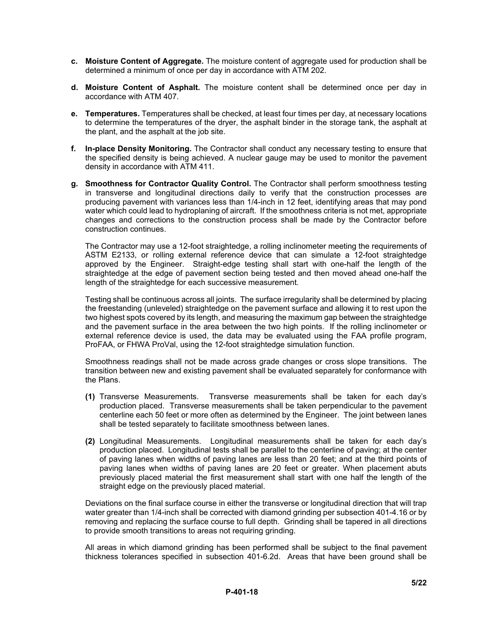- **c. Moisture Content of Aggregate.** The moisture content of aggregate used for production shall be determined a minimum of once per day in accordance with ATM 202.
- **d. Moisture Content of Asphalt.** The moisture content shall be determined once per day in accordance with ATM 407.
- **e. Temperatures.** Temperatures shall be checked, at least four times per day, at necessary locations to determine the temperatures of the dryer, the asphalt binder in the storage tank, the asphalt at the plant, and the asphalt at the job site.
- **f. In-place Density Monitoring.** The Contractor shall conduct any necessary testing to ensure that the specified density is being achieved. A nuclear gauge may be used to monitor the pavement density in accordance with ATM 411.
- **g. Smoothness for Contractor Quality Control.** The Contractor shall perform smoothness testing in transverse and longitudinal directions daily to verify that the construction processes are producing pavement with variances less than 1/4-inch in 12 feet, identifying areas that may pond water which could lead to hydroplaning of aircraft. If the smoothness criteria is not met, appropriate changes and corrections to the construction process shall be made by the Contractor before construction continues.

The Contractor may use a 12-foot straightedge, a rolling inclinometer meeting the requirements of ASTM E2133, or rolling external reference device that can simulate a 12-foot straightedge approved by the Engineer. Straight-edge testing shall start with one-half the length of the straightedge at the edge of pavement section being tested and then moved ahead one-half the length of the straightedge for each successive measurement.

Testing shall be continuous across all joints. The surface irregularity shall be determined by placing the freestanding (unleveled) straightedge on the pavement surface and allowing it to rest upon the two highest spots covered by its length, and measuring the maximum gap between the straightedge and the pavement surface in the area between the two high points. If the rolling inclinometer or external reference device is used, the data may be evaluated using the FAA profile program, ProFAA, or FHWA ProVal, using the 12-foot straightedge simulation function.

Smoothness readings shall not be made across grade changes or cross slope transitions. The transition between new and existing pavement shall be evaluated separately for conformance with the Plans.

- **(1)** Transverse Measurements. Transverse measurements shall be taken for each day's production placed. Transverse measurements shall be taken perpendicular to the pavement centerline each 50 feet or more often as determined by the Engineer. The joint between lanes shall be tested separately to facilitate smoothness between lanes.
- **(2)** Longitudinal Measurements. Longitudinal measurements shall be taken for each day's production placed. Longitudinal tests shall be parallel to the centerline of paving; at the center of paving lanes when widths of paving lanes are less than 20 feet; and at the third points of paving lanes when widths of paving lanes are 20 feet or greater. When placement abuts previously placed material the first measurement shall start with one half the length of the straight edge on the previously placed material.

Deviations on the final surface course in either the transverse or longitudinal direction that will trap water greater than 1/4-inch shall be corrected with diamond grinding per subsection 401-4.16 or by removing and replacing the surface course to full depth. Grinding shall be tapered in all directions to provide smooth transitions to areas not requiring grinding.

All areas in which diamond grinding has been performed shall be subject to the final pavement thickness tolerances specified in subsection 401-6.2d. Areas that have been ground shall be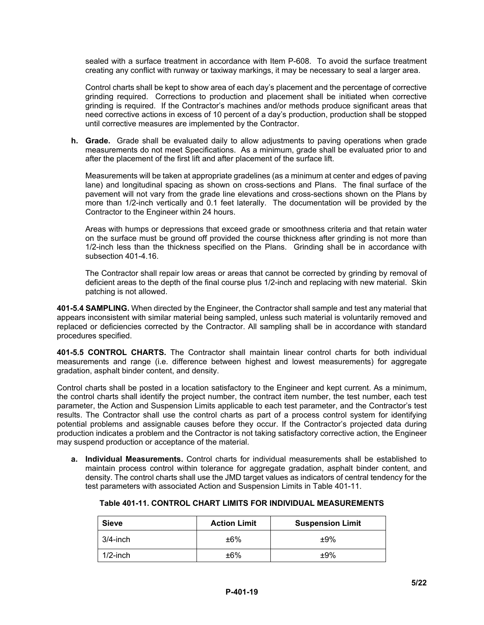sealed with a surface treatment in accordance with Item P-608. To avoid the surface treatment creating any conflict with runway or taxiway markings, it may be necessary to seal a larger area.

Control charts shall be kept to show area of each day's placement and the percentage of corrective grinding required. Corrections to production and placement shall be initiated when corrective grinding is required. If the Contractor's machines and/or methods produce significant areas that need corrective actions in excess of 10 percent of a day's production, production shall be stopped until corrective measures are implemented by the Contractor.

**h. Grade.** Grade shall be evaluated daily to allow adjustments to paving operations when grade measurements do not meet Specifications. As a minimum, grade shall be evaluated prior to and after the placement of the first lift and after placement of the surface lift.

Measurements will be taken at appropriate gradelines (as a minimum at center and edges of paving lane) and longitudinal spacing as shown on cross-sections and Plans. The final surface of the pavement will not vary from the grade line elevations and cross-sections shown on the Plans by more than 1/2-inch vertically and 0.1 feet laterally. The documentation will be provided by the Contractor to the Engineer within 24 hours.

Areas with humps or depressions that exceed grade or smoothness criteria and that retain water on the surface must be ground off provided the course thickness after grinding is not more than 1/2-inch less than the thickness specified on the Plans. Grinding shall be in accordance with subsection 401-4.16.

The Contractor shall repair low areas or areas that cannot be corrected by grinding by removal of deficient areas to the depth of the final course plus 1/2-inch and replacing with new material. Skin patching is not allowed.

**401-5.4 SAMPLING.** When directed by the Engineer, the Contractor shall sample and test any material that appears inconsistent with similar material being sampled, unless such material is voluntarily removed and replaced or deficiencies corrected by the Contractor. All sampling shall be in accordance with standard procedures specified.

**401-5.5 CONTROL CHARTS.** The Contractor shall maintain linear control charts for both individual measurements and range (i.e. difference between highest and lowest measurements) for aggregate gradation, asphalt binder content, and density.

Control charts shall be posted in a location satisfactory to the Engineer and kept current. As a minimum, the control charts shall identify the project number, the contract item number, the test number, each test parameter, the Action and Suspension Limits applicable to each test parameter, and the Contractor's test results. The Contractor shall use the control charts as part of a process control system for identifying potential problems and assignable causes before they occur. If the Contractor's projected data during production indicates a problem and the Contractor is not taking satisfactory corrective action, the Engineer may suspend production or acceptance of the material.

**a. Individual Measurements.** Control charts for individual measurements shall be established to maintain process control within tolerance for aggregate gradation, asphalt binder content, and density. The control charts shall use the JMD target values as indicators of central tendency for the test parameters with associated Action and Suspension Limits in Table 401-11.

| <b>Sieve</b> | <b>Action Limit</b> | <b>Suspension Limit</b> |
|--------------|---------------------|-------------------------|
| 3/4-inch     | ±6%                 | ±9%                     |
| $1/2$ -inch  | ±6%                 | ±9%                     |

| Table 401-11. CONTROL CHART LIMITS FOR INDIVIDUAL MEASUREMENTS |
|----------------------------------------------------------------|
|----------------------------------------------------------------|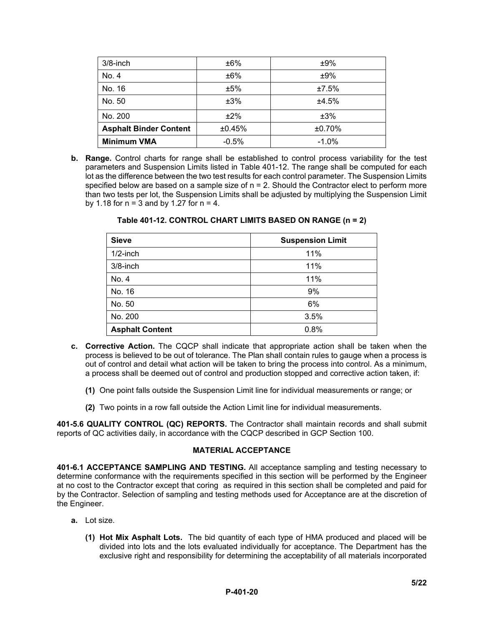| $3/8$ -inch                   | ±6%     | ±9%      |
|-------------------------------|---------|----------|
| No. 4                         | ±6%     | ±9%      |
| No. 16                        | ±5%     | ±7.5%    |
| No. 50                        | ±3%     | ±4.5%    |
| No. 200                       | ±2%     | ±3%      |
| <b>Asphalt Binder Content</b> | ±0.45%  | ±0.70%   |
| <b>Minimum VMA</b>            | $-0.5%$ | $-1.0\%$ |

**b. Range.** Control charts for range shall be established to control process variability for the test parameters and Suspension Limits listed in Table 401-12. The range shall be computed for each lot as the difference between the two test results for each control parameter. The Suspension Limits specified below are based on a sample size of  $n = 2$ . Should the Contractor elect to perform more than two tests per lot, the Suspension Limits shall be adjusted by multiplying the Suspension Limit by 1.18 for  $n = 3$  and by 1.27 for  $n = 4$ .

| <b>Sieve</b>           | <b>Suspension Limit</b> |
|------------------------|-------------------------|
| $1/2$ -inch            | 11%                     |
| $3/8$ -inch            | 11%                     |
| No. 4                  | 11%                     |
| No. 16                 | 9%                      |
| No. 50                 | 6%                      |
| No. 200                | 3.5%                    |
| <b>Asphalt Content</b> | 0.8%                    |

**Table 401-12. CONTROL CHART LIMITS BASED ON RANGE (n = 2)**

- **c. Corrective Action.** The CQCP shall indicate that appropriate action shall be taken when the process is believed to be out of tolerance. The Plan shall contain rules to gauge when a process is out of control and detail what action will be taken to bring the process into control. As a minimum, a process shall be deemed out of control and production stopped and corrective action taken, if:
	- **(1)** One point falls outside the Suspension Limit line for individual measurements or range; or
	- **(2)** Two points in a row fall outside the Action Limit line for individual measurements.

**401-5.6 QUALITY CONTROL (QC) REPORTS.** The Contractor shall maintain records and shall submit reports of QC activities daily, in accordance with the CQCP described in GCP Section 100.

#### **MATERIAL ACCEPTANCE**

**401-6.1 ACCEPTANCE SAMPLING AND TESTING.** All acceptance sampling and testing necessary to determine conformance with the requirements specified in this section will be performed by the Engineer at no cost to the Contractor except that coring as required in this section shall be completed and paid for by the Contractor. Selection of sampling and testing methods used for Acceptance are at the discretion of the Engineer.

- **a.** Lot size.
	- **(1) Hot Mix Asphalt Lots.** The bid quantity of each type of HMA produced and placed will be divided into lots and the lots evaluated individually for acceptance. The Department has the exclusive right and responsibility for determining the acceptability of all materials incorporated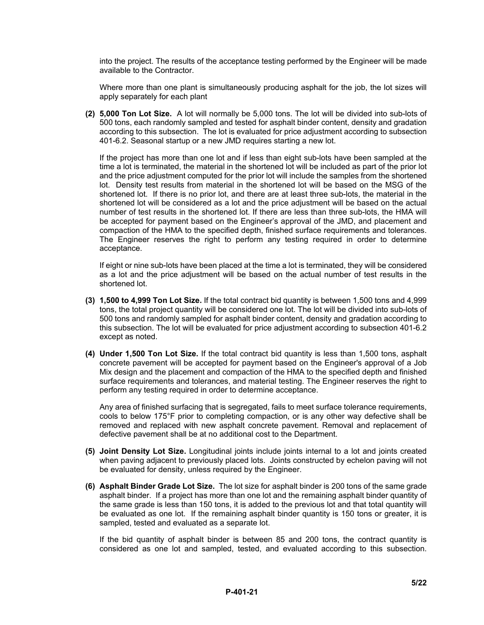into the project. The results of the acceptance testing performed by the Engineer will be made available to the Contractor.

Where more than one plant is simultaneously producing asphalt for the job, the lot sizes will apply separately for each plant

**(2) 5,000 Ton Lot Size.** A lot will normally be 5,000 tons. The lot will be divided into sub-lots of 500 tons, each randomly sampled and tested for asphalt binder content, density and gradation according to this subsection. The lot is evaluated for price adjustment according to subsection 401-6.2. Seasonal startup or a new JMD requires starting a new lot.

If the project has more than one lot and if less than eight sub-lots have been sampled at the time a lot is terminated, the material in the shortened lot will be included as part of the prior lot and the price adjustment computed for the prior lot will include the samples from the shortened lot. Density test results from material in the shortened lot will be based on the MSG of the shortened lot. If there is no prior lot, and there are at least three sub-lots, the material in the shortened lot will be considered as a lot and the price adjustment will be based on the actual number of test results in the shortened lot. If there are less than three sub-lots, the HMA will be accepted for payment based on the Engineer's approval of the JMD, and placement and compaction of the HMA to the specified depth, finished surface requirements and tolerances. The Engineer reserves the right to perform any testing required in order to determine acceptance.

If eight or nine sub-lots have been placed at the time a lot is terminated, they will be considered as a lot and the price adjustment will be based on the actual number of test results in the shortened lot.

- **(3) 1,500 to 4,999 Ton Lot Size.** If the total contract bid quantity is between 1,500 tons and 4,999 tons, the total project quantity will be considered one lot. The lot will be divided into sub-lots of 500 tons and randomly sampled for asphalt binder content, density and gradation according to this subsection. The lot will be evaluated for price adjustment according to subsection 401-6.2 except as noted.
- **(4) Under 1,500 Ton Lot Size.** If the total contract bid quantity is less than 1,500 tons, asphalt concrete pavement will be accepted for payment based on the Engineer's approval of a Job Mix design and the placement and compaction of the HMA to the specified depth and finished surface requirements and tolerances, and material testing. The Engineer reserves the right to perform any testing required in order to determine acceptance.

Any area of finished surfacing that is segregated, fails to meet surface tolerance requirements, cools to below 175°F prior to completing compaction, or is any other way defective shall be removed and replaced with new asphalt concrete pavement. Removal and replacement of defective pavement shall be at no additional cost to the Department.

- **(5) Joint Density Lot Size.** Longitudinal joints include joints internal to a lot and joints created when paving adjacent to previously placed lots. Joints constructed by echelon paving will not be evaluated for density, unless required by the Engineer.
- **(6) Asphalt Binder Grade Lot Size.** The lot size for asphalt binder is 200 tons of the same grade asphalt binder. If a project has more than one lot and the remaining asphalt binder quantity of the same grade is less than 150 tons, it is added to the previous lot and that total quantity will be evaluated as one lot. If the remaining asphalt binder quantity is 150 tons or greater, it is sampled, tested and evaluated as a separate lot.

If the bid quantity of asphalt binder is between 85 and 200 tons, the contract quantity is considered as one lot and sampled, tested, and evaluated according to this subsection.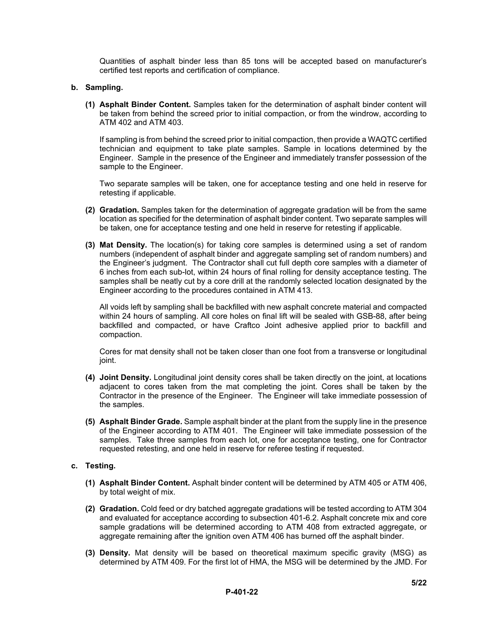Quantities of asphalt binder less than 85 tons will be accepted based on manufacturer's certified test reports and certification of compliance.

#### **b. Sampling.**

**(1) Asphalt Binder Content.** Samples taken for the determination of asphalt binder content will be taken from behind the screed prior to initial compaction, or from the windrow, according to ATM 402 and ATM 403.

If sampling is from behind the screed prior to initial compaction, then provide a WAQTC certified technician and equipment to take plate samples. Sample in locations determined by the Engineer. Sample in the presence of the Engineer and immediately transfer possession of the sample to the Engineer.

Two separate samples will be taken, one for acceptance testing and one held in reserve for retesting if applicable.

- **(2) Gradation.** Samples taken for the determination of aggregate gradation will be from the same location as specified for the determination of asphalt binder content. Two separate samples will be taken, one for acceptance testing and one held in reserve for retesting if applicable.
- **(3) Mat Density.** The location(s) for taking core samples is determined using a set of random numbers (independent of asphalt binder and aggregate sampling set of random numbers) and the Engineer's judgment. The Contractor shall cut full depth core samples with a diameter of 6 inches from each sub-lot, within 24 hours of final rolling for density acceptance testing. The samples shall be neatly cut by a core drill at the randomly selected location designated by the Engineer according to the procedures contained in ATM 413.

All voids left by sampling shall be backfilled with new asphalt concrete material and compacted within 24 hours of sampling. All core holes on final lift will be sealed with GSB-88, after being backfilled and compacted, or have Craftco Joint adhesive applied prior to backfill and compaction.

Cores for mat density shall not be taken closer than one foot from a transverse or longitudinal joint.

- **(4) Joint Density.** Longitudinal joint density cores shall be taken directly on the joint, at locations adjacent to cores taken from the mat completing the joint. Cores shall be taken by the Contractor in the presence of the Engineer. The Engineer will take immediate possession of the samples.
- **(5) Asphalt Binder Grade.** Sample asphalt binder at the plant from the supply line in the presence of the Engineer according to ATM 401. The Engineer will take immediate possession of the samples. Take three samples from each lot, one for acceptance testing, one for Contractor requested retesting, and one held in reserve for referee testing if requested.

#### **c. Testing.**

- **(1) Asphalt Binder Content.** Asphalt binder content will be determined by ATM 405 or ATM 406, by total weight of mix.
- **(2) Gradation.** Cold feed or dry batched aggregate gradations will be tested according to ATM 304 and evaluated for acceptance according to subsection 401-6.2. Asphalt concrete mix and core sample gradations will be determined according to ATM 408 from extracted aggregate, or aggregate remaining after the ignition oven ATM 406 has burned off the asphalt binder.
- **(3) Density.** Mat density will be based on theoretical maximum specific gravity (MSG) as determined by ATM 409. For the first lot of HMA, the MSG will be determined by the JMD. For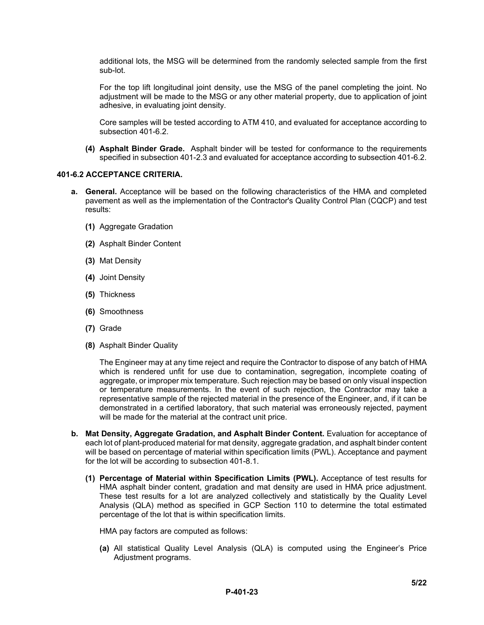additional lots, the MSG will be determined from the randomly selected sample from the first sub-lot.

For the top lift longitudinal joint density, use the MSG of the panel completing the joint. No adjustment will be made to the MSG or any other material property, due to application of joint adhesive, in evaluating joint density.

Core samples will be tested according to ATM 410, and evaluated for acceptance according to subsection 401-6.2.

**(4) Asphalt Binder Grade.** Asphalt binder will be tested for conformance to the requirements specified in subsection 401-2.3 and evaluated for acceptance according to subsection 401-6.2.

#### **401-6.2 ACCEPTANCE CRITERIA.**

- **a. General.** Acceptance will be based on the following characteristics of the HMA and completed pavement as well as the implementation of the Contractor's Quality Control Plan (CQCP) and test results:
	- **(1)** Aggregate Gradation
	- **(2)** Asphalt Binder Content
	- **(3)** Mat Density
	- **(4)** Joint Density
	- **(5)** Thickness
	- **(6)** Smoothness
	- **(7)** Grade
	- **(8)** Asphalt Binder Quality

The Engineer may at any time reject and require the Contractor to dispose of any batch of HMA which is rendered unfit for use due to contamination, segregation, incomplete coating of aggregate, or improper mix temperature. Such rejection may be based on only visual inspection or temperature measurements. In the event of such rejection, the Contractor may take a representative sample of the rejected material in the presence of the Engineer, and, if it can be demonstrated in a certified laboratory, that such material was erroneously rejected, payment will be made for the material at the contract unit price.

- **b. Mat Density, Aggregate Gradation, and Asphalt Binder Content.** Evaluation for acceptance of each lot of plant-produced material for mat density, aggregate gradation, and asphalt binder content will be based on percentage of material within specification limits (PWL). Acceptance and payment for the lot will be according to subsection 401-8.1.
	- **(1) Percentage of Material within Specification Limits (PWL).** Acceptance of test results for HMA asphalt binder content, gradation and mat density are used in HMA price adjustment. These test results for a lot are analyzed collectively and statistically by the Quality Level Analysis (QLA) method as specified in GCP Section 110 to determine the total estimated percentage of the lot that is within specification limits.

HMA pay factors are computed as follows:

**(a)** All statistical Quality Level Analysis (QLA) is computed using the Engineer's Price Adjustment programs.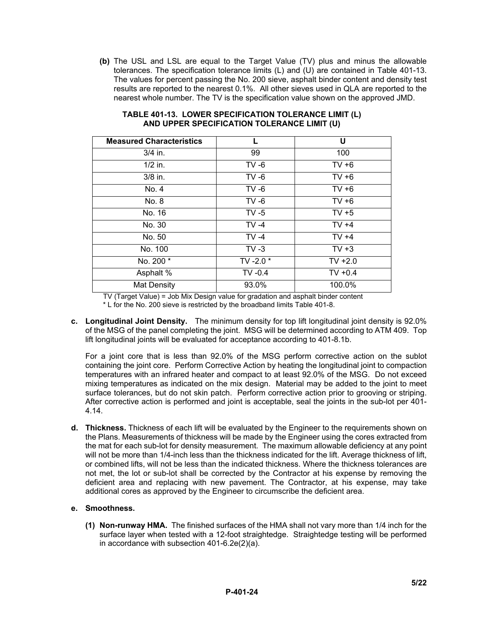**(b)** The USL and LSL are equal to the Target Value (TV) plus and minus the allowable tolerances. The specification tolerance limits (L) and (U) are contained in Table 401-13. The values for percent passing the No. 200 sieve, asphalt binder content and density test results are reported to the nearest 0.1%. All other sieves used in QLA are reported to the nearest whole number. The TV is the specification value shown on the approved JMD.

| <b>Measured Characteristics</b> |             | U         |
|---------------------------------|-------------|-----------|
| $3/4$ in.                       | 99          | 100       |
| $1/2$ in.                       | $TV -6$     | $TV +6$   |
| 3/8 in.                         | $TV -6$     | $TV +6$   |
| No. 4                           | $TV -6$     | $TV + 6$  |
| No. 8                           | $TV -6$     | $TV +6$   |
| No. 16                          | $TV - 5$    | $TV + 5$  |
| No. 30                          | $TV -4$     | $TV +4$   |
| No. 50                          | $TV -4$     | $TV +4$   |
| No. 100                         | $TV -3$     | $TV + 3$  |
| No. 200 *                       | TV -2.0 $*$ | $TV +2.0$ |
| Asphalt %                       | $TV -0.4$   | $TV +0.4$ |
| <b>Mat Density</b>              | 93.0%       | 100.0%    |

#### **TABLE 401-13. LOWER SPECIFICATION TOLERANCE LIMIT (L) AND UPPER SPECIFICATION TOLERANCE LIMIT (U)**

TV (Target Value) = Job Mix Design value for gradation and asphalt binder content

\* L for the No. 200 sieve is restricted by the broadband limits Table 401-8.

**c. Longitudinal Joint Density.** The minimum density for top lift longitudinal joint density is 92.0% of the MSG of the panel completing the joint. MSG will be determined according to ATM 409. Top lift longitudinal joints will be evaluated for acceptance according to 401-8.1b.

For a joint core that is less than 92.0% of the MSG perform corrective action on the sublot containing the joint core. Perform Corrective Action by heating the longitudinal joint to compaction temperatures with an infrared heater and compact to at least 92.0% of the MSG. Do not exceed mixing temperatures as indicated on the mix design. Material may be added to the joint to meet surface tolerances, but do not skin patch. Perform corrective action prior to grooving or striping. After corrective action is performed and joint is acceptable, seal the joints in the sub-lot per 401- 4.14.

**d. Thickness.** Thickness of each lift will be evaluated by the Engineer to the requirements shown on the Plans. Measurements of thickness will be made by the Engineer using the cores extracted from the mat for each sub-lot for density measurement. The maximum allowable deficiency at any point will not be more than 1/4-inch less than the thickness indicated for the lift. Average thickness of lift, or combined lifts, will not be less than the indicated thickness. Where the thickness tolerances are not met, the lot or sub-lot shall be corrected by the Contractor at his expense by removing the deficient area and replacing with new pavement. The Contractor, at his expense, may take additional cores as approved by the Engineer to circumscribe the deficient area.

# **e. Smoothness.**

**(1) Non-runway HMA.** The finished surfaces of the HMA shall not vary more than 1/4 inch for the surface layer when tested with a 12-foot straightedge. Straightedge testing will be performed in accordance with subsection 401-6.2e(2)(a).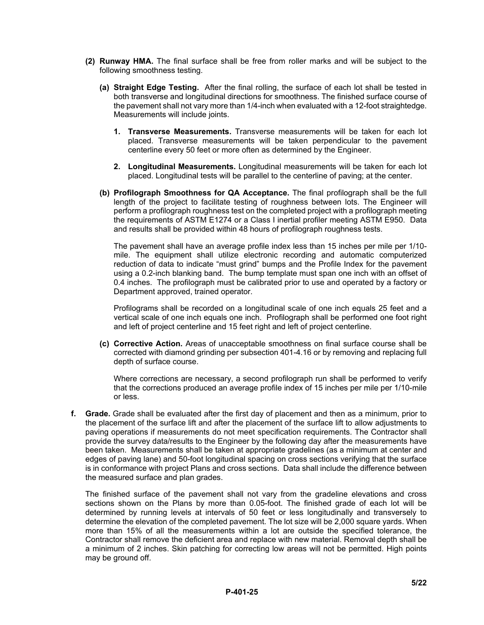- **(2) Runway HMA.** The final surface shall be free from roller marks and will be subject to the following smoothness testing.
	- **(a) Straight Edge Testing.** After the final rolling, the surface of each lot shall be tested in both transverse and longitudinal directions for smoothness. The finished surface course of the pavement shall not vary more than 1/4-inch when evaluated with a 12-foot straightedge. Measurements will include joints.
		- **1. Transverse Measurements.** Transverse measurements will be taken for each lot placed. Transverse measurements will be taken perpendicular to the pavement centerline every 50 feet or more often as determined by the Engineer.
		- **2. Longitudinal Measurements.** Longitudinal measurements will be taken for each lot placed. Longitudinal tests will be parallel to the centerline of paving; at the center.
	- **(b) Profilograph Smoothness for QA Acceptance.** The final profilograph shall be the full length of the project to facilitate testing of roughness between lots. The Engineer will perform a profilograph roughness test on the completed project with a profilograph meeting the requirements of ASTM E1274 or a Class I inertial profiler meeting ASTM E950. Data and results shall be provided within 48 hours of profilograph roughness tests.

The pavement shall have an average profile index less than 15 inches per mile per 1/10 mile. The equipment shall utilize electronic recording and automatic computerized reduction of data to indicate "must grind" bumps and the Profile Index for the pavement using a 0.2-inch blanking band. The bump template must span one inch with an offset of 0.4 inches. The profilograph must be calibrated prior to use and operated by a factory or Department approved, trained operator.

Profilograms shall be recorded on a longitudinal scale of one inch equals 25 feet and a vertical scale of one inch equals one inch. Profilograph shall be performed one foot right and left of project centerline and 15 feet right and left of project centerline.

**(c) Corrective Action.** Areas of unacceptable smoothness on final surface course shall be corrected with diamond grinding per subsection 401-4.16 or by removing and replacing full depth of surface course.

Where corrections are necessary, a second profilograph run shall be performed to verify that the corrections produced an average profile index of 15 inches per mile per 1/10-mile or less.

**f. Grade.** Grade shall be evaluated after the first day of placement and then as a minimum, prior to the placement of the surface lift and after the placement of the surface lift to allow adjustments to paving operations if measurements do not meet specification requirements. The Contractor shall provide the survey data/results to the Engineer by the following day after the measurements have been taken. Measurements shall be taken at appropriate gradelines (as a minimum at center and edges of paving lane) and 50-foot longitudinal spacing on cross sections verifying that the surface is in conformance with project Plans and cross sections. Data shall include the difference between the measured surface and plan grades.

The finished surface of the pavement shall not vary from the gradeline elevations and cross sections shown on the Plans by more than 0.05-foot. The finished grade of each lot will be determined by running levels at intervals of 50 feet or less longitudinally and transversely to determine the elevation of the completed pavement. The lot size will be 2,000 square yards. When more than 15% of all the measurements within a lot are outside the specified tolerance, the Contractor shall remove the deficient area and replace with new material. Removal depth shall be a minimum of 2 inches. Skin patching for correcting low areas will not be permitted. High points may be ground off.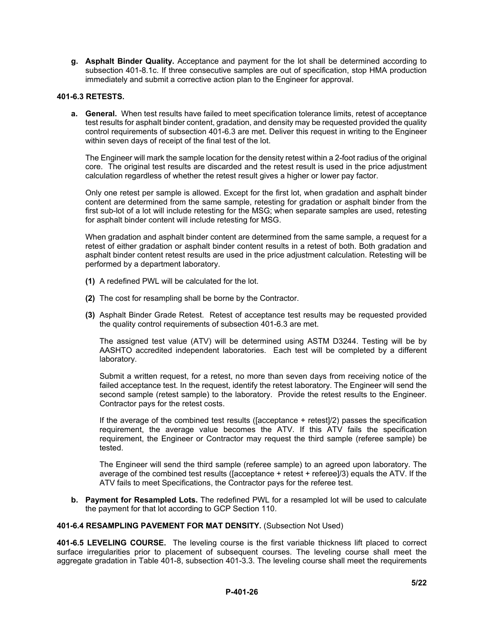**g. Asphalt Binder Quality.** Acceptance and payment for the lot shall be determined according to subsection 401-8.1c. If three consecutive samples are out of specification, stop HMA production immediately and submit a corrective action plan to the Engineer for approval.

### **401-6.3 RETESTS.**

**a. General.** When test results have failed to meet specification tolerance limits, retest of acceptance test results for asphalt binder content, gradation, and density may be requested provided the quality control requirements of subsection 401-6.3 are met. Deliver this request in writing to the Engineer within seven days of receipt of the final test of the lot.

The Engineer will mark the sample location for the density retest within a 2-foot radius of the original core. The original test results are discarded and the retest result is used in the price adjustment calculation regardless of whether the retest result gives a higher or lower pay factor.

Only one retest per sample is allowed. Except for the first lot, when gradation and asphalt binder content are determined from the same sample, retesting for gradation or asphalt binder from the first sub-lot of a lot will include retesting for the MSG; when separate samples are used, retesting for asphalt binder content will include retesting for MSG.

When gradation and asphalt binder content are determined from the same sample, a request for a retest of either gradation or asphalt binder content results in a retest of both. Both gradation and asphalt binder content retest results are used in the price adjustment calculation. Retesting will be performed by a department laboratory.

- **(1)** A redefined PWL will be calculated for the lot.
- **(2)** The cost for resampling shall be borne by the Contractor.
- **(3)** Asphalt Binder Grade Retest. Retest of acceptance test results may be requested provided the quality control requirements of subsection 401-6.3 are met.

The assigned test value (ATV) will be determined using ASTM D3244. Testing will be by AASHTO accredited independent laboratories. Each test will be completed by a different laboratory.

Submit a written request, for a retest, no more than seven days from receiving notice of the failed acceptance test. In the request, identify the retest laboratory. The Engineer will send the second sample (retest sample) to the laboratory. Provide the retest results to the Engineer. Contractor pays for the retest costs.

If the average of the combined test results ([acceptance + retest]/2) passes the specification requirement, the average value becomes the ATV. If this ATV fails the specification requirement, the Engineer or Contractor may request the third sample (referee sample) be tested.

The Engineer will send the third sample (referee sample) to an agreed upon laboratory. The average of the combined test results ([acceptance + retest + referee]/3) equals the ATV. If the ATV fails to meet Specifications, the Contractor pays for the referee test.

**b. Payment for Resampled Lots.** The redefined PWL for a resampled lot will be used to calculate the payment for that lot according to GCP Section 110.

**401-6.4 RESAMPLING PAVEMENT FOR MAT DENSITY.** (Subsection Not Used)

**401-6.5 LEVELING COURSE.** The leveling course is the first variable thickness lift placed to correct surface irregularities prior to placement of subsequent courses. The leveling course shall meet the aggregate gradation in Table 401-8, subsection 401-3.3. The leveling course shall meet the requirements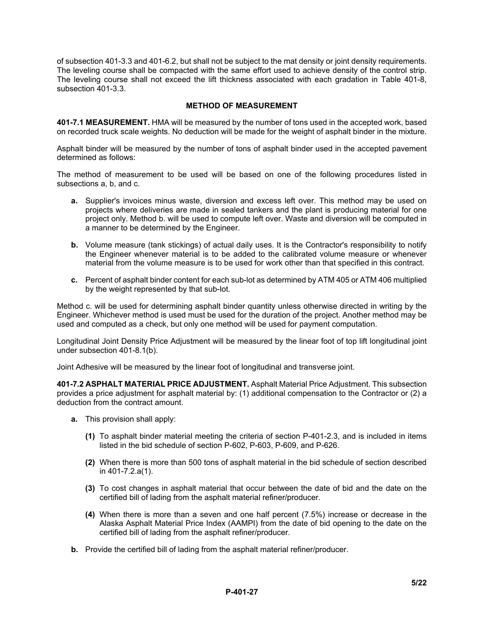of subsection 401-3.3 and 401-6.2, but shall not be subject to the mat density or joint density requirements. The leveling course shall be compacted with the same effort used to achieve density of the control strip. The leveling course shall not exceed the lift thickness associated with each gradation in Table 401-8, subsection 401-3.3.

#### **METHOD OF MEASUREMENT**

**401-7.1 MEASUREMENT.** HMA will be measured by the number of tons used in the accepted work, based on recorded truck scale weights. No deduction will be made for the weight of asphalt binder in the mixture.

Asphalt binder will be measured by the number of tons of asphalt binder used in the accepted pavement determined as follows:

The method of measurement to be used will be based on one of the following procedures listed in subsections a, b, and c.

- **a.** Supplier's invoices minus waste, diversion and excess left over. This method may be used on projects where deliveries are made in sealed tankers and the plant is producing material for one project only. Method b. will be used to compute left over. Waste and diversion will be computed in a manner to be determined by the Engineer.
- **b.** Volume measure (tank stickings) of actual daily uses. It is the Contractor's responsibility to notify the Engineer whenever material is to be added to the calibrated volume measure or whenever material from the volume measure is to be used for work other than that specified in this contract.
- **c.** Percent of asphalt binder content for each sub-lot as determined by ATM 405 or ATM 406 multiplied by the weight represented by that sub-lot.

Method c. will be used for determining asphalt binder quantity unless otherwise directed in writing by the Engineer. Whichever method is used must be used for the duration of the project. Another method may be used and computed as a check, but only one method will be used for payment computation.

Longitudinal Joint Density Price Adjustment will be measured by the linear foot of top lift longitudinal joint under subsection 401-8.1(b).

Joint Adhesive will be measured by the linear foot of longitudinal and transverse joint.

**401-7.2 ASPHALT MATERIAL PRICE ADJUSTMENT.** Asphalt Material Price Adjustment. This subsection provides a price adjustment for asphalt material by: (1) additional compensation to the Contractor or (2) a deduction from the contract amount.

- **a.** This provision shall apply:
	- **(1)** To asphalt binder material meeting the criteria of section P-401-2.3, and is included in items listed in the bid schedule of section P-602, P-603, P-609, and P-626.
	- **(2)** When there is more than 500 tons of asphalt material in the bid schedule of section described in 401-7.2.a(1).
	- **(3)** To cost changes in asphalt material that occur between the date of bid and the date on the certified bill of lading from the asphalt material refiner/producer.
	- **(4)** When there is more than a seven and one half percent (7.5%) increase or decrease in the Alaska Asphalt Material Price Index (AAMPI) from the date of bid opening to the date on the certified bill of lading from the asphalt refiner/producer.
- **b.** Provide the certified bill of lading from the asphalt material refiner/producer.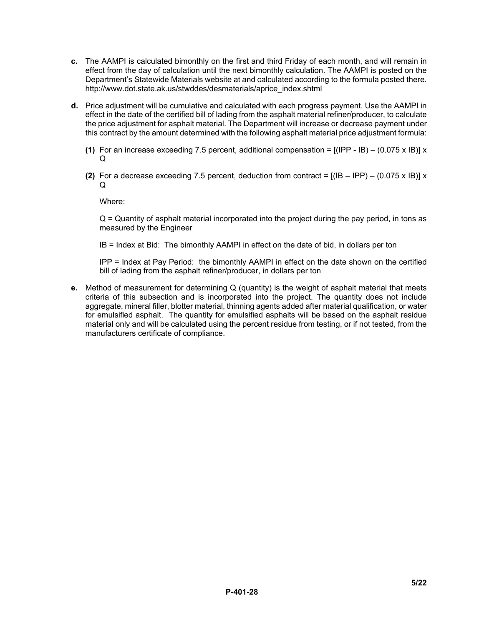- **c.** The AAMPI is calculated bimonthly on the first and third Friday of each month, and will remain in effect from the day of calculation until the next bimonthly calculation. The AAMPI is posted on the Department's Statewide Materials website at and calculated according to the formula posted there. http://www.dot.state.ak.us/stwddes/desmaterials/aprice\_index.shtml
- **d.** Price adjustment will be cumulative and calculated with each progress payment. Use the AAMPI in effect in the date of the certified bill of lading from the asphalt material refiner/producer, to calculate the price adjustment for asphalt material. The Department will increase or decrease payment under this contract by the amount determined with the following asphalt material price adjustment formula:
	- **(1)** For an increase exceeding 7.5 percent, additional compensation = [(IPP IB) (0.075 x IB)] x  $\Omega$
	- **(2)** For a decrease exceeding 7.5 percent, deduction from contract =  $[(IB IPP) (0.075 \times IB)] \times$ Q

Where:

Q = Quantity of asphalt material incorporated into the project during the pay period, in tons as measured by the Engineer

IB = Index at Bid: The bimonthly AAMPI in effect on the date of bid, in dollars per ton

IPP = Index at Pay Period: the bimonthly AAMPI in effect on the date shown on the certified bill of lading from the asphalt refiner/producer, in dollars per ton

**e.** Method of measurement for determining Q (quantity) is the weight of asphalt material that meets criteria of this subsection and is incorporated into the project. The quantity does not include aggregate, mineral filler, blotter material, thinning agents added after material qualification, or water for emulsified asphalt. The quantity for emulsified asphalts will be based on the asphalt residue material only and will be calculated using the percent residue from testing, or if not tested, from the manufacturers certificate of compliance.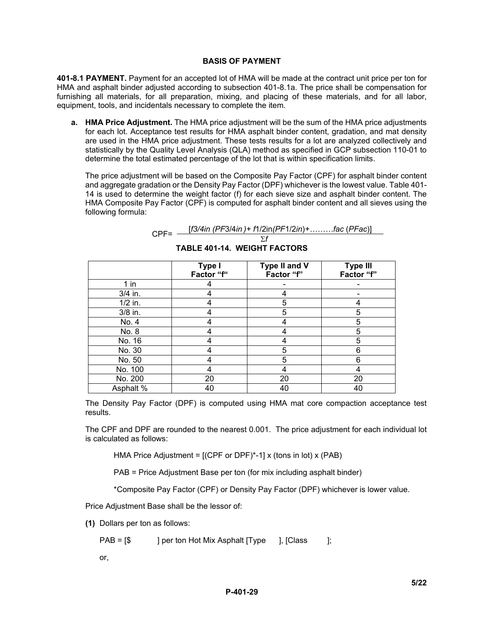#### **BASIS OF PAYMENT**

**401-8.1 PAYMENT.** Payment for an accepted lot of HMA will be made at the contract unit price per ton for HMA and asphalt binder adjusted according to subsection 401-8.1a. The price shall be compensation for furnishing all materials, for all preparation, mixing, and placing of these materials, and for all labor, equipment, tools, and incidentals necessary to complete the item.

**a. HMA Price Adjustment.** The HMA price adjustment will be the sum of the HMA price adjustments for each lot. Acceptance test results for HMA asphalt binder content, gradation, and mat density are used in the HMA price adjustment. These tests results for a lot are analyzed collectively and statistically by the Quality Level Analysis (QLA) method as specified in GCP subsection 110-01 to determine the total estimated percentage of the lot that is within specification limits.

The price adjustment will be based on the Composite Pay Factor (CPF) for asphalt binder content and aggregate gradation or the Density Pay Factor (DPF) whichever is the lowest value. Table 401- 14 is used to determine the weight factor (f) for each sieve size and asphalt binder content. The HMA Composite Pay Factor (CPF) is computed for asphalt binder content and all sieves using the following formula:

| $CPE=$ | $[f3/4in (PF3/4in) + f1/2in (PF1/2in) + \dots]$ fac (PFac)] |
|--------|-------------------------------------------------------------|
|        |                                                             |

|           | Type I<br>Factor "f" | Type II and V<br>Factor "f" | <b>Type III</b><br>Factor "f" |
|-----------|----------------------|-----------------------------|-------------------------------|
| $1$ in    |                      |                             |                               |
| 3/4 in.   |                      |                             |                               |
| $1/2$ in. |                      | 5                           |                               |
| 3/8 in.   |                      | 5                           | 5                             |
| No. 4     |                      |                             | 5                             |
| No. 8     |                      |                             | 5                             |
| No. 16    |                      |                             | 5                             |
| No. 30    |                      | 5                           | 6                             |
| No. 50    |                      | 5                           | 6                             |
| No. 100   |                      | 4                           |                               |
| No. 200   | 20                   | 20                          | 20                            |
| Asphalt % | 40                   | 40                          | 40                            |

**TABLE 401-14. WEIGHT FACTORS**

The Density Pay Factor (DPF) is computed using HMA mat core compaction acceptance test results.

The CPF and DPF are rounded to the nearest 0.001. The price adjustment for each individual lot is calculated as follows:

HMA Price Adjustment = [(CPF or DPF)\*-1] x (tons in lot) x (PAB)

PAB = Price Adjustment Base per ton (for mix including asphalt binder)

\*Composite Pay Factor (CPF) or Density Pay Factor (DPF) whichever is lower value.

Price Adjustment Base shall be the lessor of:

**(1)** Dollars per ton as follows:

PAB = [\$ ] per ton Hot Mix Asphalt [Type ], [Class ];

or,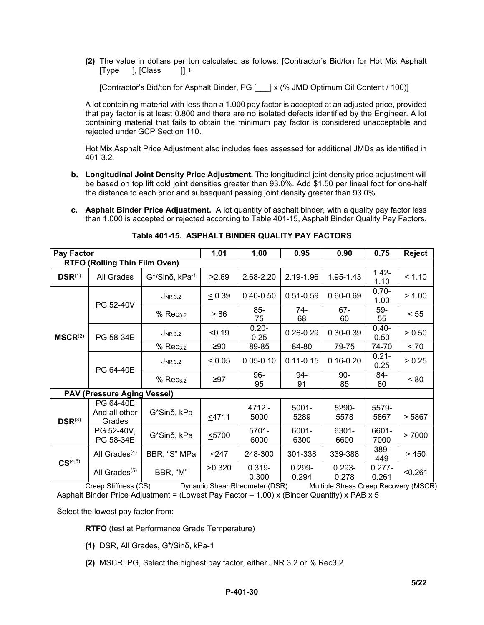**(2)** The value in dollars per ton calculated as follows: [Contractor's Bid/ton for Hot Mix Asphalt  $\vert$ ,  $\vert$ Class  $\vert$   $\vert$  +

[Contractor's Bid/ton for Asphalt Binder, PG [  $\mid$  ] x (% JMD Optimum Oil Content / 100)]

A lot containing material with less than a 1.000 pay factor is accepted at an adjusted price, provided that pay factor is at least 0.800 and there are no isolated defects identified by the Engineer. A lot containing material that fails to obtain the minimum pay factor is considered unacceptable and rejected under GCP Section 110.

Hot Mix Asphalt Price Adjustment also includes fees assessed for additional JMDs as identified in 401-3.2.

- **b. Longitudinal Joint Density Price Adjustment.** The longitudinal joint density price adjustment will be based on top lift cold joint densities greater than 93.0%. Add \$1.50 per lineal foot for one-half the distance to each prior and subsequent passing joint density greater than 93.0%.
- **c. Asphalt Binder Price Adjustment.** A lot quantity of asphalt binder, with a quality pay factor less than 1.000 is accepted or rejected according to Table 401-15, Asphalt Binder Quality Pay Factors.

| <b>Pay Factor</b>                    |                                      |                                  | 1.01        | 1.00               | 0.95               | 0.90               | 0.75               | <b>Reject</b> |
|--------------------------------------|--------------------------------------|----------------------------------|-------------|--------------------|--------------------|--------------------|--------------------|---------------|
| <b>RTFO (Rolling Thin Film Oven)</b> |                                      |                                  |             |                    |                    |                    |                    |               |
| $DSR^{(1)}$                          | All Grades                           | $G^*/\text{Sin } \delta$ , kPa-1 | >2.69       | 2.68-2.20          | 2.19-1.96          | 1.95-1.43          | $1.42 -$<br>1.10   | < 1.10        |
|                                      | PG 52-40V                            | $J_{NR, 3.2}$                    | $\leq 0.39$ | $0.40 - 0.50$      | $0.51 - 0.59$      | $0.60 - 0.69$      | $0.70 -$<br>1.00   | > 1.00        |
|                                      |                                      | % Rec <sub>3.2</sub>             | $\geq 86$   | $85 -$<br>75       | 74-<br>68          | 67-<br>60          | 59-<br>55          | < 55          |
| $MSCR^{(2)}$                         | PG 58-34E                            | $J_{NR 3.2}$                     | 50.19       | $0.20 -$<br>0.25   | $0.26 - 0.29$      | $0.30 - 0.39$      | $0.40 -$<br>0.50   | > 0.50        |
|                                      |                                      | % Rec <sub>3.2</sub>             | $\geq 90$   | 89-85              | 84-80              | 79-75              | 74-70              | < 70          |
|                                      | PG 64-40E                            | $J_{NR\ 3.2}$                    | $\leq 0.05$ | $0.05 - 0.10$      | $0.11 - 0.15$      | $0.16 - 0.20$      | $0.21 -$<br>0.25   | > 0.25        |
|                                      |                                      | % Rec <sub>3.2</sub>             | $\geq$ 97   | $96-$<br>95        | 94-<br>91          | $90-$<br>85        | 84-<br>80          | $~<$ 80       |
|                                      | <b>PAV (Pressure Aging Vessel)</b>   |                                  |             |                    |                    |                    |                    |               |
| $DSR^{(3)}$                          | PG 64-40E<br>And all other<br>Grades | G*Sinδ, kPa                      | $<$ 4711    | 4712 -<br>5000     | $5001 -$<br>5289   | 5290-<br>5578      | 5579-<br>5867      | > 5867        |
|                                      | PG 52-40V,<br>PG 58-34E              | G*Sinδ, kPa                      | 5700        | 5701-<br>6000      | 6001-<br>6300      | 6301-<br>6600      | 6601-<br>7000      | > 7000        |
| $CS^{(4,5)}$                         | All Grades $(4)$                     | BBR, "S" MPa                     | $247$       | 248-300            | 301-338            | 339-388            | 389-<br>449        | $\geq 450$    |
|                                      | All Grades <sup>(5)</sup>            | BBR, "M"                         | >0.320      | $0.319 -$<br>0.300 | $0.299 -$<br>0.294 | $0.293 -$<br>0.278 | $0.277 -$<br>0.261 | < 0.261       |

**Table 401-15. ASPHALT BINDER QUALITY PAY FACTORS**

Creep Stiffness (CS) Dynamic Shear Rheometer (DSR) Multiple Stress Creep Recovery (MSCR) Asphalt Binder Price Adjustment = (Lowest Pay Factor – 1.00) x (Binder Quantity) x PAB x 5

Select the lowest pay factor from:

**RTFO** (test at Performance Grade Temperature)

- **(1)** DSR, All Grades, G\*/Sinδ, kPa-1
- **(2)** MSCR: PG, Select the highest pay factor, either JNR 3.2 or % Rec3.2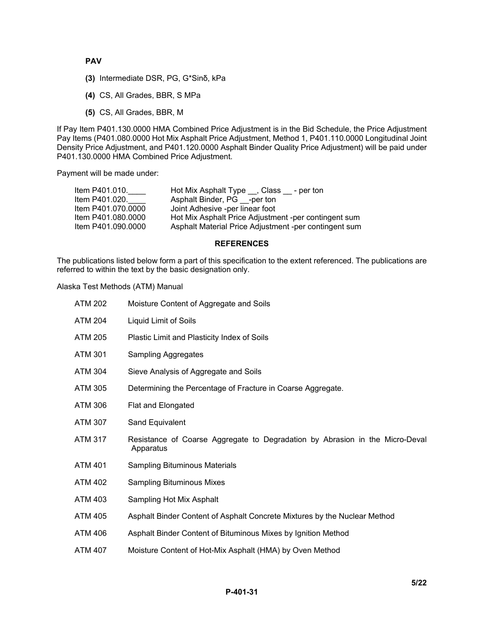# **PAV**

- **(3)** Intermediate DSR, PG, G\*Sinδ, kPa
- **(4)** CS, All Grades, BBR, S MPa
- **(5)** CS, All Grades, BBR, M

If Pay Item P401.130.0000 HMA Combined Price Adjustment is in the Bid Schedule, the Price Adjustment Pay Items (P401.080.0000 Hot Mix Asphalt Price Adjustment, Method 1, P401.110.0000 Longitudinal Joint Density Price Adjustment, and P401.120.0000 Asphalt Binder Quality Price Adjustment) will be paid under P401.130.0000 HMA Combined Price Adjustment.

Payment will be made under:

| Item P401.010.     | Hot Mix Asphalt Type , Class<br>- per ton             |
|--------------------|-------------------------------------------------------|
| Item P401.020.     | Asphalt Binder, PG -per ton                           |
| Item P401.070.0000 | Joint Adhesive -per linear foot                       |
| Item P401.080.0000 | Hot Mix Asphalt Price Adjustment -per contingent sum  |
| Item P401.090.0000 | Asphalt Material Price Adjustment -per contingent sum |

#### **REFERENCES**

The publications listed below form a part of this specification to the extent referenced. The publications are referred to within the text by the basic designation only.

Alaska Test Methods (ATM) Manual

| <b>ATM 202</b> | Moisture Content of Aggregate and Soils                                                   |
|----------------|-------------------------------------------------------------------------------------------|
| <b>ATM 204</b> | Liquid Limit of Soils                                                                     |
| <b>ATM 205</b> | Plastic Limit and Plasticity Index of Soils                                               |
| <b>ATM 301</b> | <b>Sampling Aggregates</b>                                                                |
| <b>ATM 304</b> | Sieve Analysis of Aggregate and Soils                                                     |
| <b>ATM 305</b> | Determining the Percentage of Fracture in Coarse Aggregate.                               |
| ATM 306        | Flat and Elongated                                                                        |
| <b>ATM 307</b> | Sand Equivalent                                                                           |
| <b>ATM 317</b> | Resistance of Coarse Aggregate to Degradation by Abrasion in the Micro-Deval<br>Apparatus |
| <b>ATM 401</b> | <b>Sampling Bituminous Materials</b>                                                      |
| <b>ATM 402</b> | <b>Sampling Bituminous Mixes</b>                                                          |
| <b>ATM 403</b> | Sampling Hot Mix Asphalt                                                                  |
| <b>ATM 405</b> | Asphalt Binder Content of Asphalt Concrete Mixtures by the Nuclear Method                 |
| <b>ATM 406</b> | Asphalt Binder Content of Bituminous Mixes by Ignition Method                             |
|                |                                                                                           |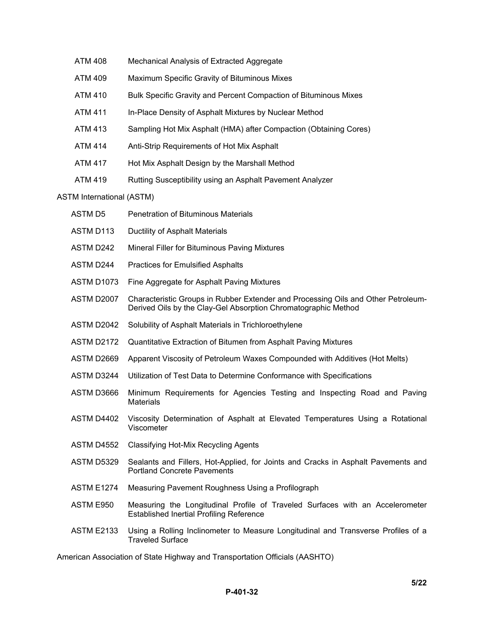| <b>ATM 408</b> | Mechanical Analysis of Extracted Aggregate                        |
|----------------|-------------------------------------------------------------------|
| <b>ATM 409</b> | Maximum Specific Gravity of Bituminous Mixes                      |
| <b>ATM 410</b> | Bulk Specific Gravity and Percent Compaction of Bituminous Mixes  |
| <b>ATM 411</b> | In-Place Density of Asphalt Mixtures by Nuclear Method            |
| <b>ATM 413</b> | Sampling Hot Mix Asphalt (HMA) after Compaction (Obtaining Cores) |
| <b>ATM 414</b> | Anti-Strip Requirements of Hot Mix Asphalt                        |
| <b>ATM 417</b> | Hot Mix Asphalt Design by the Marshall Method                     |
| <b>ATM 419</b> | Rutting Susceptibility using an Asphalt Pavement Analyzer         |
|                |                                                                   |

# ASTM International (ASTM)

| <b>ASTMD5</b>     | <b>Penetration of Bituminous Materials</b>                                                                                                          |
|-------------------|-----------------------------------------------------------------------------------------------------------------------------------------------------|
| ASTM D113         | Ductility of Asphalt Materials                                                                                                                      |
| ASTM D242         | Mineral Filler for Bituminous Paving Mixtures                                                                                                       |
| ASTM D244         | <b>Practices for Emulsified Asphalts</b>                                                                                                            |
| ASTM D1073        | Fine Aggregate for Asphalt Paving Mixtures                                                                                                          |
| ASTM D2007        | Characteristic Groups in Rubber Extender and Processing Oils and Other Petroleum-<br>Derived Oils by the Clay-Gel Absorption Chromatographic Method |
| ASTM D2042        | Solubility of Asphalt Materials in Trichloroethylene                                                                                                |
| <b>ASTM D2172</b> | Quantitative Extraction of Bitumen from Asphalt Paving Mixtures                                                                                     |
| ASTM D2669        | Apparent Viscosity of Petroleum Waxes Compounded with Additives (Hot Melts)                                                                         |
| ASTM D3244        | Utilization of Test Data to Determine Conformance with Specifications                                                                               |
| ASTM D3666        | Minimum Requirements for Agencies Testing and Inspecting Road and Paving<br><b>Materials</b>                                                        |
| ASTM D4402        | Viscosity Determination of Asphalt at Elevated Temperatures Using a Rotational<br>Viscometer                                                        |
| ASTM D4552        | Classifying Hot-Mix Recycling Agents                                                                                                                |
| <b>ASTM D5329</b> | Sealants and Fillers, Hot-Applied, for Joints and Cracks in Asphalt Pavements and<br><b>Portland Concrete Pavements</b>                             |
| <b>ASTM E1274</b> | Measuring Pavement Roughness Using a Profilograph                                                                                                   |
| ASTM E950         | Measuring the Longitudinal Profile of Traveled Surfaces with an Accelerometer<br><b>Established Inertial Profiling Reference</b>                    |
| <b>ASTM E2133</b> | Using a Rolling Inclinometer to Measure Longitudinal and Transverse Profiles of a<br><b>Traveled Surface</b>                                        |

American Association of State Highway and Transportation Officials (AASHTO)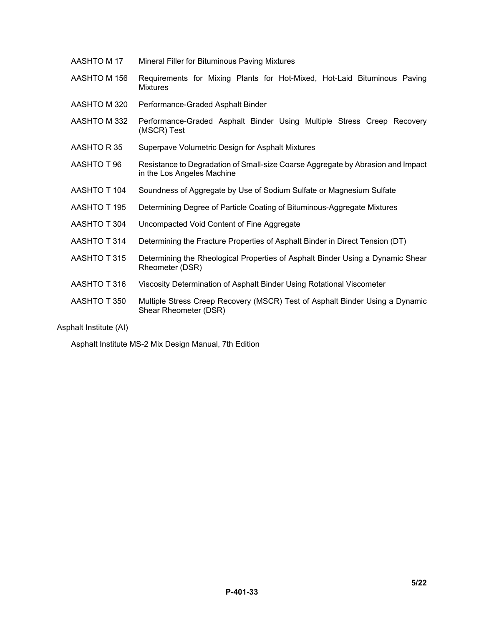| AASHTO M 17  | Mineral Filler for Bituminous Paving Mixtures                                                                 |  |  |
|--------------|---------------------------------------------------------------------------------------------------------------|--|--|
| AASHTO M 156 | Requirements for Mixing Plants for Hot-Mixed, Hot-Laid Bituminous Paving<br><b>Mixtures</b>                   |  |  |
| AASHTO M 320 | Performance-Graded Asphalt Binder                                                                             |  |  |
| AASHTO M 332 | Performance-Graded Asphalt Binder Using Multiple Stress Creep Recovery<br>(MSCR) Test                         |  |  |
| AASHTO R35   | Superpave Volumetric Design for Asphalt Mixtures                                                              |  |  |
| AASHTO T 96  | Resistance to Degradation of Small-size Coarse Aggregate by Abrasion and Impact<br>in the Los Angeles Machine |  |  |
| AASHTO T 104 | Soundness of Aggregate by Use of Sodium Sulfate or Magnesium Sulfate                                          |  |  |
| AASHTO T 195 | Determining Degree of Particle Coating of Bituminous-Aggregate Mixtures                                       |  |  |
| AASHTO T 304 | Uncompacted Void Content of Fine Aggregate                                                                    |  |  |
| AASHTO T 314 | Determining the Fracture Properties of Asphalt Binder in Direct Tension (DT)                                  |  |  |
| AASHTO T 315 | Determining the Rheological Properties of Asphalt Binder Using a Dynamic Shear<br>Rheometer (DSR)             |  |  |
| AASHTO T 316 | Viscosity Determination of Asphalt Binder Using Rotational Viscometer                                         |  |  |
| AASHTO T 350 | Multiple Stress Creep Recovery (MSCR) Test of Asphalt Binder Using a Dynamic<br>Shear Rheometer (DSR)         |  |  |

Asphalt Institute (AI)

Asphalt Institute MS-2 Mix Design Manual, 7th Edition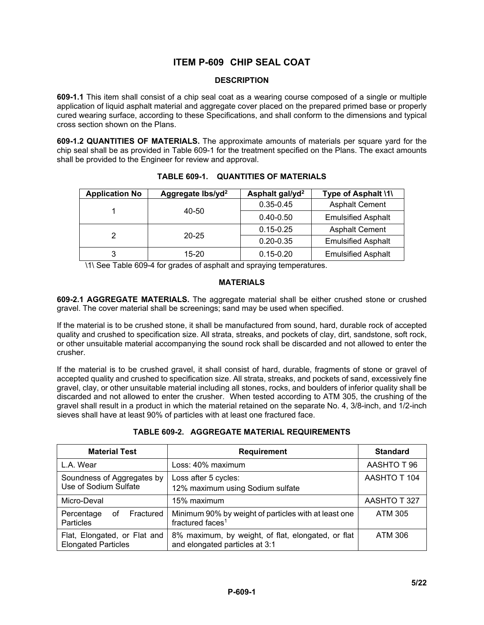# **ITEM P-609 CHIP SEAL COAT**

### **DESCRIPTION**

**609-1.1** This item shall consist of a chip seal coat as a wearing course composed of a single or multiple application of liquid asphalt material and aggregate cover placed on the prepared primed base or properly cured wearing surface, according to these Specifications, and shall conform to the dimensions and typical cross section shown on the Plans.

**609-1.2 QUANTITIES OF MATERIALS.** The approximate amounts of materials per square yard for the chip seal shall be as provided in Table 609-1 for the treatment specified on the Plans. The exact amounts shall be provided to the Engineer for review and approval.

| <b>Application No</b> | Aggregate lbs/yd <sup>2</sup> | Asphalt gal/yd <sup>2</sup> | Type of Asphalt \1\       |
|-----------------------|-------------------------------|-----------------------------|---------------------------|
|                       |                               | $0.35 - 0.45$               | <b>Asphalt Cement</b>     |
|                       | 40-50                         | $0.40 - 0.50$               | <b>Emulsified Asphalt</b> |
|                       |                               | $0.15 - 0.25$               | <b>Asphalt Cement</b>     |
|                       | $20 - 25$                     | $0.20 - 0.35$               | <b>Emulsified Asphalt</b> |
| 3                     | 15-20                         | $0.15 - 0.20$               | <b>Emulsified Asphalt</b> |

**TABLE 609-1. QUANTITIES OF MATERIALS**

\1\ See Table 609-4 for grades of asphalt and spraying temperatures.

# **MATERIALS**

**609-2.1 AGGREGATE MATERIALS.** The aggregate material shall be either crushed stone or crushed gravel. The cover material shall be screenings; sand may be used when specified.

If the material is to be crushed stone, it shall be manufactured from sound, hard, durable rock of accepted quality and crushed to specification size. All strata, streaks, and pockets of clay, dirt, sandstone, soft rock, or other unsuitable material accompanying the sound rock shall be discarded and not allowed to enter the crusher.

If the material is to be crushed gravel, it shall consist of hard, durable, fragments of stone or gravel of accepted quality and crushed to specification size. All strata, streaks, and pockets of sand, excessively fine gravel, clay, or other unsuitable material including all stones, rocks, and boulders of inferior quality shall be discarded and not allowed to enter the crusher. When tested according to ATM 305, the crushing of the gravel shall result in a product in which the material retained on the separate No. 4, 3/8-inch, and 1/2-inch sieves shall have at least 90% of particles with at least one fractured face.

| <b>Material Test</b>                                       | <b>Requirement</b>                                                                   | <b>Standard</b> |
|------------------------------------------------------------|--------------------------------------------------------------------------------------|-----------------|
| L.A. Wear                                                  | Loss: 40% maximum                                                                    | AASHTO T 96     |
| Soundness of Aggregates by                                 | Loss after 5 cycles:                                                                 | AASHTO T 104    |
| Use of Sodium Sulfate                                      | 12% maximum using Sodium sulfate                                                     |                 |
| Micro-Deval                                                | 15% maximum                                                                          | AASHTO T 327    |
| Fractured<br>Percentage<br>of<br>Particles                 | Minimum 90% by weight of particles with at least one<br>fractured faces <sup>1</sup> | <b>ATM 305</b>  |
| Flat, Elongated, or Flat and<br><b>Elongated Particles</b> | 8% maximum, by weight, of flat, elongated, or flat<br>and elongated particles at 3:1 | ATM 306         |

# **TABLE 609-2. AGGREGATE MATERIAL REQUIREMENTS**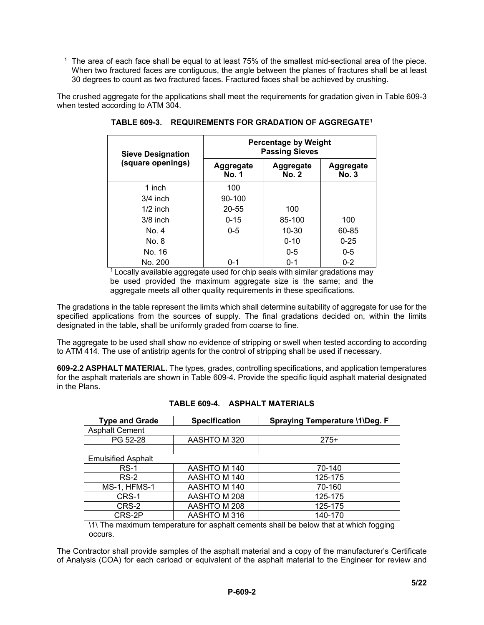$1$  The area of each face shall be equal to at least 75% of the smallest mid-sectional area of the piece. When two fractured faces are contiguous, the angle between the planes of fractures shall be at least 30 degrees to count as two fractured faces. Fractured faces shall be achieved by crushing.

The crushed aggregate for the applications shall meet the requirements for gradation given in Table 609-3 when tested according to ATM 304.

| <b>Sieve Designation</b> | <b>Percentage by Weight</b><br><b>Passing Sieves</b> |                           |                                  |
|--------------------------|------------------------------------------------------|---------------------------|----------------------------------|
| (square openings)        | Aggregate<br><b>No. 1</b>                            | Aggregate<br><b>No. 2</b> | <b>Aggregate</b><br><b>No. 3</b> |
| 1 inch                   | 100                                                  |                           |                                  |
| $3/4$ inch               | $90 - 100$                                           |                           |                                  |
| $1/2$ inch               | $20 - 55$                                            | 100                       |                                  |
| $3/8$ inch               | $0 - 15$                                             | 85-100                    | 100                              |
| No. 4                    | $0 - 5$                                              | $10 - 30$                 | 60-85                            |
| No. 8                    |                                                      | $0 - 10$                  | $0 - 25$                         |
| No. 16                   |                                                      | $0 - 5$                   | $0 - 5$                          |
| No. 200                  | $0 - 1$                                              | $0 - 1$                   | $0 - 2$                          |

**TABLE 609-3. REQUIREMENTS FOR GRADATION OF AGGREGATE1** 

 $1$  Locally available aggregate used for chip seals with similar gradations may be used provided the maximum aggregate size is the same; and the aggregate meets all other quality requirements in these specifications.

The gradations in the table represent the limits which shall determine suitability of aggregate for use for the specified applications from the sources of supply. The final gradations decided on, within the limits designated in the table, shall be uniformly graded from coarse to fine.

The aggregate to be used shall show no evidence of stripping or swell when tested according to according to ATM 414. The use of antistrip agents for the control of stripping shall be used if necessary.

**609-2.2 ASPHALT MATERIAL.** The types, grades, controlling specifications, and application temperatures for the asphalt materials are shown in Table 609-4. Provide the specific liquid asphalt material designated in the Plans.

| <b>Type and Grade</b>     | <b>Specification</b> | Spraying Temperature \1\Deg. F |
|---------------------------|----------------------|--------------------------------|
| <b>Asphalt Cement</b>     |                      |                                |
| PG 52-28                  | AASHTO M 320         | $275+$                         |
|                           |                      |                                |
| <b>Emulsified Asphalt</b> |                      |                                |
| $RS-1$                    | AASHTO M 140         | 70-140                         |
| $RS-2$                    | AASHTO M 140         | 125-175                        |
| MS-1, HFMS-1              | AASHTO M 140         | 70-160                         |
| CRS-1                     | AASHTO M 208         | 125-175                        |
| CRS-2                     | AASHTO M 208         | 125-175                        |
| CRS-2P                    | AASHTO M 316         | 140-170                        |

\1\ The maximum temperature for asphalt cements shall be below that at which fogging occurs.

The Contractor shall provide samples of the asphalt material and a copy of the manufacturer's Certificate of Analysis (COA) for each carload or equivalent of the asphalt material to the Engineer for review and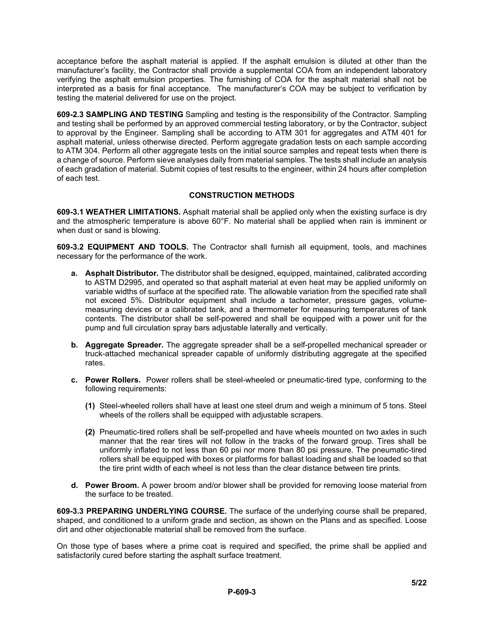acceptance before the asphalt material is applied. If the asphalt emulsion is diluted at other than the manufacturer's facility, the Contractor shall provide a supplemental COA from an independent laboratory verifying the asphalt emulsion properties. The furnishing of COA for the asphalt material shall not be interpreted as a basis for final acceptance. The manufacturer's COA may be subject to verification by testing the material delivered for use on the project.

**609-2.3 SAMPLING AND TESTING** Sampling and testing is the responsibility of the Contractor. Sampling and testing shall be performed by an approved commercial testing laboratory, or by the Contractor, subject to approval by the Engineer. Sampling shall be according to ATM 301 for aggregates and ATM 401 for asphalt material, unless otherwise directed. Perform aggregate gradation tests on each sample according to ATM 304. Perform all other aggregate tests on the initial source samples and repeat tests when there is a change of source. Perform sieve analyses daily from material samples. The tests shall include an analysis of each gradation of material. Submit copies of test results to the engineer, within 24 hours after completion of each test.

# **CONSTRUCTION METHODS**

**609-3.1 WEATHER LIMITATIONS.** Asphalt material shall be applied only when the existing surface is dry and the atmospheric temperature is above 60°F. No material shall be applied when rain is imminent or when dust or sand is blowing.

**609-3.2 EQUIPMENT AND TOOLS.** The Contractor shall furnish all equipment, tools, and machines necessary for the performance of the work.

- **a. Asphalt Distributor.** The distributor shall be designed, equipped, maintained, calibrated according to ASTM D2995, and operated so that asphalt material at even heat may be applied uniformly on variable widths of surface at the specified rate. The allowable variation from the specified rate shall not exceed 5%. Distributor equipment shall include a tachometer, pressure gages, volumemeasuring devices or a calibrated tank, and a thermometer for measuring temperatures of tank contents. The distributor shall be self-powered and shall be equipped with a power unit for the pump and full circulation spray bars adjustable laterally and vertically.
- **b. Aggregate Spreader.** The aggregate spreader shall be a self-propelled mechanical spreader or truck-attached mechanical spreader capable of uniformly distributing aggregate at the specified rates.
- **c. Power Rollers.** Power rollers shall be steel-wheeled or pneumatic-tired type, conforming to the following requirements:
	- **(1)** Steel-wheeled rollers shall have at least one steel drum and weigh a minimum of 5 tons. Steel wheels of the rollers shall be equipped with adjustable scrapers.
	- **(2)** Pneumatic-tired rollers shall be self-propelled and have wheels mounted on two axles in such manner that the rear tires will not follow in the tracks of the forward group. Tires shall be uniformly inflated to not less than 60 psi nor more than 80 psi pressure. The pneumatic-tired rollers shall be equipped with boxes or platforms for ballast loading and shall be loaded so that the tire print width of each wheel is not less than the clear distance between tire prints.
- **d. Power Broom.** A power broom and/or blower shall be provided for removing loose material from the surface to be treated.

**609-3.3 PREPARING UNDERLYING COURSE.** The surface of the underlying course shall be prepared, shaped, and conditioned to a uniform grade and section, as shown on the Plans and as specified. Loose dirt and other objectionable material shall be removed from the surface.

On those type of bases where a prime coat is required and specified, the prime shall be applied and satisfactorily cured before starting the asphalt surface treatment.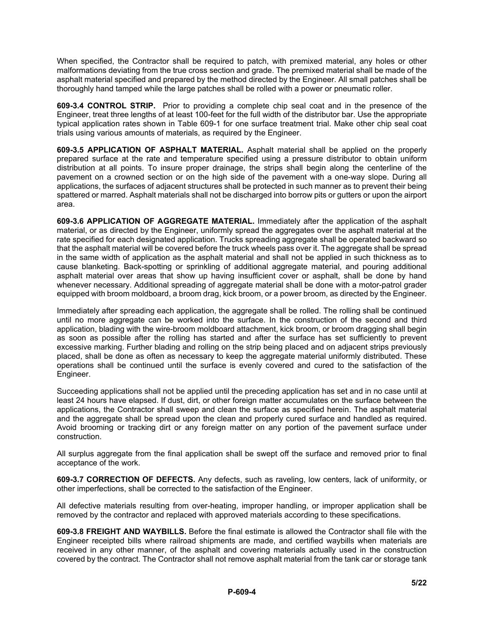When specified, the Contractor shall be required to patch, with premixed material, any holes or other malformations deviating from the true cross section and grade. The premixed material shall be made of the asphalt material specified and prepared by the method directed by the Engineer. All small patches shall be thoroughly hand tamped while the large patches shall be rolled with a power or pneumatic roller.

**609-3.4 CONTROL STRIP.** Prior to providing a complete chip seal coat and in the presence of the Engineer, treat three lengths of at least 100-feet for the full width of the distributor bar. Use the appropriate typical application rates shown in Table 609-1 for one surface treatment trial. Make other chip seal coat trials using various amounts of materials, as required by the Engineer.

**609-3.5 APPLICATION OF ASPHALT MATERIAL.** Asphalt material shall be applied on the properly prepared surface at the rate and temperature specified using a pressure distributor to obtain uniform distribution at all points. To insure proper drainage, the strips shall begin along the centerline of the pavement on a crowned section or on the high side of the pavement with a one-way slope. During all applications, the surfaces of adjacent structures shall be protected in such manner as to prevent their being spattered or marred. Asphalt materials shall not be discharged into borrow pits or gutters or upon the airport area.

**609-3.6 APPLICATION OF AGGREGATE MATERIAL.** Immediately after the application of the asphalt material, or as directed by the Engineer, uniformly spread the aggregates over the asphalt material at the rate specified for each designated application. Trucks spreading aggregate shall be operated backward so that the asphalt material will be covered before the truck wheels pass over it. The aggregate shall be spread in the same width of application as the asphalt material and shall not be applied in such thickness as to cause blanketing. Back-spotting or sprinkling of additional aggregate material, and pouring additional asphalt material over areas that show up having insufficient cover or asphalt, shall be done by hand whenever necessary. Additional spreading of aggregate material shall be done with a motor-patrol grader equipped with broom moldboard, a broom drag, kick broom, or a power broom, as directed by the Engineer.

Immediately after spreading each application, the aggregate shall be rolled. The rolling shall be continued until no more aggregate can be worked into the surface. In the construction of the second and third application, blading with the wire-broom moldboard attachment, kick broom, or broom dragging shall begin as soon as possible after the rolling has started and after the surface has set sufficiently to prevent excessive marking. Further blading and rolling on the strip being placed and on adjacent strips previously placed, shall be done as often as necessary to keep the aggregate material uniformly distributed. These operations shall be continued until the surface is evenly covered and cured to the satisfaction of the Engineer.

Succeeding applications shall not be applied until the preceding application has set and in no case until at least 24 hours have elapsed. If dust, dirt, or other foreign matter accumulates on the surface between the applications, the Contractor shall sweep and clean the surface as specified herein. The asphalt material and the aggregate shall be spread upon the clean and properly cured surface and handled as required. Avoid brooming or tracking dirt or any foreign matter on any portion of the pavement surface under construction.

All surplus aggregate from the final application shall be swept off the surface and removed prior to final acceptance of the work.

**609-3.7 CORRECTION OF DEFECTS.** Any defects, such as raveling, low centers, lack of uniformity, or other imperfections, shall be corrected to the satisfaction of the Engineer.

All defective materials resulting from over-heating, improper handling, or improper application shall be removed by the contractor and replaced with approved materials according to these specifications.

**609-3.8 FREIGHT AND WAYBILLS.** Before the final estimate is allowed the Contractor shall file with the Engineer receipted bills where railroad shipments are made, and certified waybills when materials are received in any other manner, of the asphalt and covering materials actually used in the construction covered by the contract. The Contractor shall not remove asphalt material from the tank car or storage tank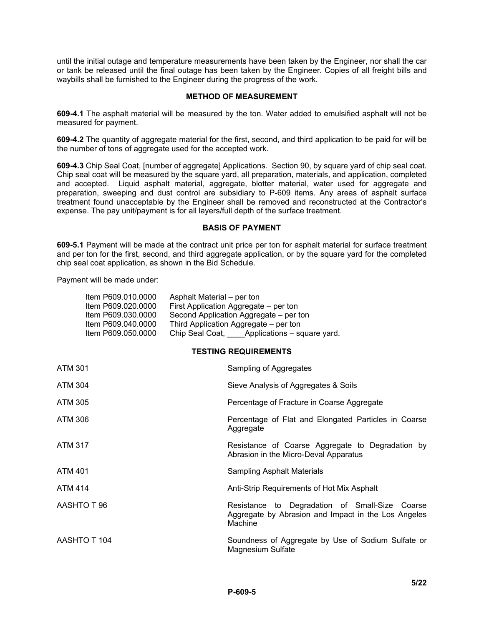until the initial outage and temperature measurements have been taken by the Engineer, nor shall the car or tank be released until the final outage has been taken by the Engineer. Copies of all freight bills and waybills shall be furnished to the Engineer during the progress of the work.

### **METHOD OF MEASUREMENT**

**609-4.1** The asphalt material will be measured by the ton. Water added to emulsified asphalt will not be measured for payment.

**609-4.2** The quantity of aggregate material for the first, second, and third application to be paid for will be the number of tons of aggregate used for the accepted work.

**609-4.3** Chip Seal Coat, [number of aggregate] Applications. Section 90, by square yard of chip seal coat. Chip seal coat will be measured by the square yard, all preparation, materials, and application, completed and accepted. Liquid asphalt material, aggregate, blotter material, water used for aggregate and preparation, sweeping and dust control are subsidiary to P-609 items. Any areas of asphalt surface treatment found unacceptable by the Engineer shall be removed and reconstructed at the Contractor's expense. The pay unit/payment is for all layers/full depth of the surface treatment.

### **BASIS OF PAYMENT**

**609-5.1** Payment will be made at the contract unit price per ton for asphalt material for surface treatment and per ton for the first, second, and third aggregate application, or by the square yard for the completed chip seal coat application, as shown in the Bid Schedule.

Payment will be made under:

| Item P609.010.0000 | Asphalt Material – per ton                  |
|--------------------|---------------------------------------------|
| Item P609.020.0000 | First Application Aggregate – per ton       |
| Item P609.030.0000 | Second Application Aggregate – per ton      |
| Item P609.040.0000 | Third Application Aggregate – per ton       |
| Item P609.050.0000 | Chip Seal Coat, Applications – square yard. |
|                    |                                             |

# **TESTING REQUIREMENTS**

| <b>ATM 301</b> | Sampling of Aggregates                                                                                           |  |
|----------------|------------------------------------------------------------------------------------------------------------------|--|
| ATM 304        | Sieve Analysis of Aggregates & Soils                                                                             |  |
| ATM 305        | Percentage of Fracture in Coarse Aggregate                                                                       |  |
| ATM 306        | Percentage of Flat and Elongated Particles in Coarse<br>Aggregate                                                |  |
| <b>ATM 317</b> | Resistance of Coarse Aggregate to Degradation by<br>Abrasion in the Micro-Deval Apparatus                        |  |
| <b>ATM 401</b> | <b>Sampling Asphalt Materials</b>                                                                                |  |
| <b>ATM 414</b> | Anti-Strip Requirements of Hot Mix Asphalt                                                                       |  |
| AASHTO T 96    | Resistance to Degradation of Small-Size Coarse<br>Aggregate by Abrasion and Impact in the Los Angeles<br>Machine |  |
| AASHTO T 104   | Soundness of Aggregate by Use of Sodium Sulfate or<br>Magnesium Sulfate                                          |  |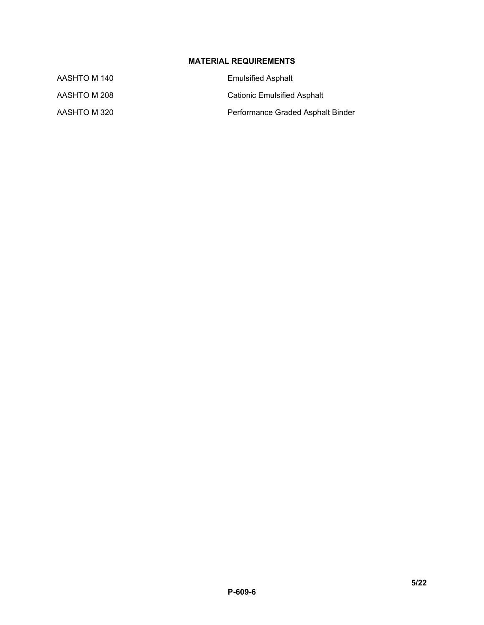# **MATERIAL REQUIREMENTS**

| AASHTO M 140 | <b>Emulsified Asphalt</b>         |  |
|--------------|-----------------------------------|--|
| AASHTO M 208 | Cationic Emulsified Asphalt       |  |
| AASHTO M 320 | Performance Graded Asphalt Binder |  |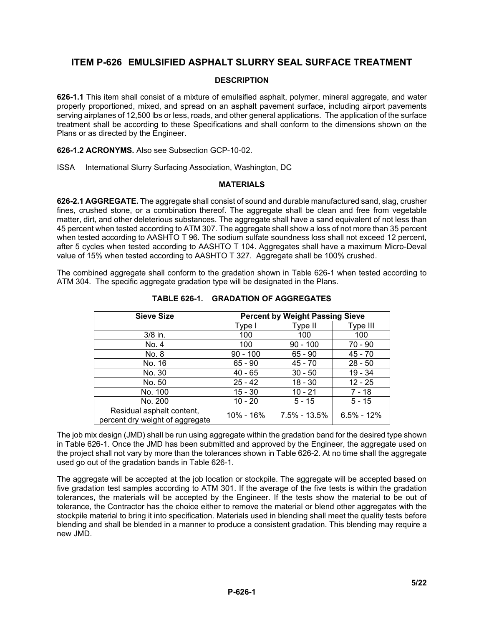# **ITEM P-626 EMULSIFIED ASPHALT SLURRY SEAL SURFACE TREATMENT**

# **DESCRIPTION**

**626-1.1** This item shall consist of a mixture of emulsified asphalt, polymer, mineral aggregate, and water properly proportioned, mixed, and spread on an asphalt pavement surface, including airport pavements serving airplanes of 12,500 lbs or less, roads, and other general applications. The application of the surface treatment shall be according to these Specifications and shall conform to the dimensions shown on the Plans or as directed by the Engineer.

**626-1.2 ACRONYMS.** Also see Subsection GCP-10-02.

ISSA International Slurry Surfacing Association, Washington, DC

#### **MATERIALS**

**626-2.1 AGGREGATE.** The aggregate shall consist of sound and durable manufactured sand, slag, crusher fines, crushed stone, or a combination thereof. The aggregate shall be clean and free from vegetable matter, dirt, and other deleterious substances. The aggregate shall have a sand equivalent of not less than 45 percent when tested according to ATM 307. The aggregate shall show a loss of not more than 35 percent when tested according to AASHTO T 96. The sodium sulfate soundness loss shall not exceed 12 percent, after 5 cycles when tested according to AASHTO T 104. Aggregates shall have a maximum Micro-Deval value of 15% when tested according to AASHTO T 327. Aggregate shall be 100% crushed.

The combined aggregate shall conform to the gradation shown in Table 626-1 when tested according to ATM 304. The specific aggregate gradation type will be designated in the Plans.

| <b>Sieve Size</b>                                            | <b>Percent by Weight Passing Sieve</b> |                  |                |
|--------------------------------------------------------------|----------------------------------------|------------------|----------------|
|                                                              | Type I                                 | Type II          | Type III       |
| $3/8$ in.                                                    | 100                                    | 100              | 100            |
| No. 4                                                        | 100                                    | $90 - 100$       | 70 - 90        |
| No. 8                                                        | $90 - 100$                             | $65 - 90$        | 45 - 70        |
| No. 16                                                       | $65 - 90$                              | 45 - 70          | $28 - 50$      |
| No. 30                                                       | $40 - 65$                              | $30 - 50$        | $19 - 34$      |
| No. 50                                                       | $25 - 42$                              | $18 - 30$        | $12 - 25$      |
| No. 100                                                      | $15 - 30$                              | $10 - 21$        | $7 - 18$       |
| No. 200                                                      | $10 - 20$                              | $5 - 15$         | $5 - 15$       |
| Residual asphalt content,<br>percent dry weight of aggregate | 10% - 16%                              | $7.5\% - 13.5\%$ | $6.5\% - 12\%$ |

**TABLE 626-1. GRADATION OF AGGREGATES**

The job mix design (JMD) shall be run using aggregate within the gradation band for the desired type shown in Table 626-1. Once the JMD has been submitted and approved by the Engineer, the aggregate used on the project shall not vary by more than the tolerances shown in Table 626-2. At no time shall the aggregate used go out of the gradation bands in Table 626-1.

The aggregate will be accepted at the job location or stockpile. The aggregate will be accepted based on five gradation test samples according to ATM 301. If the average of the five tests is within the gradation tolerances, the materials will be accepted by the Engineer. If the tests show the material to be out of tolerance, the Contractor has the choice either to remove the material or blend other aggregates with the stockpile material to bring it into specification. Materials used in blending shall meet the quality tests before blending and shall be blended in a manner to produce a consistent gradation. This blending may require a new JMD.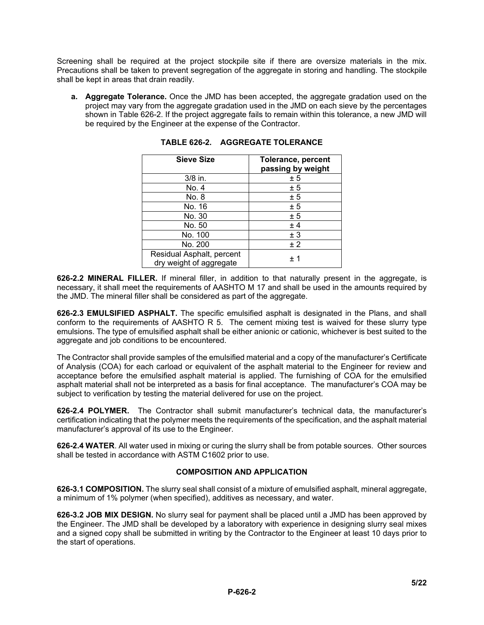Screening shall be required at the project stockpile site if there are oversize materials in the mix. Precautions shall be taken to prevent segregation of the aggregate in storing and handling. The stockpile shall be kept in areas that drain readily.

**a. Aggregate Tolerance.** Once the JMD has been accepted, the aggregate gradation used on the project may vary from the aggregate gradation used in the JMD on each sieve by the percentages shown in Table 626-2. If the project aggregate fails to remain within this tolerance, a new JMD will be required by the Engineer at the expense of the Contractor.

| <b>Sieve Size</b>                                    | Tolerance, percent<br>passing by weight |
|------------------------------------------------------|-----------------------------------------|
| 3/8 in.                                              | ± 5                                     |
| No. 4                                                | ± 5                                     |
| No. 8                                                | ± 5                                     |
| No. 16                                               | ± 5                                     |
| No. 30                                               | ± 5                                     |
| No. 50                                               | ± 4                                     |
| No. 100                                              | ± 3                                     |
| No. 200                                              | ± 2                                     |
| Residual Asphalt, percent<br>dry weight of aggregate | $+1$                                    |

**TABLE 626-2. AGGREGATE TOLERANCE**

**626-2.2 MINERAL FILLER.** If mineral filler, in addition to that naturally present in the aggregate, is necessary, it shall meet the requirements of AASHTO M 17 and shall be used in the amounts required by the JMD. The mineral filler shall be considered as part of the aggregate.

**626-2.3 EMULSIFIED ASPHALT.** The specific emulsified asphalt is designated in the Plans, and shall conform to the requirements of AASHTO R 5. The cement mixing test is waived for these slurry type emulsions. The type of emulsified asphalt shall be either anionic or cationic, whichever is best suited to the aggregate and job conditions to be encountered.

The Contractor shall provide samples of the emulsified material and a copy of the manufacturer's Certificate of Analysis (COA) for each carload or equivalent of the asphalt material to the Engineer for review and acceptance before the emulsified asphalt material is applied. The furnishing of COA for the emulsified asphalt material shall not be interpreted as a basis for final acceptance. The manufacturer's COA may be subject to verification by testing the material delivered for use on the project.

**626-2.4 POLYMER.** The Contractor shall submit manufacturer's technical data, the manufacturer's certification indicating that the polymer meets the requirements of the specification, and the asphalt material manufacturer's approval of its use to the Engineer.

**626-2.4 WATER**. All water used in mixing or curing the slurry shall be from potable sources. Other sources shall be tested in accordance with ASTM C1602 prior to use.

# **COMPOSITION AND APPLICATION**

**626-3.1 COMPOSITION.** The slurry seal shall consist of a mixture of emulsified asphalt, mineral aggregate, a minimum of 1% polymer (when specified), additives as necessary, and water.

**626-3.2 JOB MIX DESIGN.** No slurry seal for payment shall be placed until a JMD has been approved by the Engineer. The JMD shall be developed by a laboratory with experience in designing slurry seal mixes and a signed copy shall be submitted in writing by the Contractor to the Engineer at least 10 days prior to the start of operations.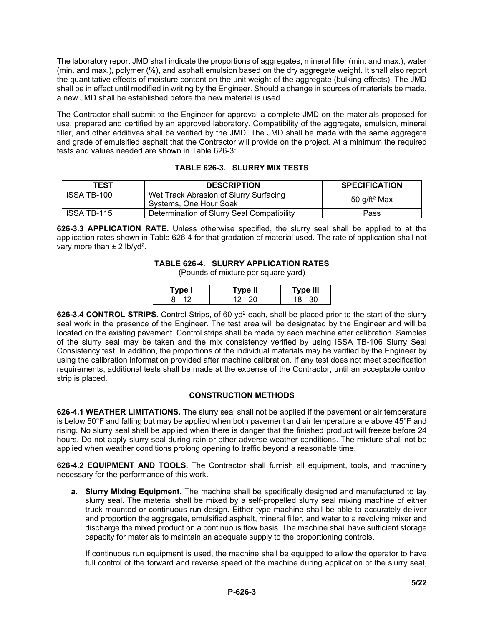The laboratory report JMD shall indicate the proportions of aggregates, mineral filler (min. and max.), water (min. and max.), polymer (%), and asphalt emulsion based on the dry aggregate weight. It shall also report the quantitative effects of moisture content on the unit weight of the aggregate (bulking effects). The JMD shall be in effect until modified in writing by the Engineer. Should a change in sources of materials be made, a new JMD shall be established before the new material is used.

The Contractor shall submit to the Engineer for approval a complete JMD on the materials proposed for use, prepared and certified by an approved laboratory. Compatibility of the aggregate, emulsion, mineral filler, and other additives shall be verified by the JMD. The JMD shall be made with the same aggregate and grade of emulsified asphalt that the Contractor will provide on the project. At a minimum the required tests and values needed are shown in Table 626-3:

| TEST               | <b>DESCRIPTION</b>                                               | <b>SPECIFICATION</b>     |
|--------------------|------------------------------------------------------------------|--------------------------|
| ISSA TB-100        | Wet Track Abrasion of Slurry Surfacing<br>Systems, One Hour Soak | 50 g/ft <sup>2</sup> Max |
| <b>ISSA TB-115</b> | Determination of Slurry Seal Compatibility                       | Pass                     |

**626-3.3 APPLICATION RATE.** Unless otherwise specified, the slurry seal shall be applied to at the application rates shown in Table 626-4 for that gradation of material used. The rate of application shall not vary more than ± 2 lb/yd².

# **TABLE 626-4. SLURRY APPLICATION RATES**

(Pounds of mixture per square yard)

|                          | vpe II | Type III |
|--------------------------|--------|----------|
| $\overline{\phantom{a}}$ |        | າ∩       |

**626-3.4 CONTROL STRIPS.** Control Strips, of 60 yd<sup>2</sup> each, shall be placed prior to the start of the slurry seal work in the presence of the Engineer. The test area will be designated by the Engineer and will be located on the existing pavement. Control strips shall be made by each machine after calibration. Samples of the slurry seal may be taken and the mix consistency verified by using ISSA TB-106 Slurry Seal Consistency test. In addition, the proportions of the individual materials may be verified by the Engineer by using the calibration information provided after machine calibration. If any test does not meet specification requirements, additional tests shall be made at the expense of the Contractor, until an acceptable control strip is placed.

# **CONSTRUCTION METHODS**

**626-4.1 WEATHER LIMITATIONS.** The slurry seal shall not be applied if the pavement or air temperature is below 50°F and falling but may be applied when both pavement and air temperature are above 45°F and rising. No slurry seal shall be applied when there is danger that the finished product will freeze before 24 hours. Do not apply slurry seal during rain or other adverse weather conditions. The mixture shall not be applied when weather conditions prolong opening to traffic beyond a reasonable time.

**626-4.2 EQUIPMENT AND TOOLS.** The Contractor shall furnish all equipment, tools, and machinery necessary for the performance of this work.

**a. Slurry Mixing Equipment.** The machine shall be specifically designed and manufactured to lay slurry seal. The material shall be mixed by a self-propelled slurry seal mixing machine of either truck mounted or continuous run design. Either type machine shall be able to accurately deliver and proportion the aggregate, emulsified asphalt, mineral filler, and water to a revolving mixer and discharge the mixed product on a continuous flow basis. The machine shall have sufficient storage capacity for materials to maintain an adequate supply to the proportioning controls.

If continuous run equipment is used, the machine shall be equipped to allow the operator to have full control of the forward and reverse speed of the machine during application of the slurry seal,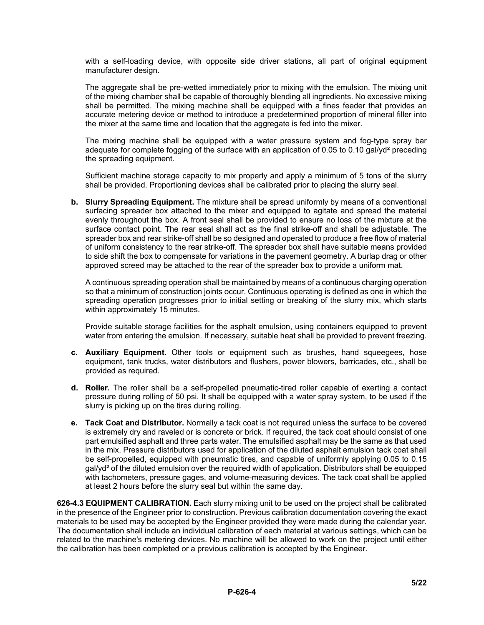with a self-loading device, with opposite side driver stations, all part of original equipment manufacturer design.

The aggregate shall be pre-wetted immediately prior to mixing with the emulsion. The mixing unit of the mixing chamber shall be capable of thoroughly blending all ingredients. No excessive mixing shall be permitted. The mixing machine shall be equipped with a fines feeder that provides an accurate metering device or method to introduce a predetermined proportion of mineral filler into the mixer at the same time and location that the aggregate is fed into the mixer.

The mixing machine shall be equipped with a water pressure system and fog-type spray bar adequate for complete fogging of the surface with an application of 0.05 to 0.10 gal/yd² preceding the spreading equipment.

Sufficient machine storage capacity to mix properly and apply a minimum of 5 tons of the slurry shall be provided. Proportioning devices shall be calibrated prior to placing the slurry seal.

**b. Slurry Spreading Equipment.** The mixture shall be spread uniformly by means of a conventional surfacing spreader box attached to the mixer and equipped to agitate and spread the material evenly throughout the box. A front seal shall be provided to ensure no loss of the mixture at the surface contact point. The rear seal shall act as the final strike-off and shall be adjustable. The spreader box and rear strike-off shall be so designed and operated to produce a free flow of material of uniform consistency to the rear strike-off. The spreader box shall have suitable means provided to side shift the box to compensate for variations in the pavement geometry. A burlap drag or other approved screed may be attached to the rear of the spreader box to provide a uniform mat.

A continuous spreading operation shall be maintained by means of a continuous charging operation so that a minimum of construction joints occur. Continuous operating is defined as one in which the spreading operation progresses prior to initial setting or breaking of the slurry mix, which starts within approximately 15 minutes.

Provide suitable storage facilities for the asphalt emulsion, using containers equipped to prevent water from entering the emulsion. If necessary, suitable heat shall be provided to prevent freezing.

- **c. Auxiliary Equipment.** Other tools or equipment such as brushes, hand squeegees, hose equipment, tank trucks, water distributors and flushers, power blowers, barricades, etc., shall be provided as required.
- **d. Roller.** The roller shall be a self-propelled pneumatic-tired roller capable of exerting a contact pressure during rolling of 50 psi. It shall be equipped with a water spray system, to be used if the slurry is picking up on the tires during rolling.
- **e. Tack Coat and Distributor.** Normally a tack coat is not required unless the surface to be covered is extremely dry and raveled or is concrete or brick. If required, the tack coat should consist of one part emulsified asphalt and three parts water. The emulsified asphalt may be the same as that used in the mix. Pressure distributors used for application of the diluted asphalt emulsion tack coat shall be self-propelled, equipped with pneumatic tires, and capable of uniformly applying 0.05 to 0.15 gal/yd² of the diluted emulsion over the required width of application. Distributors shall be equipped with tachometers, pressure gages, and volume-measuring devices. The tack coat shall be applied at least 2 hours before the slurry seal but within the same day.

**626-4.3 EQUIPMENT CALIBRATION.** Each slurry mixing unit to be used on the project shall be calibrated in the presence of the Engineer prior to construction. Previous calibration documentation covering the exact materials to be used may be accepted by the Engineer provided they were made during the calendar year. The documentation shall include an individual calibration of each material at various settings, which can be related to the machine's metering devices. No machine will be allowed to work on the project until either the calibration has been completed or a previous calibration is accepted by the Engineer.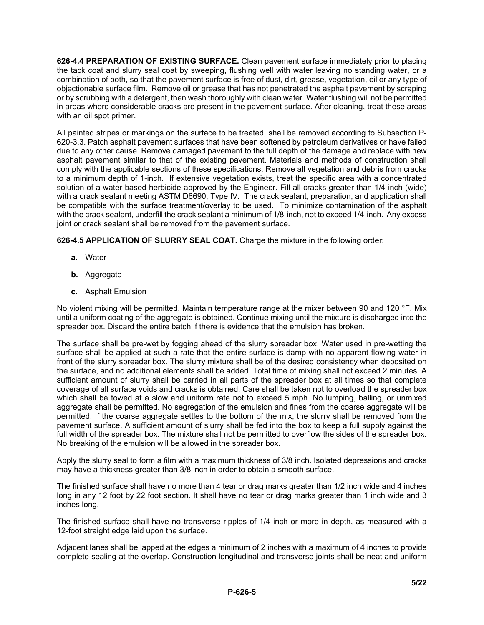**626-4.4 PREPARATION OF EXISTING SURFACE.** Clean pavement surface immediately prior to placing the tack coat and slurry seal coat by sweeping, flushing well with water leaving no standing water, or a combination of both, so that the pavement surface is free of dust, dirt, grease, vegetation, oil or any type of objectionable surface film. Remove oil or grease that has not penetrated the asphalt pavement by scraping or by scrubbing with a detergent, then wash thoroughly with clean water. Water flushing will not be permitted in areas where considerable cracks are present in the pavement surface. After cleaning, treat these areas with an oil spot primer.

All painted stripes or markings on the surface to be treated, shall be removed according to Subsection P-620-3.3. Patch asphalt pavement surfaces that have been softened by petroleum derivatives or have failed due to any other cause. Remove damaged pavement to the full depth of the damage and replace with new asphalt pavement similar to that of the existing pavement. Materials and methods of construction shall comply with the applicable sections of these specifications. Remove all vegetation and debris from cracks to a minimum depth of 1-inch. If extensive vegetation exists, treat the specific area with a concentrated solution of a water-based herbicide approved by the Engineer. Fill all cracks greater than 1/4-inch (wide) with a crack sealant meeting ASTM D6690, Type IV. The crack sealant, preparation, and application shall be compatible with the surface treatment/overlay to be used. To minimize contamination of the asphalt with the crack sealant, underfill the crack sealant a minimum of 1/8-inch, not to exceed 1/4-inch. Any excess joint or crack sealant shall be removed from the pavement surface.

**626-4.5 APPLICATION OF SLURRY SEAL COAT.** Charge the mixture in the following order:

- **a.** Water
- **b.** Aggregate
- **c.** Asphalt Emulsion

No violent mixing will be permitted. Maintain temperature range at the mixer between 90 and 120 °F. Mix until a uniform coating of the aggregate is obtained. Continue mixing until the mixture is discharged into the spreader box. Discard the entire batch if there is evidence that the emulsion has broken.

The surface shall be pre-wet by fogging ahead of the slurry spreader box. Water used in pre-wetting the surface shall be applied at such a rate that the entire surface is damp with no apparent flowing water in front of the slurry spreader box. The slurry mixture shall be of the desired consistency when deposited on the surface, and no additional elements shall be added. Total time of mixing shall not exceed 2 minutes. A sufficient amount of slurry shall be carried in all parts of the spreader box at all times so that complete coverage of all surface voids and cracks is obtained. Care shall be taken not to overload the spreader box which shall be towed at a slow and uniform rate not to exceed 5 mph. No lumping, balling, or unmixed aggregate shall be permitted. No segregation of the emulsion and fines from the coarse aggregate will be permitted. If the coarse aggregate settles to the bottom of the mix, the slurry shall be removed from the pavement surface. A sufficient amount of slurry shall be fed into the box to keep a full supply against the full width of the spreader box. The mixture shall not be permitted to overflow the sides of the spreader box. No breaking of the emulsion will be allowed in the spreader box.

Apply the slurry seal to form a film with a maximum thickness of 3/8 inch. Isolated depressions and cracks may have a thickness greater than 3/8 inch in order to obtain a smooth surface.

The finished surface shall have no more than 4 tear or drag marks greater than 1/2 inch wide and 4 inches long in any 12 foot by 22 foot section. It shall have no tear or drag marks greater than 1 inch wide and 3 inches long.

The finished surface shall have no transverse ripples of 1/4 inch or more in depth, as measured with a 12-foot straight edge laid upon the surface.

Adjacent lanes shall be lapped at the edges a minimum of 2 inches with a maximum of 4 inches to provide complete sealing at the overlap. Construction longitudinal and transverse joints shall be neat and uniform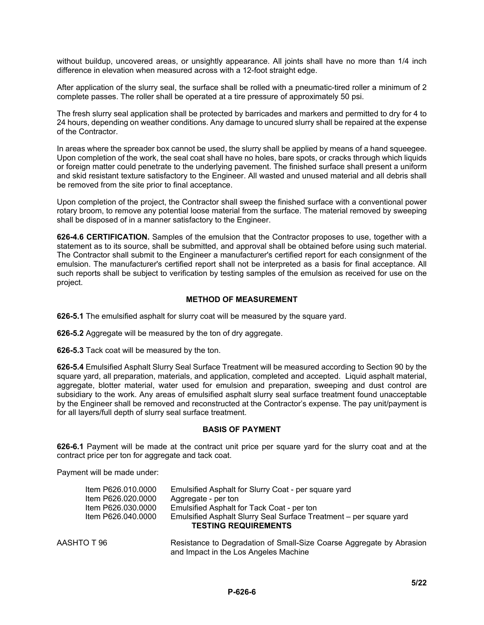without buildup, uncovered areas, or unsightly appearance. All joints shall have no more than 1/4 inch difference in elevation when measured across with a 12-foot straight edge.

After application of the slurry seal, the surface shall be rolled with a pneumatic-tired roller a minimum of 2 complete passes. The roller shall be operated at a tire pressure of approximately 50 psi.

The fresh slurry seal application shall be protected by barricades and markers and permitted to dry for 4 to 24 hours, depending on weather conditions. Any damage to uncured slurry shall be repaired at the expense of the Contractor.

In areas where the spreader box cannot be used, the slurry shall be applied by means of a hand squeegee. Upon completion of the work, the seal coat shall have no holes, bare spots, or cracks through which liquids or foreign matter could penetrate to the underlying pavement. The finished surface shall present a uniform and skid resistant texture satisfactory to the Engineer. All wasted and unused material and all debris shall be removed from the site prior to final acceptance.

Upon completion of the project, the Contractor shall sweep the finished surface with a conventional power rotary broom, to remove any potential loose material from the surface. The material removed by sweeping shall be disposed of in a manner satisfactory to the Engineer.

**626-4.6 CERTIFICATION.** Samples of the emulsion that the Contractor proposes to use, together with a statement as to its source, shall be submitted, and approval shall be obtained before using such material. The Contractor shall submit to the Engineer a manufacturer's certified report for each consignment of the emulsion. The manufacturer's certified report shall not be interpreted as a basis for final acceptance. All such reports shall be subject to verification by testing samples of the emulsion as received for use on the project.

# **METHOD OF MEASUREMENT**

**626-5.1** The emulsified asphalt for slurry coat will be measured by the square yard.

**626-5.2** Aggregate will be measured by the ton of dry aggregate.

**626-5.3** Tack coat will be measured by the ton.

**626-5.4** Emulsified Asphalt Slurry Seal Surface Treatment will be measured according to Section 90 by the square yard, all preparation, materials, and application, completed and accepted. Liquid asphalt material, aggregate, blotter material, water used for emulsion and preparation, sweeping and dust control are subsidiary to the work. Any areas of emulsified asphalt slurry seal surface treatment found unacceptable by the Engineer shall be removed and reconstructed at the Contractor's expense. The pay unit/payment is for all layers/full depth of slurry seal surface treatment.

# **BASIS OF PAYMENT**

**626-6.1** Payment will be made at the contract unit price per square yard for the slurry coat and at the contract price per ton for aggregate and tack coat.

Payment will be made under:

| Item P626.010.0000 | Emulsified Asphalt for Slurry Coat - per square yard               |
|--------------------|--------------------------------------------------------------------|
| Item P626.020.0000 | Aggregate - per ton                                                |
| Item P626.030.0000 | Emulsified Asphalt for Tack Coat - per ton                         |
| Item P626.040.0000 | Emulsified Asphalt Slurry Seal Surface Treatment – per square yard |
|                    | <b>TESTING REQUIREMENTS</b>                                        |
|                    |                                                                    |
| $T \cap T \cap C$  | Desistance to Degradation of Small Size Cooree Aggregate by Abroai |

AASHTO T 96 Resistance to Degradation of Small-Size Coarse Aggregate by Abrasion and Impact in the Los Angeles Machine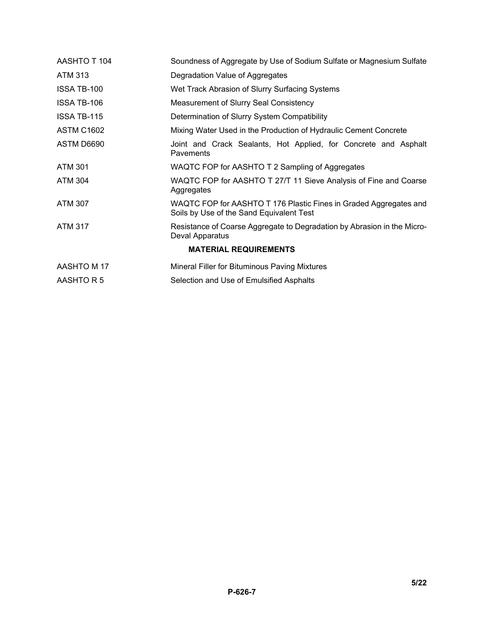| AASHTO T 104                 | Soundness of Aggregate by Use of Sodium Sulfate or Magnesium Sulfate                                          |
|------------------------------|---------------------------------------------------------------------------------------------------------------|
| <b>ATM 313</b>               | Degradation Value of Aggregates                                                                               |
| ISSA TB-100                  | Wet Track Abrasion of Slurry Surfacing Systems                                                                |
| ISSA TB-106                  | Measurement of Slurry Seal Consistency                                                                        |
| <b>ISSA TB-115</b>           | Determination of Slurry System Compatibility                                                                  |
| <b>ASTM C1602</b>            | Mixing Water Used in the Production of Hydraulic Cement Concrete                                              |
| ASTM D6690                   | Joint and Crack Sealants, Hot Applied, for Concrete and Asphalt<br>Pavements                                  |
| <b>ATM 301</b>               | WAQTC FOP for AASHTO T 2 Sampling of Aggregates                                                               |
| <b>ATM 304</b>               | WAQTC FOP for AASHTO T 27/T 11 Sieve Analysis of Fine and Coarse<br>Aggregates                                |
| <b>ATM 307</b>               | WAQTC FOP for AASHTO T 176 Plastic Fines in Graded Aggregates and<br>Soils by Use of the Sand Equivalent Test |
| <b>ATM 317</b>               | Resistance of Coarse Aggregate to Degradation by Abrasion in the Micro-<br>Deval Apparatus                    |
| <b>MATERIAL REQUIREMENTS</b> |                                                                                                               |
| AASHTO M 17                  | Mineral Filler for Bituminous Paving Mixtures                                                                 |
| AASHTO R 5                   | Selection and Use of Emulsified Asphalts                                                                      |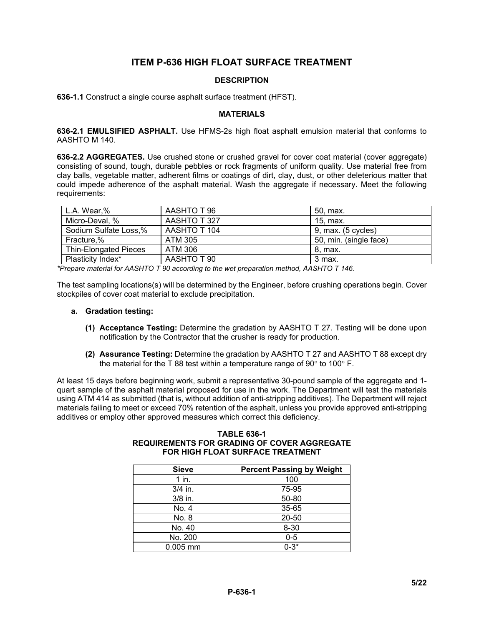# **ITEM P-636 HIGH FLOAT SURFACE TREATMENT**

# **DESCRIPTION**

**636-1.1** Construct a single course asphalt surface treatment (HFST).

#### **MATERIALS**

**636-2.1 EMULSIFIED ASPHALT.** Use HFMS-2s high float asphalt emulsion material that conforms to AASHTO M 140.

**636-2.2 AGGREGATES.** Use crushed stone or crushed gravel for cover coat material (cover aggregate) consisting of sound, tough, durable pebbles or rock fragments of uniform quality. Use material free from clay balls, vegetable matter, adherent films or coatings of dirt, clay, dust, or other deleterious matter that could impede adherence of the asphalt material. Wash the aggregate if necessary. Meet the following requirements:

| L.A. Wear,%                  | AASHTO T 96  | 50, max.               |
|------------------------------|--------------|------------------------|
| Micro-Deval, %               | AASHTO T 327 | 15. max.               |
| Sodium Sulfate Loss,%        | AASHTO T 104 | $9.$ max. $(5$ cycles) |
| Fracture,%                   | ATM 305      | 50, min. (single face) |
| <b>Thin-Elongated Pieces</b> | ATM 306      | 8. max.                |
| Plasticity Index*            | AASHTO T 90  | 3 max.                 |

*\*Prepare material for AASHTO T 90 according to the wet preparation method, AASHTO T 146.*

The test sampling locations(s) will be determined by the Engineer, before crushing operations begin. Cover stockpiles of cover coat material to exclude precipitation.

#### **a. Gradation testing:**

- **(1) Acceptance Testing:** Determine the gradation by AASHTO T 27. Testing will be done upon notification by the Contractor that the crusher is ready for production.
- **(2) Assurance Testing:** Determine the gradation by AASHTO T 27 and AASHTO T 88 except dry the material for the T 88 test within a temperature range of 90° to 100° F.

At least 15 days before beginning work, submit a representative 30-pound sample of the aggregate and 1 quart sample of the asphalt material proposed for use in the work. The Department will test the materials using ATM 414 as submitted (that is, without addition of anti-stripping additives). The Department will reject materials failing to meet or exceed 70% retention of the asphalt, unless you provide approved anti-stripping additives or employ other approved measures which correct this deficiency.

| <b>TABLE 636-1</b>                          |
|---------------------------------------------|
| REQUIREMENTS FOR GRADING OF COVER AGGREGATE |
| FOR HIGH FLOAT SURFACE TREATMENT            |
|                                             |

| <b>Sieve</b> | <b>Percent Passing by Weight</b> |
|--------------|----------------------------------|
| 1 in.        | 100                              |
| $3/4$ in.    | 75-95                            |
| $3/8$ in.    | 50-80                            |
| No. 4        | 35-65                            |
| No. 8        | 20-50                            |
| No. 40       | $8 - 30$                         |
| No. 200      | $0 - 5$                          |
| $0.005$ mm   | $0 - 3*$                         |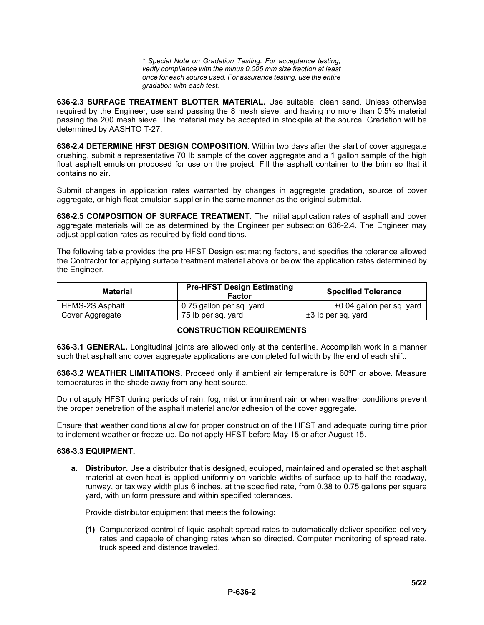*\* Special Note on Gradation Testing: For acceptance testing, verify compliance with the minus 0.005 mm size fraction at least once for each source used. For assurance testing, use the entire gradation with each test.*

**636-2.3 SURFACE TREATMENT BLOTTER MATERIAL.** Use suitable, clean sand. Unless otherwise required by the Engineer, use sand passing the 8 mesh sieve, and having no more than 0.5% material passing the 200 mesh sieve. The material may be accepted in stockpile at the source. Gradation will be determined by AASHTO T-27.

**636-2.4 DETERMINE HFST DESIGN COMPOSITION.** Within two days after the start of cover aggregate crushing, submit a representative 70 Ib sample of the cover aggregate and a 1 gallon sample of the high float asphalt emulsion proposed for use on the project. Fill the asphalt container to the brim so that it contains no air.

Submit changes in application rates warranted by changes in aggregate gradation, source of cover aggregate, or high float emulsion supplier in the same manner as the-original submittal.

**636-2.5 COMPOSITION OF SURFACE TREATMENT.** The initial application rates of asphalt and cover aggregate materials will be as determined by the Engineer per subsection 636-2.4. The Engineer may adjust application rates as required by field conditions.

The following table provides the pre HFST Design estimating factors, and specifies the tolerance allowed the Contractor for applying surface treatment material above or below the application rates determined by the Engineer.

| <b>Material</b> | <b>Pre-HFST Design Estimating</b><br>Factor | <b>Specified Tolerance</b> |
|-----------------|---------------------------------------------|----------------------------|
| HFMS-2S Asphalt | 0.75 gallon per sq. yard                    | ±0.04 gallon per sq. yard  |
| Cover Aggregate | 75 lb per sq. vard                          | $±3$ lb per sq. yard       |

### **CONSTRUCTION REQUIREMENTS**

**636-3.1 GENERAL.** Longitudinal joints are allowed only at the centerline. Accomplish work in a manner such that asphalt and cover aggregate applications are completed full width by the end of each shift.

**636-3.2 WEATHER LIMITATIONS.** Proceed only if ambient air temperature is 60ºF or above. Measure temperatures in the shade away from any heat source.

Do not apply HFST during periods of rain, fog, mist or imminent rain or when weather conditions prevent the proper penetration of the asphalt material and/or adhesion of the cover aggregate.

Ensure that weather conditions allow for proper construction of the HFST and adequate curing time prior to inclement weather or freeze-up. Do not apply HFST before May 15 or after August 15.

#### **636-3.3 EQUIPMENT.**

**a. Distributor.** Use a distributor that is designed, equipped, maintained and operated so that asphalt material at even heat is applied uniformly on variable widths of surface up to half the roadway, runway, or taxiway width plus 6 inches, at the specified rate, from 0.38 to 0.75 gallons per square yard, with uniform pressure and within specified tolerances.

Provide distributor equipment that meets the following:

**(1)** Computerized control of liquid asphalt spread rates to automatically deliver specified delivery rates and capable of changing rates when so directed. Computer monitoring of spread rate, truck speed and distance traveled.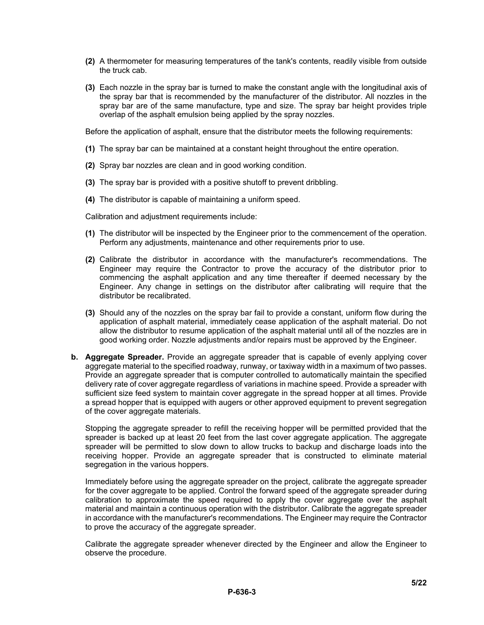- **(2)** A thermometer for measuring temperatures of the tank's contents, readily visible from outside the truck cab.
- **(3)** Each nozzle in the spray bar is turned to make the constant angle with the longitudinal axis of the spray bar that is recommended by the manufacturer of the distributor. All nozzles in the spray bar are of the same manufacture, type and size. The spray bar height provides triple overlap of the asphalt emulsion being applied by the spray nozzles.

Before the application of asphalt, ensure that the distributor meets the following requirements:

- **(1)** The spray bar can be maintained at a constant height throughout the entire operation.
- **(2)** Spray bar nozzles are clean and in good working condition.
- **(3)** The spray bar is provided with a positive shutoff to prevent dribbling.
- **(4)** The distributor is capable of maintaining a uniform speed.

Calibration and adjustment requirements include:

- **(1)** The distributor will be inspected by the Engineer prior to the commencement of the operation. Perform any adjustments, maintenance and other requirements prior to use.
- **(2)** Calibrate the distributor in accordance with the manufacturer's recommendations. The Engineer may require the Contractor to prove the accuracy of the distributor prior to commencing the asphalt application and any time thereafter if deemed necessary by the Engineer. Any change in settings on the distributor after calibrating will require that the distributor be recalibrated.
- **(3)** Should any of the nozzles on the spray bar fail to provide a constant, uniform flow during the application of asphalt material, immediately cease application of the asphalt material. Do not allow the distributor to resume application of the asphalt material until all of the nozzles are in good working order. Nozzle adjustments and/or repairs must be approved by the Engineer.
- **b. Aggregate Spreader.** Provide an aggregate spreader that is capable of evenly applying cover aggregate material to the specified roadway, runway, or taxiway width in a maximum of two passes. Provide an aggregate spreader that is computer controlled to automatically maintain the specified delivery rate of cover aggregate regardless of variations in machine speed. Provide a spreader with sufficient size feed system to maintain cover aggregate in the spread hopper at all times. Provide a spread hopper that is equipped with augers or other approved equipment to prevent segregation of the cover aggregate materials.

Stopping the aggregate spreader to refill the receiving hopper will be permitted provided that the spreader is backed up at least 20 feet from the last cover aggregate application. The aggregate spreader will be permitted to slow down to allow trucks to backup and discharge loads into the receiving hopper. Provide an aggregate spreader that is constructed to eliminate material segregation in the various hoppers.

Immediately before using the aggregate spreader on the project, calibrate the aggregate spreader for the cover aggregate to be applied. Control the forward speed of the aggregate spreader during calibration to approximate the speed required to apply the cover aggregate over the asphalt material and maintain a continuous operation with the distributor. Calibrate the aggregate spreader in accordance with the manufacturer's recommendations. The Engineer may require the Contractor to prove the accuracy of the aggregate spreader.

Calibrate the aggregate spreader whenever directed by the Engineer and allow the Engineer to observe the procedure.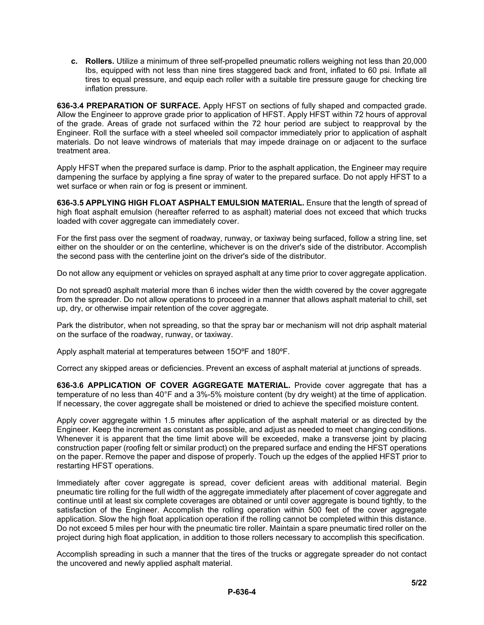**c. Rollers.** Utilize a minimum of three self-propelled pneumatic rollers weighing not less than 20,000 Ibs, equipped with not less than nine tires staggered back and front, inflated to 60 psi. Inflate all tires to equal pressure, and equip each roller with a suitable tire pressure gauge for checking tire inflation pressure.

**636-3.4 PREPARATION OF SURFACE.** Apply HFST on sections of fully shaped and compacted grade. Allow the Engineer to approve grade prior to application of HFST. Apply HFST within 72 hours of approval of the grade. Areas of grade not surfaced within the 72 hour period are subject to reapproval by the Engineer. Roll the surface with a steel wheeled soil compactor immediately prior to application of asphalt materials. Do not leave windrows of materials that may impede drainage on or adjacent to the surface treatment area.

Apply HFST when the prepared surface is damp. Prior to the asphalt application, the Engineer may require dampening the surface by applying a fine spray of water to the prepared surface. Do not apply HFST to a wet surface or when rain or fog is present or imminent.

**636-3.5 APPLYING HIGH FLOAT ASPHALT EMULSION MATERIAL.** Ensure that the length of spread of high float asphalt emulsion (hereafter referred to as asphalt) material does not exceed that which trucks loaded with cover aggregate can immediately cover.

For the first pass over the segment of roadway, runway, or taxiway being surfaced, follow a string line, set either on the shoulder or on the centerline, whichever is on the driver's side of the distributor. Accomplish the second pass with the centerline joint on the driver's side of the distributor.

Do not allow any equipment or vehicles on sprayed asphalt at any time prior to cover aggregate application.

Do not spread0 asphalt material more than 6 inches wider then the width covered by the cover aggregate from the spreader. Do not allow operations to proceed in a manner that allows asphalt material to chill, set up, dry, or otherwise impair retention of the cover aggregate.

Park the distributor, when not spreading, so that the spray bar or mechanism will not drip asphalt material on the surface of the roadway, runway, or taxiway.

Apply asphalt material at temperatures between 15OºF and 180ºF.

Correct any skipped areas or deficiencies. Prevent an excess of asphalt material at junctions of spreads.

**636-3.6 APPLICATION OF COVER AGGREGATE MATERIAL.** Provide cover aggregate that has a temperature of no less than 40°F and a 3%-5% moisture content (by dry weight) at the time of application. If necessary, the cover aggregate shall be moistened or dried to achieve the specified moisture content.

Apply cover aggregate within 1.5 minutes after application of the asphalt material or as directed by the Engineer. Keep the increment as constant as possible, and adjust as needed to meet changing conditions. Whenever it is apparent that the time limit above will be exceeded, make a transverse joint by placing construction paper (roofing felt or similar product) on the prepared surface and ending the HFST operations on the paper. Remove the paper and dispose of properly. Touch up the edges of the applied HFST prior to restarting HFST operations.

Immediately after cover aggregate is spread, cover deficient areas with additional material. Begin pneumatic tire rolling for the full width of the aggregate immediately after placement of cover aggregate and continue until at least six complete coverages are obtained or until cover aggregate is bound tightly, to the satisfaction of the Engineer. Accomplish the rolling operation within 500 feet of the cover aggregate application. Slow the high float application operation if the rolling cannot be completed within this distance. Do not exceed 5 miles per hour with the pneumatic tire roller. Maintain a spare pneumatic tired roller on the project during high float application, in addition to those rollers necessary to accomplish this specification.

Accomplish spreading in such a manner that the tires of the trucks or aggregate spreader do not contact the uncovered and newly applied asphalt material.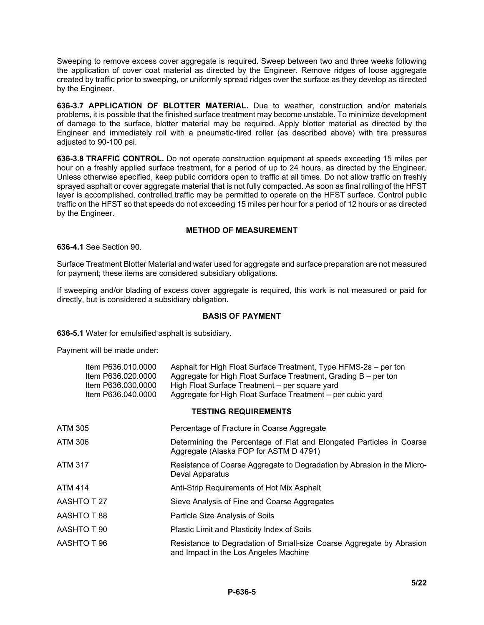Sweeping to remove excess cover aggregate is required. Sweep between two and three weeks following the application of cover coat material as directed by the Engineer. Remove ridges of loose aggregate created by traffic prior to sweeping, or uniformly spread ridges over the surface as they develop as directed by the Engineer.

**636-3.7 APPLICATION OF BLOTTER MATERIAL.** Due to weather, construction and/or materials problems, it is possible that the finished surface treatment may become unstable. To minimize development of damage to the surface, blotter material may be required. Apply blotter material as directed by the Engineer and immediately roll with a pneumatic-tired roller (as described above) with tire pressures adjusted to 90-100 psi.

**636-3.8 TRAFFIC CONTROL.** Do not operate construction equipment at speeds exceeding 15 miles per hour on a freshly applied surface treatment, for a period of up to 24 hours, as directed by the Engineer. Unless otherwise specified, keep public corridors open to traffic at all times. Do not allow traffic on freshly sprayed asphalt or cover aggregate material that is not fully compacted. As soon as final rolling of the HFST layer is accomplished, controlled traffic may be permitted to operate on the HFST surface. Control public traffic on the HFST so that speeds do not exceeding 15 miles per hour for a period of 12 hours or as directed by the Engineer.

### **METHOD OF MEASUREMENT**

**636-4.1** See Section 90.

Surface Treatment Blotter Material and water used for aggregate and surface preparation are not measured for payment; these items are considered subsidiary obligations.

If sweeping and/or blading of excess cover aggregate is required, this work is not measured or paid for directly, but is considered a subsidiary obligation.

#### **BASIS OF PAYMENT**

**636-5.1** Water for emulsified asphalt is subsidiary.

Payment will be made under:

| Item P636.010.0000<br>Item P636.020.0000<br>Item P636.030.0000<br>Item P636.040.0000 | Asphalt for High Float Surface Treatment, Type HFMS-2s - per ton<br>Aggregate for High Float Surface Treatment, Grading B – per ton<br>High Float Surface Treatment – per square yard<br>Aggregate for High Float Surface Treatment - per cubic yard |  |  |
|--------------------------------------------------------------------------------------|------------------------------------------------------------------------------------------------------------------------------------------------------------------------------------------------------------------------------------------------------|--|--|
| <b>TESTING REQUIREMENTS</b>                                                          |                                                                                                                                                                                                                                                      |  |  |
| ATM 305                                                                              | Percentage of Fracture in Coarse Aggregate                                                                                                                                                                                                           |  |  |
| ATM 306                                                                              | Determining the Percentage of Flat and Elongated Particles in Coarse<br>Aggregate (Alaska FOP for ASTM D 4791)                                                                                                                                       |  |  |
| ATM 317                                                                              | Resistance of Coarse Aggregate to Degradation by Abrasion in the Micro-<br>Deval Apparatus                                                                                                                                                           |  |  |
| ATM 414                                                                              | Anti-Strip Requirements of Hot Mix Asphalt                                                                                                                                                                                                           |  |  |
| AASHTO T 27                                                                          | Sieve Analysis of Fine and Coarse Aggregates                                                                                                                                                                                                         |  |  |
| 88 T OTHSA                                                                           | Particle Size Analysis of Soils                                                                                                                                                                                                                      |  |  |
| AASHTO T 90                                                                          | Plastic Limit and Plasticity Index of Soils                                                                                                                                                                                                          |  |  |
| AASHTO T 96                                                                          | Resistance to Degradation of Small-size Coarse Aggregate by Abrasion<br>and Impact in the Los Angeles Machine                                                                                                                                        |  |  |